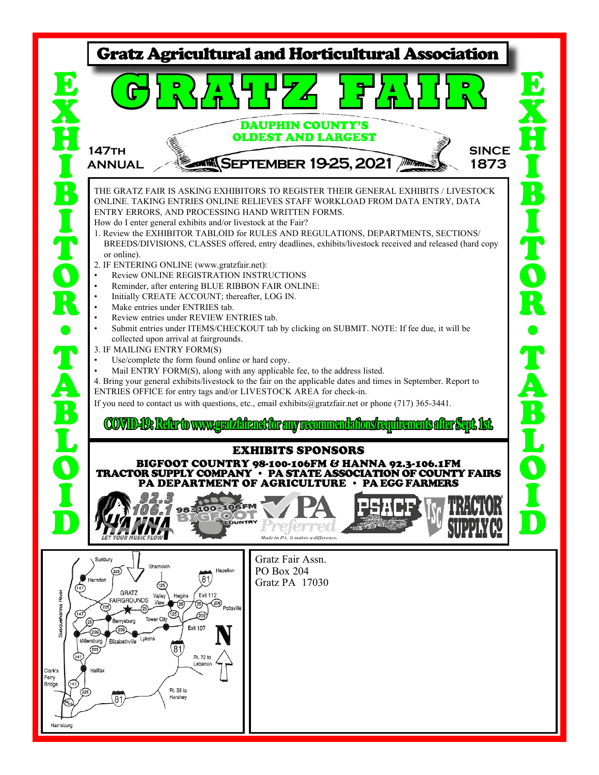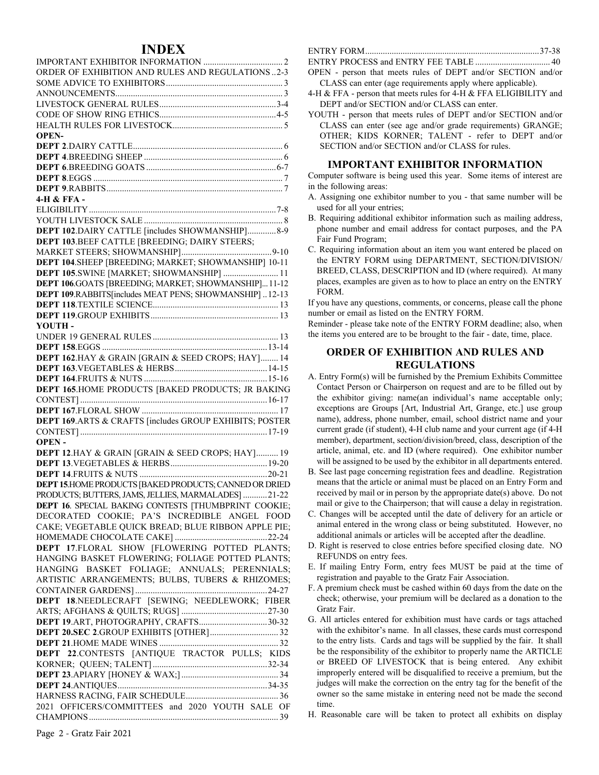# **INDEX**

| ORDER OF EXHIBITION AND RULES AND REGULATIONS2-3        |
|---------------------------------------------------------|
|                                                         |
|                                                         |
|                                                         |
|                                                         |
|                                                         |
| <b>OPEN-</b>                                            |
|                                                         |
|                                                         |
|                                                         |
|                                                         |
|                                                         |
| 4-H & FFA -                                             |
|                                                         |
|                                                         |
| DEPT 102.DAIRY CATTLE [includes SHOWMANSHIP] 8-9        |
| DEPT 103.BEEF CATTLE [BREEDING; DAIRY STEERS;           |
|                                                         |
| DEPT 104.SHEEP [BREEDING; MARKET; SHOWMANSHIP] 10-11    |
| DEPT 105.SWINE [MARKET; SHOWMANSHIP]  11                |
| DEPT 106.GOATS [BREEDING; MARKET; SHOWMANSHIP]11-12     |
| DEPT 109.RABBITS[includes MEAT PENS; SHOWMANSHIP]12-13  |
|                                                         |
|                                                         |
| <b>YOUTH-</b>                                           |
|                                                         |
|                                                         |
| DEPT 162.HAY & GRAIN [GRAIN & SEED CROPS; HAY] 14       |
|                                                         |
|                                                         |
| DEPT 165.HOME PRODUCTS [BAKED PRODUCTS; JR BAKING       |
|                                                         |
|                                                         |
| DEPT 169.ARTS & CRAFTS [includes GROUP EXHIBITS; POSTER |
|                                                         |
| <b>OPEN-</b>                                            |
| DEPT 12.HAY & GRAIN [GRAIN & SEED CROPS; HAY] 19        |
|                                                         |
|                                                         |
| DEPT 15.HOME PRODUCTS [BAKED PRODUCTS; CANNED OR DRIED  |
| PRODUCTS; BUTTERS, JAMS, JELLIES, MARMALADES] 21-22     |
| DEPT 16. SPECIAL BAKING CONTESTS [THUMBPRINT COOKIE;    |
| DECORATED COOKIE; PA'S INCREDIBLE ANGEL FOOD            |
| CAKE; VEGETABLE QUICK BREAD; BLUE RIBBON APPLE PIE;     |
|                                                         |
| DEPT 17.FLORAL SHOW [FLOWERING POTTED PLANTS;           |
| HANGING BASKET FLOWERING; FOLIAGE POTTED PLANTS;        |
| HANGING BASKET FOLIAGE; ANNUALS; PERENNIALS;            |
| ARTISTIC ARRANGEMENTS; BULBS, TUBERS & RHIZOMES;        |
|                                                         |
| DEPT 18.NEEDLECRAFT [SEWING; NEEDLEWORK; FIBER          |
|                                                         |
| DEPT 19.ART, PHOTOGRAPHY, CRAFTS30-32                   |
|                                                         |
|                                                         |
|                                                         |
| DEPT 22.CONTESTS [ANTIQUE TRACTOR PULLS; KIDS           |
|                                                         |
|                                                         |
|                                                         |
|                                                         |
| 2021 OFFICERS/COMMITTEES and 2020 YOUTH SALE OF         |

ENTRY PROCESS and ENTRY FEE TABLE .................................. 40 OPEN - person that meets rules of DEPT and/or SECTION and/or

- CLASS can enter (age requirements apply where applicable).
- 4-H & FFA person that meets rules for 4-H & FFA ELIGIBILITY and DEPT and/or SECTION and/or CLASS can enter.
- YOUTH person that meets rules of DEPT and/or SECTION and/or CLASS can enter (see age and/or grade requirements) GRANGE; OTHER; KIDS KORNER; TALENT - refer to DEPT and/or SECTION and/or SECTION and/or CLASS for rules.

#### **IMPORTANT EXHIBITOR INFORMATION**

Computer software is being used this year. Some items of interest are in the following areas:

- A. Assigning one exhibitor number to you that same number will be used for all your entries;
- B. Requiring additional exhibitor information such as mailing address, phone number and email address for contact purposes, and the PA Fair Fund Program;
- C. Requiring information about an item you want entered be placed on the ENTRY FORM using DEPARTMENT, SECTION/DIVISION/ BREED, CLASS, DESCRIPTION and ID (where required). At many places, examples are given as to how to place an entry on the ENTRY FORM.

If you have any questions, comments, or concerns, please call the phone number or email as listed on the ENTRY FORM.

Reminder - please take note of the ENTRY FORM deadline; also, when the items you entered are to be brought to the fair - date, time, place.

#### **ORDER OF EXHIBITION AND RULES AND REGULATIONS**

- A. Entry Form(s) will be furnished by the Premium Exhibits Committee Contact Person or Chairperson on request and are to be filled out by the exhibitor giving: name(an individual's name acceptable only; exceptions are Groups [Art, Industrial Art, Grange, etc.] use group name), address, phone number, email, school district name and your current grade (if student), 4-H club name and your current age (if 4-H member), department, section/division/breed, class, description of the article, animal, etc. and ID (where required). One exhibitor number will be assigned to be used by the exhibitor in all departments entered.
- B. See last page concerning registration fees and deadline. Registration means that the article or animal must be placed on an Entry Form and received by mail or in person by the appropriate date(s) above. Do not mail or give to the Chairperson; that will cause a delay in registration.
- C. Changes will be accepted until the date of delivery for an article or animal entered in the wrong class or being substituted. However, no additional animals or articles will be accepted after the deadline.
- D. Right is reserved to close entries before specified closing date. NO REFUNDS on entry fees.
- E. If mailing Entry Form, entry fees MUST be paid at the time of registration and payable to the Gratz Fair Association.
- F. A premium check must be cashed within 60 days from the date on the check; otherwise, your premium will be declared as a donation to the Gratz Fair.
- G. All articles entered for exhibition must have cards or tags attached with the exhibitor's name. In all classes, these cards must correspond to the entry lists. Cards and tags will be supplied by the fair. It shall be the responsibility of the exhibitor to properly name the ARTICLE or BREED OF LIVESTOCK that is being entered. Any exhibit improperly entered will be disqualified to receive a premium, but the judges will make the correction on the entry tag for the benefit of the owner so the same mistake in entering need not be made the second time.
- H. Reasonable care will be taken to protect all exhibits on display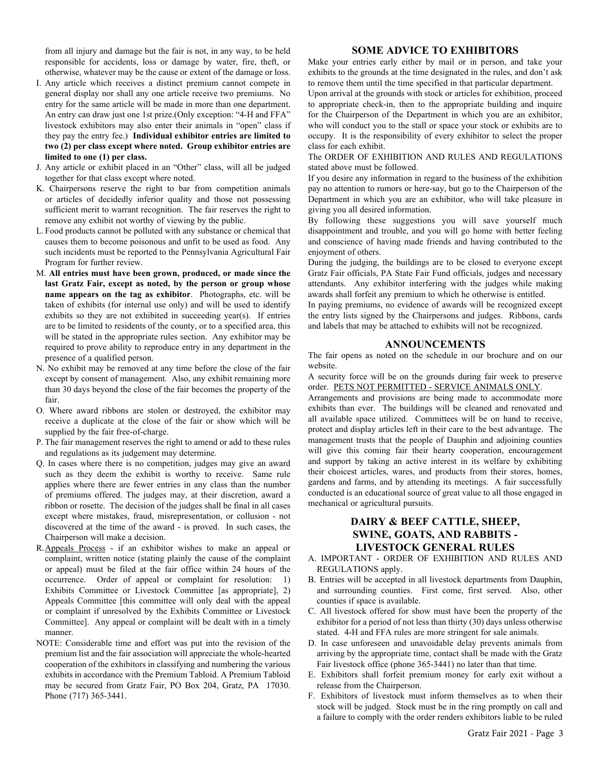from all injury and damage but the fair is not, in any way, to be held responsible for accidents, loss or damage by water, fire, theft, or otherwise, whatever may be the cause or extent of the damage or loss.

- I. Any article which receives a distinct premium cannot compete in general display nor shall any one article receive two premiums. No entry for the same article will be made in more than one department. An entry can draw just one 1st prize.(Only exception: "4-H and FFA" livestock exhibitors may also enter their animals in "open" class if they pay the entry fee.) **Individual exhibitor entries are limited to two (2) per class except where noted. Group exhibitor entries are limited to one (1) per class.**
- J. Any article or exhibit placed in an "Other" class, will all be judged together for that class except where noted.
- K. Chairpersons reserve the right to bar from competition animals or articles of decidedly inferior quality and those not possessing sufficient merit to warrant recognition. The fair reserves the right to remove any exhibit not worthy of viewing by the public.
- L.Food products cannot be polluted with any substance or chemical that causes them to become poisonous and unfit to be used as food. Any such incidents must be reported to the Pennsylvania Agricultural Fair Program for further review.
- M. **All entries must have been grown, produced, or made since the last Gratz Fair, except as noted, by the person or group whose name appears on the tag as exhibitor**. Photographs, etc. will be taken of exhibits (for internal use only) and will be used to identify exhibits so they are not exhibited in succeeding year(s). If entries are to be limited to residents of the county, or to a specified area, this will be stated in the appropriate rules section. Any exhibitor may be required to prove ability to reproduce entry in any department in the presence of a qualified person.
- N. No exhibit may be removed at any time before the close of the fair except by consent of management. Also, any exhibit remaining more than 30 days beyond the close of the fair becomes the property of the fair.
- O. Where award ribbons are stolen or destroyed, the exhibitor may receive a duplicate at the close of the fair or show which will be supplied by the fair free-of-charge.
- P. The fair management reserves the right to amend or add to these rules and regulations as its judgement may determine.
- Q. In cases where there is no competition, judges may give an award such as they deem the exhibit is worthy to receive. Same rule applies where there are fewer entries in any class than the number of premiums offered. The judges may, at their discretion, award a ribbon or rosette. The decision of the judges shall be final in all cases except where mistakes, fraud, misrepresentation, or collusion - not discovered at the time of the award - is proved. In such cases, the Chairperson will make a decision.
- R.Appeals Process if an exhibitor wishes to make an appeal or complaint, written notice (stating plainly the cause of the complaint or appeal) must be filed at the fair office within 24 hours of the occurrence. Order of appeal or complaint for resolution: 1) Exhibits Committee or Livestock Committee [as appropriate], 2) Appeals Committee [this committee will only deal with the appeal or complaint if unresolved by the Exhibits Committee or Livestock Committee]. Any appeal or complaint will be dealt with in a timely manner.
- NOTE: Considerable time and effort was put into the revision of the premium list and the fair association will appreciate the whole-hearted cooperation of the exhibitors in classifying and numbering the various exhibits in accordance with the Premium Tabloid. A Premium Tabloid may be secured from Gratz Fair, PO Box 204, Gratz, PA 17030. Phone (717) 365-3441.

#### **SOME ADVICE TO EXHIBITORS**

Make your entries early either by mail or in person, and take your exhibits to the grounds at the time designated in the rules, and don't ask to remove them until the time specified in that particular department.

Upon arrival at the grounds with stock or articles for exhibition, proceed to appropriate check-in, then to the appropriate building and inquire for the Chairperson of the Department in which you are an exhibitor, who will conduct you to the stall or space your stock or exhibits are to occupy. It is the responsibility of every exhibitor to select the proper class for each exhibit.

The ORDER OF EXHIBITION AND RULES AND REGULATIONS stated above must be followed.

If you desire any information in regard to the business of the exhibition pay no attention to rumors or here-say, but go to the Chairperson of the Department in which you are an exhibitor, who will take pleasure in giving you all desired information.

By following these suggestions you will save yourself much disappointment and trouble, and you will go home with better feeling and conscience of having made friends and having contributed to the enjoyment of others.

During the judging, the buildings are to be closed to everyone except Gratz Fair officials, PA State Fair Fund officials, judges and necessary attendants. Any exhibitor interfering with the judges while making awards shall forfeit any premium to which he otherwise is entitled.

In paying premiums, no evidence of awards will be recognized except the entry lists signed by the Chairpersons and judges. Ribbons, cards and labels that may be attached to exhibits will not be recognized.

#### **ANNOUNCEMENTS**

The fair opens as noted on the schedule in our brochure and on our website.

A security force will be on the grounds during fair week to preserve order. PETS NOT PERMITTED - SERVICE ANIMALS ONLY.

Arrangements and provisions are being made to accommodate more exhibits than ever. The buildings will be cleaned and renovated and all available space utilized. Committees will be on hand to receive, protect and display articles left in their care to the best advantage. The management trusts that the people of Dauphin and adjoining counties will give this coming fair their hearty cooperation, encouragement and support by taking an active interest in its welfare by exhibiting their choicest articles, wares, and products from their stores, homes, gardens and farms, and by attending its meetings. A fair successfully conducted is an educational source of great value to all those engaged in mechanical or agricultural pursuits.

# **DAIRY & BEEF CATTLE, SHEEP, SWINE, GOATS, AND RABBITS - LIVESTOCK GENERAL RULES**

- A. IMPORTANT ORDER OF EXHIBITION AND RULES AND REGULATIONS apply.
- B. Entries will be accepted in all livestock departments from Dauphin, and surrounding counties. First come, first served. Also, other counties if space is available.
- C. All livestock offered for show must have been the property of the exhibitor for a period of not less than thirty (30) days unless otherwise stated. 4-H and FFA rules are more stringent for sale animals.
- D. In case unforeseen and unavoidable delay prevents animals from arriving by the appropriate time, contact shall be made with the Gratz Fair livestock office (phone 365-3441) no later than that time.
- E. Exhibitors shall forfeit premium money for early exit without a release from the Chairperson.
- F. Exhibitors of livestock must inform themselves as to when their stock will be judged. Stock must be in the ring promptly on call and a failure to comply with the order renders exhibitors liable to be ruled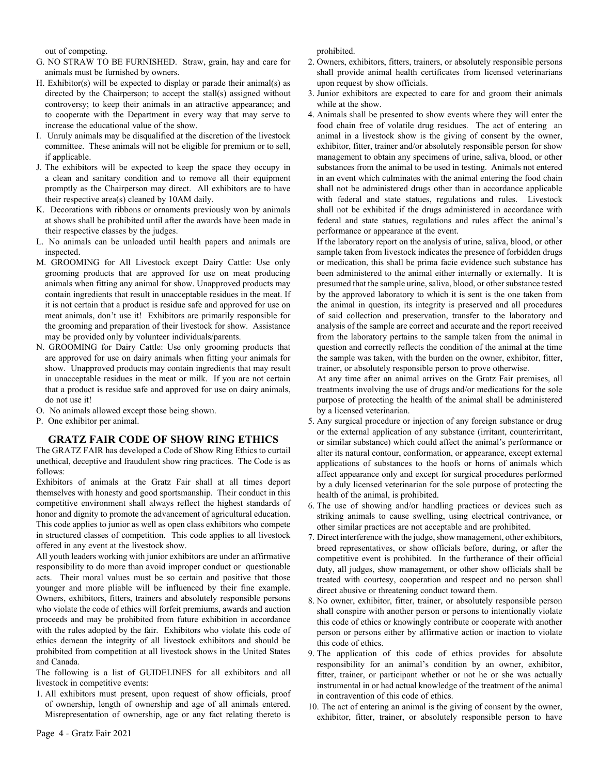out of competing.

- G. NO STRAW TO BE FURNISHED. Straw, grain, hay and care for animals must be furnished by owners.
- H. Exhibitor(s) will be expected to display or parade their animal(s) as directed by the Chairperson; to accept the stall(s) assigned without controversy; to keep their animals in an attractive appearance; and to cooperate with the Department in every way that may serve to increase the educational value of the show.
- I. Unruly animals may be disqualified at the discretion of the livestock committee. These animals will not be eligible for premium or to sell, if applicable.
- J. The exhibitors will be expected to keep the space they occupy in a clean and sanitary condition and to remove all their equipment promptly as the Chairperson may direct. All exhibitors are to have their respective area(s) cleaned by 10AM daily.
- K. Decorations with ribbons or ornaments previously won by animals at shows shall be prohibited until after the awards have been made in their respective classes by the judges.
- L. No animals can be unloaded until health papers and animals are inspected.
- M. GROOMING for All Livestock except Dairy Cattle: Use only grooming products that are approved for use on meat producing animals when fitting any animal for show. Unapproved products may contain ingredients that result in unacceptable residues in the meat. If it is not certain that a product is residue safe and approved for use on meat animals, don't use it! Exhibitors are primarily responsible for the grooming and preparation of their livestock for show. Assistance may be provided only by volunteer individuals/parents.
- N. GROOMING for Dairy Cattle: Use only grooming products that are approved for use on dairy animals when fitting your animals for show. Unapproved products may contain ingredients that may result in unacceptable residues in the meat or milk. If you are not certain that a product is residue safe and approved for use on dairy animals, do not use it!
- O. No animals allowed except those being shown.
- P. One exhibitor per animal.

#### **GRATZ FAIR CODE OF SHOW RING ETHICS**

The GRATZ FAIR has developed a Code of Show Ring Ethics to curtail unethical, deceptive and fraudulent show ring practices. The Code is as follows:

Exhibitors of animals at the Gratz Fair shall at all times deport themselves with honesty and good sportsmanship. Their conduct in this competitive environment shall always reflect the highest standards of honor and dignity to promote the advancement of agricultural education. This code applies to junior as well as open class exhibitors who compete in structured classes of competition. This code applies to all livestock offered in any event at the livestock show.

All youth leaders working with junior exhibitors are under an affirmative responsibility to do more than avoid improper conduct or questionable acts. Their moral values must be so certain and positive that those younger and more pliable will be influenced by their fine example. Owners, exhibitors, fitters, trainers and absolutely responsible persons who violate the code of ethics will forfeit premiums, awards and auction proceeds and may be prohibited from future exhibition in accordance with the rules adopted by the fair. Exhibitors who violate this code of ethics demean the integrity of all livestock exhibitors and should be prohibited from competition at all livestock shows in the United States and Canada.

The following is a list of GUIDELINES for all exhibitors and all livestock in competitive events:

1. All exhibitors must present, upon request of show officials, proof of ownership, length of ownership and age of all animals entered. Misrepresentation of ownership, age or any fact relating thereto is

prohibited.

- 2. Owners, exhibitors, fitters, trainers, or absolutely responsible persons shall provide animal health certificates from licensed veterinarians upon request by show officials.
- 3. Junior exhibitors are expected to care for and groom their animals while at the show.
- 4. Animals shall be presented to show events where they will enter the food chain free of volatile drug residues. The act of entering an animal in a livestock show is the giving of consent by the owner, exhibitor, fitter, trainer and/or absolutely responsible person for show management to obtain any specimens of urine, saliva, blood, or other substances from the animal to be used in testing. Animals not entered in an event which culminates with the animal entering the food chain shall not be administered drugs other than in accordance applicable with federal and state statues, regulations and rules. Livestock shall not be exhibited if the drugs administered in accordance with federal and state statues, regulations and rules affect the animal's performance or appearance at the event.

If the laboratory report on the analysis of urine, saliva, blood, or other sample taken from livestock indicates the presence of forbidden drugs or medication, this shall be prima facie evidence such substance has been administered to the animal either internally or externally. It is presumed that the sample urine, saliva, blood, or other substance tested by the approved laboratory to which it is sent is the one taken from the animal in question, its integrity is preserved and all procedures of said collection and preservation, transfer to the laboratory and analysis of the sample are correct and accurate and the report received from the laboratory pertains to the sample taken from the animal in question and correctly reflects the condition of the animal at the time the sample was taken, with the burden on the owner, exhibitor, fitter, trainer, or absolutely responsible person to prove otherwise.

At any time after an animal arrives on the Gratz Fair premises, all treatments involving the use of drugs and/or medications for the sole purpose of protecting the health of the animal shall be administered by a licensed veterinarian.

- 5. Any surgical procedure or injection of any foreign substance or drug or the external application of any substance (irritant, counterirritant, or similar substance) which could affect the animal's performance or alter its natural contour, conformation, or appearance, except external applications of substances to the hoofs or horns of animals which affect appearance only and except for surgical procedures performed by a duly licensed veterinarian for the sole purpose of protecting the health of the animal, is prohibited.
- 6. The use of showing and/or handling practices or devices such as striking animals to cause swelling, using electrical contrivance, or other similar practices are not acceptable and are prohibited.
- 7. Direct interference with the judge, show management, other exhibitors, breed representatives, or show officials before, during, or after the competitive event is prohibited. In the furtherance of their official duty, all judges, show management, or other show officials shall be treated with courtesy, cooperation and respect and no person shall direct abusive or threatening conduct toward them.
- 8. No owner, exhibitor, fitter, trainer, or absolutely responsible person shall conspire with another person or persons to intentionally violate this code of ethics or knowingly contribute or cooperate with another person or persons either by affirmative action or inaction to violate this code of ethics.
- 9. The application of this code of ethics provides for absolute responsibility for an animal's condition by an owner, exhibitor, fitter, trainer, or participant whether or not he or she was actually instrumental in or had actual knowledge of the treatment of the animal in contravention of this code of ethics.
- 10. The act of entering an animal is the giving of consent by the owner, exhibitor, fitter, trainer, or absolutely responsible person to have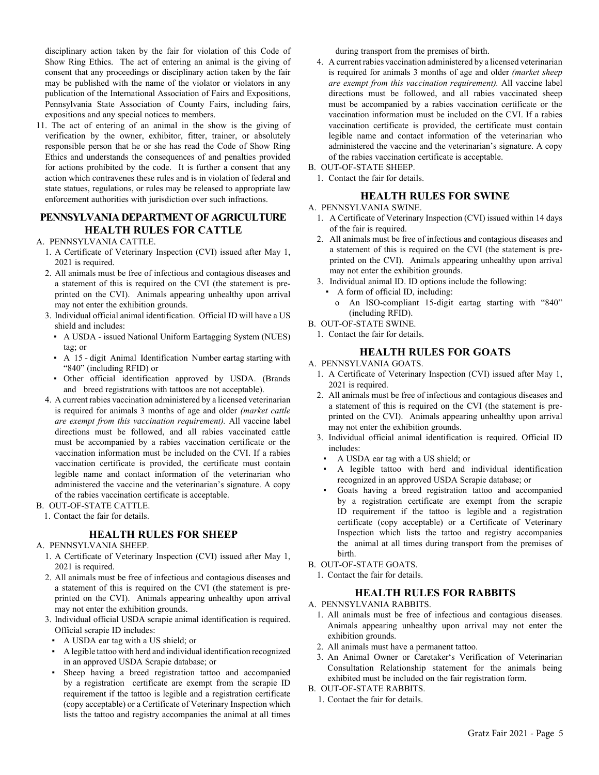disciplinary action taken by the fair for violation of this Code of Show Ring Ethics. The act of entering an animal is the giving of consent that any proceedings or disciplinary action taken by the fair may be published with the name of the violator or violators in any publication of the International Association of Fairs and Expositions, Pennsylvania State Association of County Fairs, including fairs, expositions and any special notices to members.

11. The act of entering of an animal in the show is the giving of verification by the owner, exhibitor, fitter, trainer, or absolutely responsible person that he or she has read the Code of Show Ring Ethics and understands the consequences of and penalties provided for actions prohibited by the code. It is further a consent that any action which contravenes these rules and is in violation of federal and state statues, regulations, or rules may be released to appropriate law enforcement authorities with jurisdiction over such infractions.

# **PENNSYLVANIA DEPARTMENT OF AGRICULTURE HEALTH RULES FOR CATTLE**

#### A. PENNSYLVANIA CATTLE.

- 1. A Certificate of Veterinary Inspection (CVI) issued after May 1, 2021 is required.
- 2. All animals must be free of infectious and contagious diseases and a statement of this is required on the CVI (the statement is preprinted on the CVI). Animals appearing unhealthy upon arrival may not enter the exhibition grounds.
- 3. Individual official animal identification. Official ID will have a US shield and includes:
	- **A USDA issued National Uniform Eartagging System (NUES)** tag; or
	- **•** A 15 digit Animal Identification Number eartag starting with "840" (including RFID) or
	- ▪ Other official identification approved by USDA. (Brands and breed registrations with tattoos are not acceptable).
- 4. A current rabies vaccination administered by a licensed veterinarian is required for animals 3 months of age and older *(market cattle are exempt from this vaccination requirement).* All vaccine label directions must be followed, and all rabies vaccinated cattle must be accompanied by a rabies vaccination certificate or the vaccination information must be included on the CVI. If a rabies vaccination certificate is provided, the certificate must contain legible name and contact information of the veterinarian who administered the vaccine and the veterinarian's signature. A copy of the rabies vaccination certificate is acceptable.

#### B. OUT-OF-STATE CATTLE.

1. Contact the fair for details.

#### **HEALTH RULES FOR SHEEP**

#### A. PENNSYLVANIA SHEEP.

- 1. A Certificate of Veterinary Inspection (CVI) issued after May 1, 2021 is required.
- 2. All animals must be free of infectious and contagious diseases and a statement of this is required on the CVI (the statement is preprinted on the CVI). Animals appearing unhealthy upon arrival may not enter the exhibition grounds.
- 3. Individual official USDA scrapie animal identification is required. Official scrapie ID includes:
	- **•** A USDA ear tag with a US shield; or
	- ▪ A legible tattoo with herd and individual identification recognized in an approved USDA Scrapie database; or
	- Sheep having a breed registration tattoo and accompanied by a registration certificate are exempt from the scrapie ID requirement if the tattoo is legible and a registration certificate (copy acceptable) or a Certificate of Veterinary Inspection which lists the tattoo and registry accompanies the animal at all times

during transport from the premises of birth.

- 4. A current rabies vaccination administered by a licensed veterinarian is required for animals 3 months of age and older *(market sheep are exempt from this vaccination requirement).* All vaccine label directions must be followed, and all rabies vaccinated sheep must be accompanied by a rabies vaccination certificate or the vaccination information must be included on the CVI. If a rabies vaccination certificate is provided, the certificate must contain legible name and contact information of the veterinarian who administered the vaccine and the veterinarian's signature. A copy of the rabies vaccination certificate is acceptable.
- B. OUT-OF-STATE SHEEP.
	- 1. Contact the fair for details.

#### **HEALTH RULES FOR SWINE**

#### A. PENNSYLVANIA SWINE.

- 1. A Certificate of Veterinary Inspection (CVI) issued within 14 days of the fair is required.
- 2. All animals must be free of infectious and contagious diseases and a statement of this is required on the CVI (the statement is preprinted on the CVI). Animals appearing unhealthy upon arrival may not enter the exhibition grounds.
- 3. Individual animal ID. ID options include the following:
	- A form of official ID, including:
	- o An ISO-compliant 15-digit eartag starting with "840" (including RFID).

# B. OUT-OF-STATE SWINE.

1. Contact the fair for details.

# **HEALTH RULES FOR GOATS**

#### A. PENNSYLVANIA GOATS.

- 1. A Certificate of Veterinary Inspection (CVI) issued after May 1, 2021 is required.
- 2. All animals must be free of infectious and contagious diseases and a statement of this is required on the CVI (the statement is preprinted on the CVI). Animals appearing unhealthy upon arrival may not enter the exhibition grounds.
- 3. Individual official animal identification is required. Official ID includes:
	- ▪ A USDA ear tag with a US shield; or
- A legible tattoo with herd and individual identification recognized in an approved USDA Scrapie database; or
- ▪ Goats having a breed registration tattoo and accompanied by a registration certificate are exempt from the scrapie ID requirement if the tattoo is legible and a registration certificate (copy acceptable) or a Certificate of Veterinary Inspection which lists the tattoo and registry accompanies the animal at all times during transport from the premises of birth.
- B. OUT-OF-STATE GOATS.
	- 1. Contact the fair for details.

# **HEALTH RULES FOR RABBITS**

- A. PENNSYLVANIA RABBITS.
	- 1. All animals must be free of infectious and contagious diseases. Animals appearing unhealthy upon arrival may not enter the exhibition grounds.
	- 2. All animals must have a permanent tattoo.
	- 3. An Animal Owner or Caretaker's Verification of Veterinarian Consultation Relationship statement for the animals being exhibited must be included on the fair registration form.
- B. OUT-OF-STATE RABBITS.
	- 1. Contact the fair for details.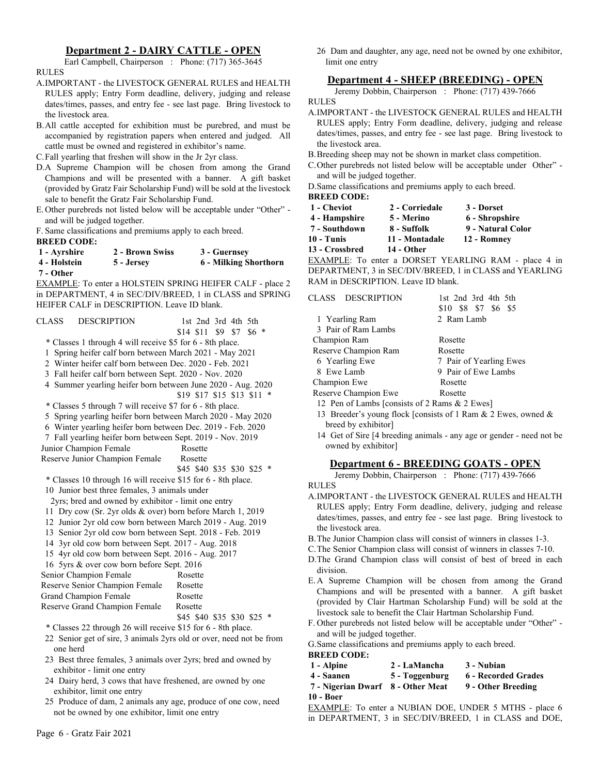# **Department 2 - DAIRY CATTLE - OPEN**

Earl Campbell, Chairperson : Phone: (717) 365-3645

RULES

- A.IMPORTANT the LIVESTOCK GENERAL RULES and HEALTH RULES apply; Entry Form deadline, delivery, judging and release dates/times, passes, and entry fee - see last page. Bring livestock to the livestock area.
- B.All cattle accepted for exhibition must be purebred, and must be accompanied by registration papers when entered and judged. All cattle must be owned and registered in exhibitor's name.
- C.Fall yearling that freshen will show in the Jr 2yr class.
- D.A Supreme Champion will be chosen from among the Grand Champions and will be presented with a banner. A gift basket (provided by Gratz Fair Scholarship Fund) will be sold at the livestock sale to benefit the Gratz Fair Scholarship Fund.
- E.Other purebreds not listed below will be acceptable under "Other" and will be judged together.

F. Same classifications and premiums apply to each breed.

| <b>BREED CODE:</b> |                 |                       |
|--------------------|-----------------|-----------------------|
| 1 - Avrshire       | 2 - Brown Swiss | 3 - Guernsey          |
| 4 - Holstein       | 5 - Jersey      | 6 - Milking Shorthorn |
| 7 - Other          |                 |                       |

EXAMPLE: To enter a HOLSTEIN SPRING HEIFER CALF - place 2 in DEPARTMENT, 4 in SEC/DIV/BREED, 1 in CLASS and SPRING HEIFER CALF in DESCRIPTION. Leave ID blank.

- CLASS DESCRIPTION 1st 2nd 3rd 4th 5th \$14 \$11 \$9 \$7 \$6 \* \* Classes 1 through 4 will receive \$5 for 6 - 8th place. 1 Spring heifer calf born between March 2021 - May 2021 2 Winter heifer calf born between Dec. 2020 - Feb. 2021 3 Fall heifer calf born between Sept. 2020 - Nov. 2020 4 Summer yearling heifer born between June 2020 - Aug. 2020 \$19 \$17 \$15 \$13 \$11 \* \* Classes 5 through 7 will receive \$7 for 6 - 8th place. 5 Spring yearling heifer born between March 2020 - May 2020 6 Winter yearling heifer born between Dec. 2019 - Feb. 2020 7 Fall yearling heifer born between Sept. 2019 - Nov. 2019 Junior Champion Female Rosette Reserve Junior Champion Female Rosette \$45 \$40 \$35 \$30 \$25 \* \* Classes 10 through 16 will receive \$15 for 6 - 8th place. 10 Junior best three females, 3 animals under 2yrs; bred and owned by exhibitor - limit one entry 11 Dry cow (Sr. 2yr olds & over) born before March 1, 2019 12 Junior 2yr old cow born between March 2019 - Aug. 2019 13 Senior 2yr old cow born between Sept. 2018 - Feb. 2019 14 3yr old cow born between Sept. 2017 - Aug. 2018 15 4yr old cow born between Sept. 2016 - Aug. 2017 16 5yrs & over cow born before Sept. 2016 Senior Champion Female Rosette Reserve Senior Champion Female Rosette Grand Champion Female Rosette Reserve Grand Champion Female Rosette \$45 \$40 \$35 \$30 \$25 \* \* Classes 22 through 26 will receive \$15 for 6 - 8th place. 22 Senior get of sire, 3 animals 2yrs old or over, need not be from one herd 23 Best three females, 3 animals over 2yrs; bred and owned by exhibitor - limit one entry
	- 24 Dairy herd, 3 cows that have freshened, are owned by one exhibitor, limit one entry
	- 25 Produce of dam, 2 animals any age, produce of one cow, need not be owned by one exhibitor, limit one entry

# **Department 4 - SHEEP (BREEDING) - OPEN**

26 Dam and daughter, any age, need not be owned by one exhibitor,

Jeremy Dobbin, Chairperson : Phone: (717) 439-7666 RULES

- A.IMPORTANT the LIVESTOCK GENERAL RULES and HEALTH RULES apply; Entry Form deadline, delivery, judging and release dates/times, passes, and entry fee - see last page. Bring livestock to the livestock area.
- B.Breeding sheep may not be shown in market class competition.
- C.Other purebreds not listed below will be acceptable under Other" and will be judged together.
- D.Same classifications and premiums apply to each breed. **BREED CODE:**

| 1 - Cheviot   | 2 - Corriedale | 3 - Dorset     |
|---------------|----------------|----------------|
| 4 - Hampshire | 5 - Merino     | 6 - Shropshire |
| 7 - Southdown | 8 - Suffolk    | 9 - Natural Co |

- - **7 Southdown 8 Suffolk 9 Natural Color**
- **10 Tunis 11 Montadale 12 Romney**

**13 - Crossbred 14 - Other**

EXAMPLE: To enter a DORSET YEARLING RAM - place 4 in DEPARTMENT, 3 in SEC/DIV/BREED, 1 in CLASS and YEARLING RAM in DESCRIPTION. Leave ID blank.

| CLASS DESCRIPTION                             | 1st 2nd 3rd 4th 5th<br>\$10 \$8 \$7 \$6 \$5 |
|-----------------------------------------------|---------------------------------------------|
| 1 Yearling Ram                                | 2 Ram Lamb                                  |
| 3 Pair of Ram Lambs                           |                                             |
| Champion Ram                                  | Rosette                                     |
| Reserve Champion Ram                          | Rosette                                     |
| 6 Yearling Ewe                                | 7 Pair of Yearling Ewes                     |
| 8 Ewe Lamb                                    | 9 Pair of Ewe Lambs                         |
| Champion Ewe                                  | Rosette                                     |
| Reserve Champion Ewe                          | Rosette                                     |
| 12 Pen of Lambs [consists of 2 Rams & 2 Ewes] |                                             |

- 
- 13 Breeder's young flock [consists of 1 Ram & 2 Ewes, owned & breed by exhibitor]
- 14 Get of Sire [4 breeding animals any age or gender need not be owned by exhibitor]

# **Department 6 - BREEDING GOATS - OPEN**

Jeremy Dobbin, Chairperson : Phone: (717) 439-7666

RULES

- A.IMPORTANT the LIVESTOCK GENERAL RULES and HEALTH RULES apply; Entry Form deadline, delivery, judging and release dates/times, passes, and entry fee - see last page. Bring livestock to the livestock area.
- B.The Junior Champion class will consist of winners in classes 1-3.
- C.The Senior Champion class will consist of winners in classes 7-10.
- D.The Grand Champion class will consist of best of breed in each division.
- E.A Supreme Champion will be chosen from among the Grand Champions and will be presented with a banner. A gift basket (provided by Clair Hartman Scholarship Fund) will be sold at the livestock sale to benefit the Clair Hartman Scholarship Fund.
- F. Other purebreds not listed below will be acceptable under "Other" and will be judged together.

G.Same classifications and premiums apply to each breed. **BREED CODE:**

- **1 Alpine 2 LaMancha 3 Nubian 4 - Saanen 5 - Toggenburg 6 - Recorded Grades**
- **7 Nigerian Dwarf 8 Other Meat 9 Other Breeding**
- **10 Boer**

EXAMPLE: To enter a NUBIAN DOE, UNDER 5 MTHS - place 6 in DEPARTMENT, 3 in SEC/DIV/BREED, 1 in CLASS and DOE,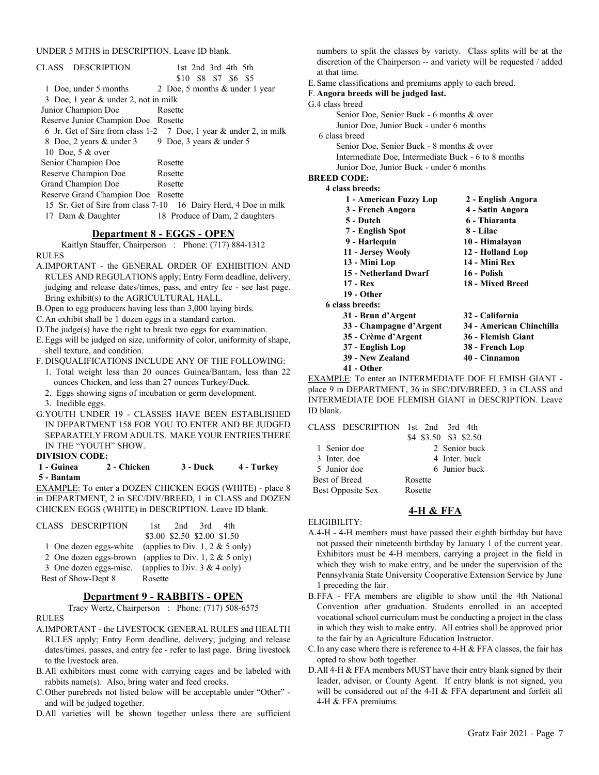#### UNDER 5 MTHS in DESCRIPTION. Leave ID blank.

| CLASS DESCRIPTION                    | 1st 2nd 3rd 4th 5th                                               |
|--------------------------------------|-------------------------------------------------------------------|
|                                      | \$10 \$8 \$7 \$6 \$5                                              |
| 1 Doe, under 5 months                | 2 Doe, 5 months & under 1 year                                    |
| 3 Doe, 1 year & under 2, not in milk |                                                                   |
| Junior Champion Doe                  | Rosette                                                           |
| Reserve Junior Champion Doe Rosette  |                                                                   |
|                                      | 6 Jr. Get of Sire from class 1-2 7 Doe, 1 year & under 2, in milk |
| 8 Doe, 2 years & under 3             | 9 Doe, 3 years & under 5                                          |
| 10 Doe, 5 & over                     |                                                                   |
| Senior Champion Doe                  | Rosette                                                           |
| Reserve Champion Doe                 | Rosette                                                           |
| Grand Champion Doe                   | Rosette                                                           |
| Reserve Grand Champion Doe           | Rosette                                                           |
|                                      | 15 Sr. Get of Sire from class 7-10 16 Dairy Herd, 4 Doe in milk   |
| 17 Dam & Daughter                    | 18 Produce of Dam, 2 daughters                                    |
|                                      |                                                                   |

#### **Department 8 - EGGS - OPEN**

Kaitlyn Stauffer, Chairperson : Phone: (717) 884-1312 RULES

- A.IMPORTANT the GENERAL ORDER OF EXHIBITION AND RULES AND REGULATIONS apply; Entry Form deadline, delivery, judging and release dates/times, pass, and entry fee - see last page. Bring exhibit(s) to the AGRICULTURAL HALL.
- B.Open to egg producers having less than 3,000 laying birds.
- C.An exhibit shall be 1 dozen eggs in a standard carton.
- D.The judge(s) have the right to break two eggs for examination.
- E.Eggs will be judged on size, uniformity of color, uniformity of shape, shell texture, and condition.
- F. DISQUALIFICATIONS INCLUDE ANY OF THE FOLLOWING:
	- 1. Total weight less than 20 ounces Guinea/Bantam, less than 22 ounces Chicken, and less than 27 ounces Turkey/Duck.
	- 2. Eggs showing signs of incubation or germ development.

3. Inedible eggs.

G.YOUTH UNDER 19 - CLASSES HAVE BEEN ESTABLISHED IN DEPARTMENT 158 FOR YOU TO ENTER AND BE JUDGED SEPARATELY FROM ADULTS. MAKE YOUR ENTRIES THERE IN THE "YOUTH" SHOW.

**DIVISION CODE:**

#### **1 - Guinea 2 - Chicken 3 - Duck 4 - Turkey 5 - Bantam**

EXAMPLE: To enter a DOZEN CHICKEN EGGS (WHITE) - place 8 in DEPARTMENT, 2 in SEC/DIV/BREED, 1 in CLASS and DOZEN CHICKEN EGGS (WHITE) in DESCRIPTION. Leave ID blank.

| CLASS DESCRIPTION                                      | 1st -                          |                             | $2nd$ 3rd 4th |  |
|--------------------------------------------------------|--------------------------------|-----------------------------|---------------|--|
|                                                        |                                | \$3.00 \$2.50 \$2.00 \$1.50 |               |  |
| 1 One dozen eggs-white (applies to Div. 1, 2 & 5 only) |                                |                             |               |  |
| 2 One dozen eggs-brown (applies to Div. 1, 2 & 5 only) |                                |                             |               |  |
| 3 One dozen eggs-misc.                                 | (applies to Div. $3 & 4$ only) |                             |               |  |
| Best of Show-Dept 8                                    | Rosette                        |                             |               |  |

# **Department 9 - RABBITS - OPEN**

Tracy Wertz, Chairperson : Phone: (717) 508-6575

#### RULES

- A.IMPORTANT the LIVESTOCK GENERAL RULES and HEALTH RULES apply; Entry Form deadline, delivery, judging and release dates/times, passes, and entry fee - refer to last page. Bring livestock to the livestock area.
- B.All exhibitors must come with carrying cages and be labeled with rabbits name(s). Also, bring water and feed crocks.
- C.Other purebreds not listed below will be acceptable under "Other" and will be judged together.
- D.All varieties will be shown together unless there are sufficient

numbers to split the classes by variety. Class splits will be at the discretion of the Chairperson -- and variety will be requested / added at that time.

- E.Same classifications and premiums apply to each breed.
- F. **Angora breeds will be judged last.**
- G.4 class breed

Senior Doe, Senior Buck - 6 months & over Junior Doe, Junior Buck - under 6 months

- 6 class breed
	- Senior Doe, Senior Buck 8 months & over Intermediate Doe, Intermediate Buck - 6 to 8 months Junior Doe, Junior Buck - under 6 months
- **BREED CODE:**
	- **4 class breeds:**

| 1 - American Fuzzy Lop  | 2 - English Angora       |
|-------------------------|--------------------------|
| 3 - French Angora       | 4 - Satin Angora         |
| 5 - Dutch               | 6 - Thiaranta            |
| 7 - English Spot        | 8 - Lilac                |
| 9 - Harlequin           | 10 - Himalayan           |
| 11 - Jersey Wooly       | 12 - Holland Lop         |
| 13 - Mini Lop           | 14 - Mini Rex            |
| 15 - Netherland Dwarf   | 16 - Polish              |
| 17 - Rex                | 18 - Mixed Breed         |
| 19 - Other              |                          |
| 6 class breeds:         |                          |
| 31 - Brun d'Argent      | 32 - California          |
| 33 - Champagne d'Argent | 34 - American Chinchilla |
| 35 - Crème d'Argent     | 36 - Flemish Giant       |
| 37 - English Lop        | 38 - French Lop          |
|                         |                          |

- **39 New Zealand 40 Cinnamon**
- **41 Other**

EXAMPLE: To enter an INTERMEDIATE DOE FLEMISH GIANT place 9 in DEPARTMENT, 36 in SEC/DIV/BREED, 3 in CLASS and INTERMEDIATE DOE FLEMISH GIANT in DESCRIPTION. Leave ID blank.

#### CLASS DESCRIPTION 1st 2nd 3rd 4th

|                      | \$4 \$3.50 \$3 \$2.50 |
|----------------------|-----------------------|
| 1 Senior doe         | 2. Senior buck        |
| 3 Inter. doe         | 4 Inter, buck         |
| 5 Junior doe         | 6. Junior buck        |
| <b>Best of Breed</b> | Rosette               |
| Best Opposite Sex    | Rosette               |
|                      |                       |

# **4-H & FFA**

#### ELIGIBILITY:

- A.4-H 4-H members must have passed their eighth birthday but have not passed their nineteenth birthday by January 1 of the current year. Exhibitors must be 4-H members, carrying a project in the field in which they wish to make entry, and be under the supervision of the Pennsylvania State University Cooperative Extension Service by June 1 preceding the fair.
- B.FFA FFA members are eligible to show until the 4th National Convention after graduation. Students enrolled in an accepted vocational school curriculum must be conducting a project in the class in which they wish to make entry. All entries shall be approved prior to the fair by an Agriculture Education Instructor.
- C.In any case where there is reference to 4-H & FFA classes, the fair has opted to show both together.
- D.All 4-H & FFA members MUST have their entry blank signed by their leader, advisor, or County Agent. If entry blank is not signed, you will be considered out of the 4-H & FFA department and forfeit all 4-H & FFA premiums.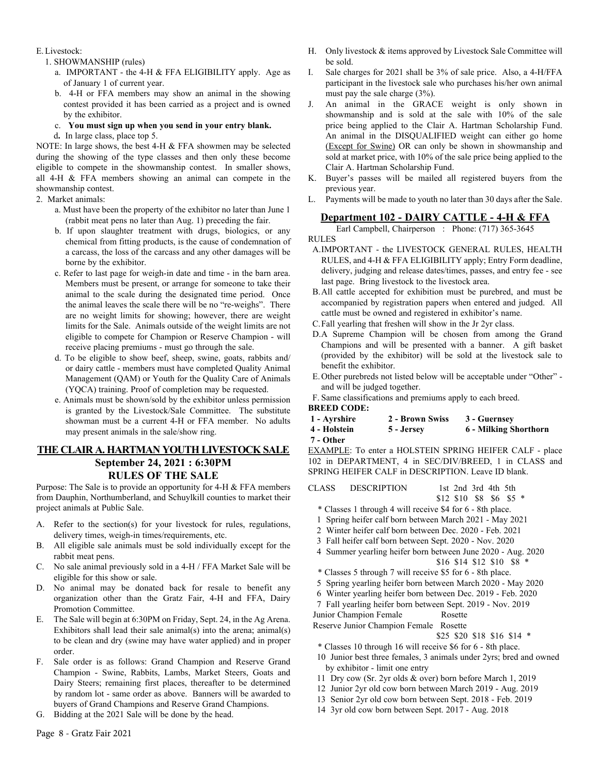#### E.Livestock:

- 1. SHOWMANSHIP (rules)
	- a. IMPORTANT the 4-H & FFA ELIGIBILITY apply. Age as of January 1 of current year.
	- b. 4-H or FFA members may show an animal in the showing contest provided it has been carried as a project and is owned by the exhibitor.
	- c. **You must sign up when you send in your entry blank.**
	- d**.** In large class, place top 5.

NOTE: In large shows, the best 4-H & FFA showmen may be selected during the showing of the type classes and then only these become eligible to compete in the showmanship contest. In smaller shows, all 4-H & FFA members showing an animal can compete in the showmanship contest.

- 2. Market animals:
	- a. Must have been the property of the exhibitor no later than June 1 (rabbit meat pens no later than Aug. 1) preceding the fair.
	- b. If upon slaughter treatment with drugs, biologics, or any chemical from fitting products, is the cause of condemnation of a carcass, the loss of the carcass and any other damages will be borne by the exhibitor.
	- c. Refer to last page for weigh-in date and time in the barn area. Members must be present, or arrange for someone to take their animal to the scale during the designated time period. Once the animal leaves the scale there will be no "re-weighs". There are no weight limits for showing; however, there are weight limits for the Sale. Animals outside of the weight limits are not eligible to compete for Champion or Reserve Champion - will receive placing premiums - must go through the sale.
	- d. To be eligible to show beef, sheep, swine, goats, rabbits and/ or dairy cattle - members must have completed Quality Animal Management (QAM) or Youth for the Quality Care of Animals (YQCA) training. Proof of completion may be requested.
	- e. Animals must be shown/sold by the exhibitor unless permission is granted by the Livestock/Sale Committee. The substitute showman must be a current 4-H or FFA member. No adults may present animals in the sale/show ring.

# **THE CLAIR A. HARTMAN YOUTH LIVESTOCK SALE September 24, 2021 : 6:30PM RULES OF THE SALE**

Purpose: The Sale is to provide an opportunity for 4-H & FFA members from Dauphin, Northumberland, and Schuylkill counties to market their project animals at Public Sale.

- A. Refer to the section(s) for your livestock for rules, regulations, delivery times, weigh-in times/requirements, etc.
- B. All eligible sale animals must be sold individually except for the rabbit meat pens.
- C. No sale animal previously sold in a 4-H / FFA Market Sale will be eligible for this show or sale.
- D. No animal may be donated back for resale to benefit any organization other than the Gratz Fair, 4-H and FFA, Dairy Promotion Committee.
- E. The Sale will begin at 6:30PM on Friday, Sept. 24, in the Ag Arena. Exhibitors shall lead their sale animal(s) into the arena; animal(s) to be clean and dry (swine may have water applied) and in proper order.
- F. Sale order is as follows: Grand Champion and Reserve Grand Champion - Swine, Rabbits, Lambs, Market Steers, Goats and Dairy Steers; remaining first places, thereafter to be determined by random lot - same order as above. Banners will be awarded to buyers of Grand Champions and Reserve Grand Champions.
- G. Bidding at the 2021 Sale will be done by the head.
- H. Only livestock & items approved by Livestock Sale Committee will be sold.
- I. Sale charges for 2021 shall be 3% of sale price. Also, a 4-H/FFA participant in the livestock sale who purchases his/her own animal must pay the sale charge (3%).
- J. An animal in the GRACE weight is only shown in showmanship and is sold at the sale with 10% of the sale price being applied to the Clair A. Hartman Scholarship Fund. An animal in the DISQUALIFIED weight can either go home (Except for Swine) OR can only be shown in showmanship and sold at market price, with 10% of the sale price being applied to the Clair A. Hartman Scholarship Fund.
- K. Buyer's passes will be mailed all registered buyers from the previous year.
- L. Payments will be made to youth no later than 30 days after the Sale.

# **Department 102 - DAIRY CATTLE - 4-H & FFA**

Earl Campbell, Chairperson : Phone: (717) 365-3645 RULES

- A.IMPORTANT the LIVESTOCK GENERAL RULES, HEALTH RULES, and 4-H & FFA ELIGIBILITY apply; Entry Form deadline, delivery, judging and release dates/times, passes, and entry fee - see last page. Bring livestock to the livestock area.
- B.All cattle accepted for exhibition must be purebred, and must be accompanied by registration papers when entered and judged. All cattle must be owned and registered in exhibitor's name.
- C.Fall yearling that freshen will show in the Jr 2yr class.
- D.A Supreme Champion will be chosen from among the Grand Champions and will be presented with a banner. A gift basket (provided by the exhibitor) will be sold at the livestock sale to benefit the exhibitor.
- E.Other purebreds not listed below will be acceptable under "Other" and will be judged together.
- F. Same classifications and premiums apply to each breed.
- **BREED CODE:**
- **1 Ayrshire 2 Brown Swiss 3 Guernsey**
- **4 Holstein 5 Jersey 6 Milking Shorthorn**
- **7 Other**

EXAMPLE: To enter a HOLSTEIN SPRING HEIFER CALF - place 102 in DEPARTMENT, 4 in SEC/DIV/BREED, 1 in CLASS and SPRING HEIFER CALF in DESCRIPTION. Leave ID blank.

CLASS DESCRIPTION 1st 2nd 3rd 4th 5th

| ULASS DESUKIPHUN | 1st 2nd 5rd 4th 5th        |  |  |
|------------------|----------------------------|--|--|
|                  | $$12$ \$10 \$8 \$6 \$5 $*$ |  |  |

- \* Classes 1 through 4 will receive \$4 for 6 8th place.
- 1 Spring heifer calf born between March 2021 May 2021
- 2 Winter heifer calf born between Dec. 2020 Feb. 2021
- 3 Fall heifer calf born between Sept. 2020 Nov. 2020
- 4 Summer yearling heifer born between June 2020 Aug. 2020 \$16 \$14 \$12 \$10 \$8 \*
- \* Classes 5 through 7 will receive \$5 for 6 8th place.
- 5 Spring yearling heifer born between March 2020 May 2020
- 6 Winter yearling heifer born between Dec. 2019 Feb. 2020
- 7 Fall yearling heifer born between Sept. 2019 Nov. 2019

Junior Champion Female Rosette

Reserve Junior Champion Female Rosette

\$25 \$20 \$18 \$16 \$14 \*

- \* Classes 10 through 16 will receive \$6 for 6 8th place.
- 10 Junior best three females, 3 animals under 2yrs; bred and owned by exhibitor - limit one entry
- 11 Dry cow (Sr. 2yr olds & over) born before March 1, 2019
- 12 Junior 2yr old cow born between March 2019 Aug. 2019
- 13 Senior 2yr old cow born between Sept. 2018 Feb. 2019
- 14 3yr old cow born between Sept. 2017 Aug. 2018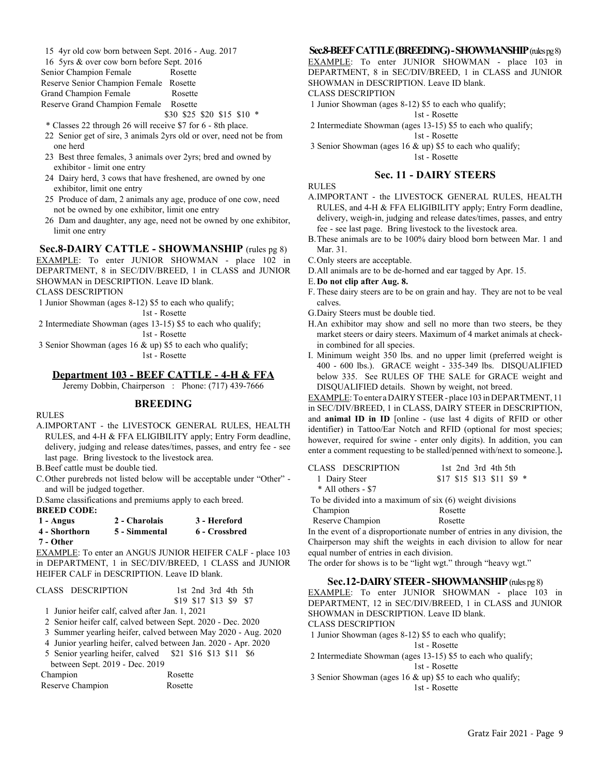15 4yr old cow born between Sept. 2016 - Aug. 2017

| 16 5yrs & over cow born before Sept. 2016 |                            |  |
|-------------------------------------------|----------------------------|--|
| Senior Champion Female                    | Rosette                    |  |
| Reserve Senior Champion Female Rosette    |                            |  |
| Grand Champion Female                     | Rosette                    |  |
| Reserve Grand Champion Female Rosette     |                            |  |
|                                           | \$30 \$25 \$20 \$15 \$10 * |  |

- \* Classes 22 through 26 will receive \$7 for 6 8th place.
- 22 Senior get of sire, 3 animals 2yrs old or over, need not be from one herd
- 23 Best three females, 3 animals over 2yrs; bred and owned by exhibitor - limit one entry
- 24 Dairy herd, 3 cows that have freshened, are owned by one exhibitor, limit one entry
- 25 Produce of dam, 2 animals any age, produce of one cow, need not be owned by one exhibitor, limit one entry
- 26 Dam and daughter, any age, need not be owned by one exhibitor, limit one entry

# **Sec.8-DAIRY CATTLE - SHOWMANSHIP** (rules pg 8)

EXAMPLE: To enter JUNIOR SHOWMAN - place 102 in DEPARTMENT, 8 in SEC/DIV/BREED, 1 in CLASS and JUNIOR SHOWMAN in DESCRIPTION. Leave ID blank.

CLASS DESCRIPTION

1 Junior Showman (ages 8-12) \$5 to each who qualify;

1st - Rosette

2 Intermediate Showman (ages 13-15) \$5 to each who qualify;

1st - Rosette

 3 Senior Showman (ages 16 & up) \$5 to each who qualify; 1st - Rosette

#### **Department 103 - BEEF CATTLE - 4-H & FFA**

Jeremy Dobbin, Chairperson : Phone: (717) 439-7666

#### **BREEDING**

RULES

A.IMPORTANT - the LIVESTOCK GENERAL RULES, HEALTH RULES, and 4-H & FFA ELIGIBILITY apply; Entry Form deadline, delivery, judging and release dates/times, passes, and entry fee - see last page. Bring livestock to the livestock area.

B.Beef cattle must be double tied.

C.Other purebreds not listed below will be acceptable under "Other" and will be judged together.

D.Same classifications and premiums apply to each breed.

#### **BREED CODE:**

| 1 - Angus     | 2 - Charolais | 3 - Hereford  |
|---------------|---------------|---------------|
| 4 - Shorthorn | 5 - Simmental | 6 - Crossbred |
| 7 - Other     |               |               |

EXAMPLE: To enter an ANGUS JUNIOR HEIFER CALF - place 103 in DEPARTMENT, 1 in SEC/DIV/BREED, 1 CLASS and JUNIOR HEIFER CALF in DESCRIPTION. Leave ID blank.

| CLASS DESCRIPTION                                              | 1st 2nd 3rd 4th 5th                                           |
|----------------------------------------------------------------|---------------------------------------------------------------|
|                                                                | \$19 \$17 \$13 \$9 \$7                                        |
| 1 Junior heifer calf, calved after Jan. 1, 2021                |                                                               |
| 2 Senior heifer calf, calved between Sept. 2020 - Dec. 2020    |                                                               |
|                                                                | 3 Summer yearling heifer, calved between May 2020 - Aug. 2020 |
| 4 Junior yearling heifer, calved between Jan. 2020 - Apr. 2020 |                                                               |
| 5 Senior yearling heifer, calved \$21 \$16 \$13 \$11 \$6       |                                                               |
| between Sept. 2019 - Dec. 2019                                 |                                                               |
| Champion                                                       | Rosette                                                       |
| Reserve Champion                                               | Rosette                                                       |

#### **Sec.8-BEEF CATTLE (BREEDING) - SHOWMANSHIP** (rules pg 8)

EXAMPLE: To enter JUNIOR SHOWMAN - place 103 in DEPARTMENT, 8 in SEC/DIV/BREED, 1 in CLASS and JUNIOR SHOWMAN in DESCRIPTION. Leave ID blank.

CLASS DESCRIPTION

1 Junior Showman (ages 8-12) \$5 to each who qualify;

1st - Rosette

 2 Intermediate Showman (ages 13-15) \$5 to each who qualify; 1st - Rosette

3 Senior Showman (ages 16 & up) \$5 to each who qualify;

1st - Rosette

#### **Sec. 11 - DAIRY STEERS**

RULES

- A.IMPORTANT the LIVESTOCK GENERAL RULES, HEALTH RULES, and 4-H & FFA ELIGIBILITY apply; Entry Form deadline, delivery, weigh-in, judging and release dates/times, passes, and entry fee - see last page. Bring livestock to the livestock area.
- B.These animals are to be 100% dairy blood born between Mar. 1 and Mar. 31.

C.Only steers are acceptable.

D.All animals are to be de-horned and ear tagged by Apr. 15.

#### E.**Do not clip after Aug. 8.**

- F. These dairy steers are to be on grain and hay. They are not to be veal calves.
- G.Dairy Steers must be double tied.
- H.An exhibitor may show and sell no more than two steers, be they market steers or dairy steers. Maximum of 4 market animals at checkin combined for all species.
- I. Minimum weight 350 lbs. and no upper limit (preferred weight is 400 - 600 lbs.). GRACE weight - 335-349 lbs. DISQUALIFIED below 335. See RULES OF THE SALE for GRACE weight and DISQUALIFIED details. Shown by weight, not breed.

EXAMPLE: To enter a DAIRY STEER - place 103 in DEPARTMENT, 11 in SEC/DIV/BREED, 1 in CLASS, DAIRY STEER in DESCRIPTION, and **animal ID in ID** [online - (use last 4 digits of RFID or other identifier) in Tattoo/Ear Notch and RFID (optional for most species; however, required for swine - enter only digits). In addition, you can enter a comment requesting to be stalled/penned with/next to someone.]**.**

| CLASS DESCRIPTION                                         | 1st $2nd$ 3rd $4th$ 5th    |
|-----------------------------------------------------------|----------------------------|
| 1 Dairy Steer                                             | $$17$ \$15 \$13 \$11 \$9 * |
| * All others - \$7                                        |                            |
| To be divided into a maximum of $six(6)$ weight divisions |                            |
| Champion                                                  | Rosette                    |
| Reserve Champion                                          | Rosette                    |

In the event of a disproportionate number of entries in any division, the Chairperson may shift the weights in each division to allow for near equal number of entries in each division.

The order for shows is to be "light wgt." through "heavy wgt."

#### **Sec.12-DAIRY STEER - SHOWMANSHIP** (rules pg 8)

EXAMPLE: To enter JUNIOR SHOWMAN - place 103 in DEPARTMENT, 12 in SEC/DIV/BREED, 1 in CLASS and JUNIOR SHOWMAN in DESCRIPTION. Leave ID blank.

# CLASS DESCRIPTION

1 Junior Showman (ages 8-12) \$5 to each who qualify;

1st - Rosette

- 2 Intermediate Showman (ages 13-15) \$5 to each who qualify;
- 1st Rosette 3 Senior Showman (ages 16 & up) \$5 to each who qualify;

1st - Rosette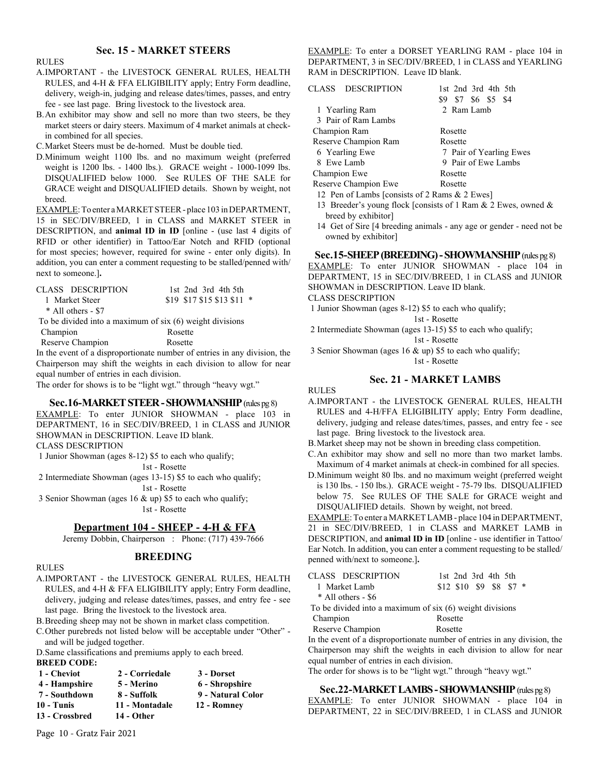# **Sec. 15 - MARKET STEERS**

#### RULES

- A.IMPORTANT the LIVESTOCK GENERAL RULES, HEALTH RULES, and 4-H & FFA ELIGIBILITY apply; Entry Form deadline, delivery, weigh-in, judging and release dates/times, passes, and entry fee - see last page. Bring livestock to the livestock area.
- B.An exhibitor may show and sell no more than two steers, be they market steers or dairy steers. Maximum of 4 market animals at checkin combined for all species.

C.Market Steers must be de-horned. Must be double tied.

D.Minimum weight 1100 lbs. and no maximum weight (preferred weight is 1200 lbs. - 1400 lbs.). GRACE weight - 1000-1099 lbs. DISQUALIFIED below 1000. See RULES OF THE SALE for GRACE weight and DISQUALIFIED details. Shown by weight, not breed.

EXAMPLE: To enter a MARKET STEER - place 103 in DEPARTMENT, 15 in SEC/DIV/BREED, 1 in CLASS and MARKET STEER in DESCRIPTION, and **animal ID in ID** [online - (use last 4 digits of RFID or other identifier) in Tattoo/Ear Notch and RFID (optional for most species; however, required for swine - enter only digits). In addition, you can enter a comment requesting to be stalled/penned with/ next to someone.]**.**

| CLASS DESCRIPTION                                         | 1st $2nd$ 3rd $4th$ 5th    |
|-----------------------------------------------------------|----------------------------|
| 1 Market Steer                                            | \$19 \$17 \$15 \$13 \$11 * |
| $*$ All others - \$7                                      |                            |
| To be divided into a maximum of $six(6)$ weight divisions |                            |
| Champion                                                  | Rosette                    |
| Reserve Champion                                          | Rosette                    |

In the event of a disproportionate number of entries in any division, the Chairperson may shift the weights in each division to allow for near equal number of entries in each division.

The order for shows is to be "light wgt." through "heavy wgt."

#### **Sec.16-MARKET STEER - SHOWMANSHIP** (rules pg 8)

EXAMPLE: To enter JUNIOR SHOWMAN - place 103 in DEPARTMENT, 16 in SEC/DIV/BREED, 1 in CLASS and JUNIOR SHOWMAN in DESCRIPTION. Leave ID blank. CLASS DESCRIPTION

1 Junior Showman (ages 8-12) \$5 to each who qualify;

1st - Rosette

 2 Intermediate Showman (ages 13-15) \$5 to each who qualify; 1st - Rosette

 3 Senior Showman (ages 16 & up) \$5 to each who qualify; 1st - Rosette

#### **Department 104 - SHEEP - 4-H & FFA**

Jeremy Dobbin, Chairperson : Phone: (717) 439-7666

#### **BREEDING**

#### RULES

- A.IMPORTANT the LIVESTOCK GENERAL RULES, HEALTH RULES, and 4-H & FFA ELIGIBILITY apply; Entry Form deadline, delivery, judging and release dates/times, passes, and entry fee - see last page. Bring the livestock to the livestock area.
- B.Breeding sheep may not be shown in market class competition.
- C.Other purebreds not listed below will be acceptable under "Other" and will be judged together.

D.Same classifications and premiums apply to each breed. **BREED CODE:**

| BKEED COD.           |  |
|----------------------|--|
| $\sim$ $\sim$ $\sim$ |  |

| 1 - Cheviot    | 2 - Corriedale | 3 - Dorset        |
|----------------|----------------|-------------------|
| 4 - Hampshire  | 5 - Merino     | 6 - Shropshire    |
| 7 - Southdown  | 8 - Suffolk    | 9 - Natural Color |
| 10 - Tunis     | 11 - Montadale | 12 - Romney       |
| 13 - Crossbred | 14 - Other     |                   |

Page 10 - Gratz Fair 2021

EXAMPLE: To enter a DORSET YEARLING RAM - place 104 in DEPARTMENT, 3 in SEC/DIV/BREED, 1 in CLASS and YEARLING RAM in DESCRIPTION. Leave ID blank.

| CLASS DESCRIPTION                                | 1st 2nd 3rd 4th 5th<br>\$9 \$7 \$6 \$5 \$4 |
|--------------------------------------------------|--------------------------------------------|
| 1 Yearling Ram                                   | 2 Ram Lamb                                 |
| 3 Pair of Ram Lambs                              |                                            |
| Champion Ram                                     | Rosette                                    |
| Reserve Champion Ram                             | Rosette                                    |
| 6 Yearling Ewe                                   | 7 Pair of Yearling Ewes                    |
| 8 Ewe Lamb                                       | 9 Pair of Ewe Lambs                        |
| Champion Ewe                                     | Rosette                                    |
| Reserve Champion Ewe                             | Rosette                                    |
| 12. Pen of Lambs Leonsists of 2 Rams $&$ 2 Ewes] |                                            |

- 12 Pen of Lambs [consists of 2 Rams & 2 Ewes]
- 13 Breeder's young flock [consists of 1 Ram & 2 Ewes, owned & breed by exhibitor]
- 14 Get of Sire [4 breeding animals any age or gender need not be owned by exhibitor]

#### **Sec.15-SHEEP (BREEDING) - SHOWMANSHIP** (rules pg 8)

EXAMPLE: To enter JUNIOR SHOWMAN - place 104 in DEPARTMENT, 15 in SEC/DIV/BREED, 1 in CLASS and JUNIOR SHOWMAN in DESCRIPTION. Leave ID blank.

### CLASS DESCRIPTION

1 Junior Showman (ages 8-12) \$5 to each who qualify;

 1st - Rosette 2 Intermediate Showman (ages 13-15) \$5 to each who qualify; 1st - Rosette

 3 Senior Showman (ages 16 & up) \$5 to each who qualify; 1st - Rosette

#### **Sec. 21 - MARKET LAMBS**

RULES

- A.IMPORTANT the LIVESTOCK GENERAL RULES, HEALTH RULES and 4-H/FFA ELIGIBILITY apply; Entry Form deadline, delivery, judging and release dates/times, passes, and entry fee - see last page. Bring livestock to the livestock area.
- B.Market sheep may not be shown in breeding class competition.
- C.An exhibitor may show and sell no more than two market lambs. Maximum of 4 market animals at check-in combined for all species.
- D.Minimum weight 80 lbs. and no maximum weight (preferred weight is 130 lbs. - 150 lbs.). GRACE weight - 75-79 lbs. DISQUALIFIED below 75. See RULES OF THE SALE for GRACE weight and DISQUALIFIED details. Shown by weight, not breed.

EXAMPLE: To enter a MARKET LAMB - place 104 in DEPARTMENT, 21 in SEC/DIV/BREED, 1 in CLASS and MARKET LAMB in DESCRIPTION, and **animal ID in ID** [online - use identifier in Tattoo/ Ear Notch. In addition, you can enter a comment requesting to be stalled/ penned with/next to someone.]**.**

| CLASS DESCRIPTION                                         | 1st 2nd 3rd 4th 5th      |
|-----------------------------------------------------------|--------------------------|
| 1 Market Lamb                                             | $$12$ \$10 \$9 \$8 \$7 * |
| $*$ All others - \$6                                      |                          |
| To be divided into a maximum of $six(6)$ weight divisions |                          |
| Champion                                                  | Rosette                  |
| Reserve Champion                                          | Rosette                  |

In the event of a disproportionate number of entries in any division, the Chairperson may shift the weights in each division to allow for near equal number of entries in each division.

The order for shows is to be "light wgt." through "heavy wgt."

#### **Sec.22-MARKET LAMBS - SHOWMANSHIP** (rules pg 8)

EXAMPLE: To enter JUNIOR SHOWMAN - place 104 in DEPARTMENT, 22 in SEC/DIV/BREED, 1 in CLASS and JUNIOR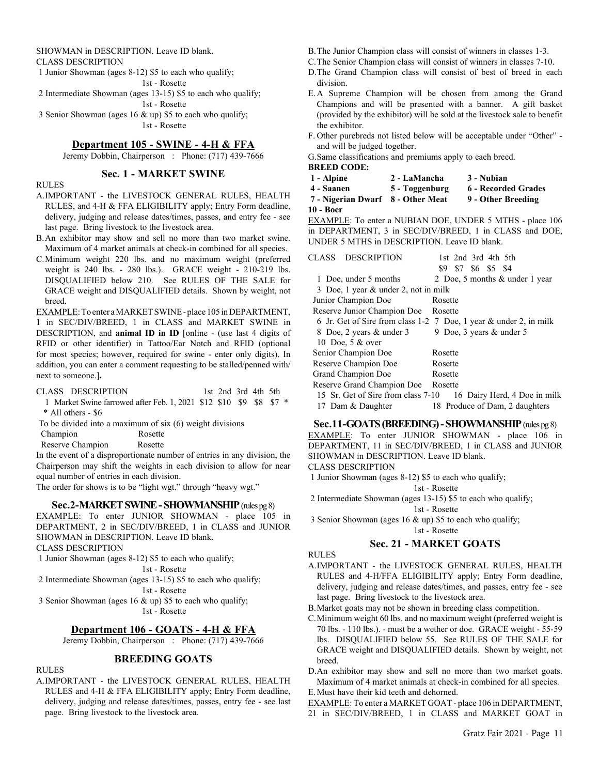#### SHOWMAN in DESCRIPTION. Leave ID blank. CLASS DESCRIPTION

 1 Junior Showman (ages 8-12) \$5 to each who qualify; 1st - Rosette 2 Intermediate Showman (ages 13-15) \$5 to each who qualify;

1st - Rosette

 3 Senior Showman (ages 16 & up) \$5 to each who qualify; 1st - Rosette

# **Department 105 - SWINE - 4-H & FFA**

Jeremy Dobbin, Chairperson : Phone: (717) 439-7666

## **Sec. 1 - MARKET SWINE**

#### RULES

- A.IMPORTANT the LIVESTOCK GENERAL RULES, HEALTH RULES, and 4-H & FFA ELIGIBILITY apply; Entry Form deadline, delivery, judging and release dates/times, passes, and entry fee - see last page. Bring livestock to the livestock area.
- B.An exhibitor may show and sell no more than two market swine. Maximum of 4 market animals at check-in combined for all species.
- C.Minimum weight 220 lbs. and no maximum weight (preferred weight is 240 lbs. - 280 lbs.). GRACE weight - 210-219 lbs. DISQUALIFIED below 210. See RULES OF THE SALE for GRACE weight and DISQUALIFIED details. Shown by weight, not breed.

EXAMPLE: To enter a MARKET SWINE - place 105 in DEPARTMENT, 1 in SEC/DIV/BREED, 1 in CLASS and MARKET SWINE in DESCRIPTION, and **animal ID in ID** [online - (use last 4 digits of RFID or other identifier) in Tattoo/Ear Notch and RFID (optional for most species; however, required for swine - enter only digits). In addition, you can enter a comment requesting to be stalled/penned with/ next to someone.]**.**

CLASS DESCRIPTION 1st 2nd 3rd 4th 5th

1 Market Swine farrowed after Feb. 1, 2021 \$12 \$10 \$9 \$8 \$7 \* \* All others - \$6

To be divided into a maximum of six (6) weight divisions

Champion Rosette

Reserve Champion Rosette

In the event of a disproportionate number of entries in any division, the Chairperson may shift the weights in each division to allow for near equal number of entries in each division.

The order for shows is to be "light wgt." through "heavy wgt."

#### **Sec.2-MARKET SWINE - SHOWMANSHIP** (rules pg 8)

EXAMPLE: To enter JUNIOR SHOWMAN - place 105 in DEPARTMENT, 2 in SEC/DIV/BREED, 1 in CLASS and JUNIOR SHOWMAN in DESCRIPTION. Leave ID blank.

CLASS DESCRIPTION

RULES

1 Junior Showman (ages 8-12) \$5 to each who qualify;

1st - Rosette

2 Intermediate Showman (ages 13-15) \$5 to each who qualify;

1st - Rosette

 3 Senior Showman (ages 16 & up) \$5 to each who qualify; 1st - Rosette

#### **Department 106 - GOATS - 4-H & FFA**

Jeremy Dobbin, Chairperson : Phone: (717) 439-7666

#### **BREEDING GOATS**

A.IMPORTANT - the LIVESTOCK GENERAL RULES, HEALTH RULES and 4-H & FFA ELIGIBILITY apply; Entry Form deadline, delivery, judging and release dates/times, passes, entry fee - see last page. Bring livestock to the livestock area.

- B.The Junior Champion class will consist of winners in classes 1-3.
- C.The Senior Champion class will consist of winners in classes 7-10.
- D.The Grand Champion class will consist of best of breed in each division.
- E.A Supreme Champion will be chosen from among the Grand Champions and will be presented with a banner. A gift basket (provided by the exhibitor) will be sold at the livestock sale to benefit the exhibitor.
- F. Other purebreds not listed below will be acceptable under "Other" and will be judged together.

G.Same classifications and premiums apply to each breed. **BREED CODE:**

- **1 Alpine 2 LaMancha 3 Nubian**
- **4 Saanen 5 Toggenburg 6 Recorded Grades**
- **7 Nigerian Dwarf 8 Other Meat 9 Other Breeding**

**10 - Boer**

EXAMPLE: To enter a NUBIAN DOE, UNDER 5 MTHS - place 106 in DEPARTMENT, 3 in SEC/DIV/BREED, 1 in CLASS and DOE, UNDER 5 MTHS in DESCRIPTION. Leave ID blank.

| CLASS DESCRIPTION                    | 1st 2nd 3rd 4th 5th                                               |
|--------------------------------------|-------------------------------------------------------------------|
|                                      | \$7 \$6 \$5 \$4<br>\$9.                                           |
| 1 Doe, under 5 months                | 2 Doe, 5 months & under 1 year                                    |
| 3 Doe, 1 year & under 2, not in milk |                                                                   |
| Junior Champion Doe                  | Rosette                                                           |
| Reserve Junior Champion Doe          | Rosette                                                           |
|                                      | 6 Jr. Get of Sire from class 1-2 7 Doe, 1 year & under 2, in milk |
| 8 Doe, 2 years & under 3             | 9 Doe, 3 years & under 5                                          |
| 10 Doe, 5 & over                     |                                                                   |
| Senior Champion Doe                  | Rosette                                                           |
| Reserve Champion Doe                 | Rosette                                                           |
| Grand Champion Doe                   | Rosette                                                           |
| Reserve Grand Champion Doe           | Rosette                                                           |
| 15 Sr. Get of Sire from class 7-10   | 16 Dairy Herd, 4 Doe in milk                                      |
| 17 Dam & Daughter                    | 18 Produce of Dam, 2 daughters                                    |

# **Sec.11-GOATS (BREEDING) - SHOWMANSHIP** (rules pg 8)

EXAMPLE: To enter JUNIOR SHOWMAN - place 106 in DEPARTMENT, 11 in SEC/DIV/BREED, 1 in CLASS and JUNIOR SHOWMAN in DESCRIPTION. Leave ID blank.

CLASS DESCRIPTION

1 Junior Showman (ages 8-12) \$5 to each who qualify;

1st - Rosette

2 Intermediate Showman (ages 13-15) \$5 to each who qualify;

1st - Rosette

3 Senior Showman (ages 16 & up) \$5 to each who qualify;

1st - Rosette

# **Sec. 21 - MARKET GOATS**

#### RULES

- A.IMPORTANT the LIVESTOCK GENERAL RULES, HEALTH RULES and 4-H/FFA ELIGIBILITY apply; Entry Form deadline, delivery, judging and release dates/times, and passes, entry fee - see last page. Bring livestock to the livestock area.
- B.Market goats may not be shown in breeding class competition.
- C.Minimum weight 60 lbs. and no maximum weight (preferred weight is 70 lbs. - 110 lbs.). - must be a wether or doe. GRACE weight - 55-59 lbs. DISQUALIFIED below 55. See RULES OF THE SALE for GRACE weight and DISQUALIFIED details. Shown by weight, not breed.

D.An exhibitor may show and sell no more than two market goats. Maximum of 4 market animals at check-in combined for all species. E.Must have their kid teeth and dehorned.

EXAMPLE: To enter a MARKET GOAT - place 106 in DEPARTMENT,

21 in SEC/DIV/BREED, 1 in CLASS and MARKET GOAT in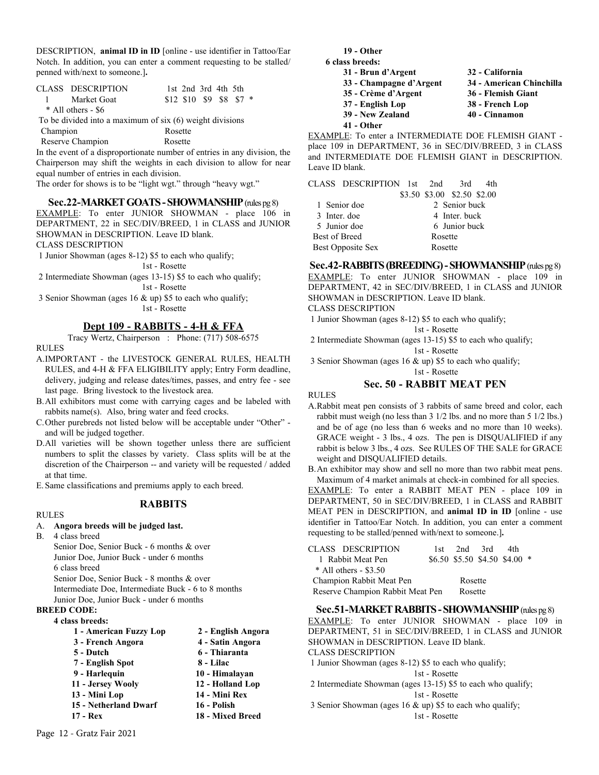DESCRIPTION, **animal ID in ID** [online - use identifier in Tattoo/Ear Notch. In addition, you can enter a comment requesting to be stalled/ penned with/next to someone.]**.**

| CLASS DESCRIPTION                                         | 1st 2nd 3rd 4th 5th        |  |  |  |
|-----------------------------------------------------------|----------------------------|--|--|--|
| 1 Market Goat                                             | $$12$ \$10 \$9 \$8 \$7 $*$ |  |  |  |
| $*$ All others - \$6                                      |                            |  |  |  |
| To be divided into a maximum of $six(6)$ weight divisions |                            |  |  |  |
|                                                           |                            |  |  |  |

 Champion Rosette Reserve Champion Rosette

In the event of a disproportionate number of entries in any division, the Chairperson may shift the weights in each division to allow for near equal number of entries in each division.

The order for shows is to be "light wgt." through "heavy wgt."

#### **Sec.22-MARKET GOATS - SHOWMANSHIP** (rules pg 8)

EXAMPLE: To enter JUNIOR SHOWMAN - place 106 in DEPARTMENT, 22 in SEC/DIV/BREED, 1 in CLASS and JUNIOR SHOWMAN in DESCRIPTION. Leave ID blank.

CLASS DESCRIPTION

1 Junior Showman (ages 8-12) \$5 to each who qualify;

1st - Rosette

 2 Intermediate Showman (ages 13-15) \$5 to each who qualify; 1st - Rosette

 3 Senior Showman (ages 16 & up) \$5 to each who qualify; 1st - Rosette

# **Dept 109 - RABBITS - 4-H & FFA**

Tracy Wertz, Chairperson : Phone: (717) 508-6575 RULES

- A.IMPORTANT the LIVESTOCK GENERAL RULES, HEALTH RULES, and 4-H & FFA ELIGIBILITY apply; Entry Form deadline, delivery, judging and release dates/times, passes, and entry fee - see last page. Bring livestock to the livestock area.
- B.All exhibitors must come with carrying cages and be labeled with rabbits name(s). Also, bring water and feed crocks.
- C.Other purebreds not listed below will be acceptable under "Other" and will be judged together.
- D.All varieties will be shown together unless there are sufficient numbers to split the classes by variety. Class splits will be at the discretion of the Chairperson -- and variety will be requested / added at that time.

E.Same classifications and premiums apply to each breed.

# **RABBITS**

#### RULES

# A. **Angora breeds will be judged last.**

B. 4 class breed

Senior Doe, Senior Buck - 6 months & over Junior Doe, Junior Buck - under 6 months 6 class breed Senior Doe, Senior Buck - 8 months & over Intermediate Doe, Intermediate Buck - 6 to 8 months

Junior Doe, Junior Buck - under 6 months

# **BREED CODE:**

**4 class breeds:**

| 1 - American Fuzzy Lop | 2 - English Angora |
|------------------------|--------------------|
| 3 - French Angora      | 4 - Satin Angora   |
| 5 - Dutch              | 6 - Thiaranta      |

- **7 English Spot 8 Lilac**
- **9 Harlequin 10 Himalayan**
- **11 Jersey Wooly 12 Holland Lop**
- **13 Mini Lop 14 Mini Rex**
- **15 Netherland Dwarf 16 Polish**
- **17 Rex 18 Mixed Breed**

**19 - Other** 

- **6 class breeds: 31 - Brun d'Argent 32 - California**
	- **33 Champagne d'Argent 34 American Chinchilla 35 - Crème d'Argent 36 - Flemish Giant 37 - English Lop 38 - French Lop 39 - New Zealand 40 - Cinnamon**
		-
		-
	- **41 Other**

EXAMPLE: To enter a INTERMEDIATE DOE FLEMISH GIANT place 109 in DEPARTMENT, 36 in SEC/DIV/BREED, 3 in CLASS and INTERMEDIATE DOE FLEMISH GIANT in DESCRIPTION. Leave ID blank.

|                      | CLASS DESCRIPTION 1st 2nd |                             | 3rd           | 4th |
|----------------------|---------------------------|-----------------------------|---------------|-----|
|                      |                           | \$3.50 \$3.00 \$2.50 \$2.00 |               |     |
|                      | 1 Senior doe              |                             | 2 Senior buck |     |
| 3 Inter, doe         |                           |                             | 4 Inter, buck |     |
|                      | 5 Junior doe              |                             | 6 Junior buck |     |
| <b>Best of Breed</b> |                           | Rosette                     |               |     |
|                      | Best Opposite Sex         | Rosette                     |               |     |

**Sec.42-RABBITS (BREEDING) - SHOWMANSHIP** (rules pg 8) EXAMPLE: To enter JUNIOR SHOWMAN - place 109 in DEPARTMENT, 42 in SEC/DIV/BREED, 1 in CLASS and JUNIOR SHOWMAN in DESCRIPTION. Leave ID blank.

CLASS DESCRIPTION

1 Junior Showman (ages 8-12) \$5 to each who qualify;

1st - Rosette

2 Intermediate Showman (ages 13-15) \$5 to each who qualify;

1st - Rosette

 3 Senior Showman (ages 16 & up) \$5 to each who qualify; 1st - Rosette

**Sec. 50 - RABBIT MEAT PEN** 

RULES

A.Rabbit meat pen consists of 3 rabbits of same breed and color, each rabbit must weigh (no less than 3 1/2 lbs. and no more than 5 1/2 lbs.) and be of age (no less than 6 weeks and no more than 10 weeks). GRACE weight - 3 lbs., 4 ozs. The pen is DISQUALIFIED if any rabbit is below 3 lbs., 4 ozs. See RULES OF THE SALE for GRACE weight and DISQUALIFIED details.

B.An exhibitor may show and sell no more than two rabbit meat pens. Maximum of 4 market animals at check-in combined for all species. EXAMPLE: To enter a RABBIT MEAT PEN - place 109 in DEPARTMENT, 50 in SEC/DIV/BREED, 1 in CLASS and RABBIT MEAT PEN in DESCRIPTION, and **animal ID in ID** [online - use identifier in Tattoo/Ear Notch. In addition, you can enter a comment requesting to be stalled/penned with/next to someone.]**.**

| CLASS DESCRIPTION                | 1st. |         | $2nd$ 3rd                        | 4th |  |
|----------------------------------|------|---------|----------------------------------|-----|--|
| 1 Rabbit Meat Pen                |      |         | $$6.50$ \$5.50 \$4.50 \$4.00 $*$ |     |  |
| $*$ All others - \$3.50          |      |         |                                  |     |  |
| Champion Rabbit Meat Pen         |      | Rosette |                                  |     |  |
| Reserve Champion Rabbit Meat Pen |      | Rosette |                                  |     |  |

**Sec.51-MARKET RABBITS - SHOWMANSHIP** (rules pg 8)

EXAMPLE: To enter JUNIOR SHOWMAN - place 109 in DEPARTMENT, 51 in SEC/DIV/BREED, 1 in CLASS and JUNIOR SHOWMAN in DESCRIPTION. Leave ID blank.

CLASS DESCRIPTION

- 1 Junior Showman (ages 8-12) \$5 to each who qualify;
- 1st Rosette 2 Intermediate Showman (ages 13-15) \$5 to each who qualify;

1st - Rosette

 3 Senior Showman (ages 16 & up) \$5 to each who qualify; 1st - Rosette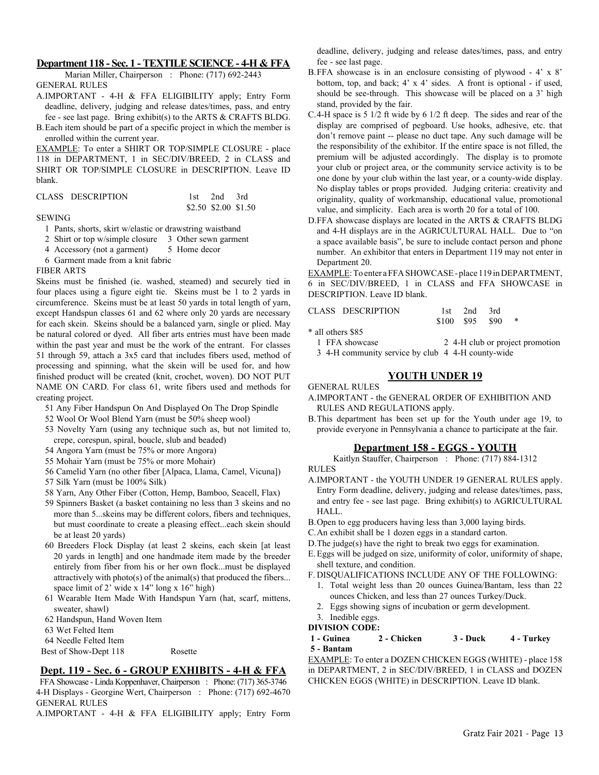#### **Department 118 - Sec. 1 - TEXTILE SCIENCE - 4-H & FFA**

Marian Miller, Chairperson : Phone: (717) 692-2443 GENERAL RULES

- A.IMPORTANT 4-H & FFA ELIGIBILITY apply; Entry Form deadline, delivery, judging and release dates/times, pass, and entry fee - see last page. Bring exhibit(s) to the ARTS & CRAFTS BLDG.
- B.Each item should be part of a specific project in which the member is enrolled within the current year.

EXAMPLE: To enter a SHIRT OR TOP/SIMPLE CLOSURE - place 118 in DEPARTMENT, 1 in SEC/DIV/BREED, 2 in CLASS and SHIRT OR TOP/SIMPLE CLOSURE in DESCRIPTION. Leave ID blank.

| CLASS DESCRIPTION | 1st 2nd 3rd          |  |
|-------------------|----------------------|--|
|                   | \$2.50 \$2.00 \$1.50 |  |

#### **SEWING**

- 1 Pants, shorts, skirt w/elastic or drawstring waistband
- 2 Shirt or top w/simple closure 3 Other sewn garment
- 4 Accessory (not a garment) 5 Home decor
- 6 Garment made from a knit fabric

FIBER ARTS

Skeins must be finished (ie. washed, steamed) and securely tied in four places using a figure eight tie. Skeins must be 1 to 2 yards in circumference. Skeins must be at least 50 yards in total length of yarn, except Handspun classes 61 and 62 where only 20 yards are necessary for each skein. Skeins should be a balanced yarn, single or plied. May be natural colored or dyed. All fiber arts entries must have been made within the past year and must be the work of the entrant. For classes 51 through 59, attach a 3x5 card that includes fibers used, method of processing and spinning, what the skein will be used for, and how finished product will be created (knit, crochet, woven). DO NOT PUT NAME ON CARD. For class 61, write fibers used and methods for creating project.

- 51 Any Fiber Handspun On And Displayed On The Drop Spindle
- 52 Wool Or Wool Blend Yarn (must be 50% sheep wool)
- 53 Novelty Yarn (using any technique such as, but not limited to, crepe, corespun, spiral, boucle, slub and beaded)
- 54 Angora Yarn (must be 75% or more Angora)
- 55 Mohair Yarn (must be 75% or more Mohair)
- 56 Camelid Yarn (no other fiber [Alpaca, Llama, Camel, Vicuna])
- 57 Silk Yarn (must be 100% Silk)
- 58 Yarn, Any Other Fiber (Cotton, Hemp, Bamboo, Seacell, Flax)
- 59 Spinners Basket (a basket containing no less than 3 skeins and no more than 5...skeins may be different colors, fibers and techniques, but must coordinate to create a pleasing effect...each skein should be at least 20 yards)
- 60 Breeders Flock Display (at least 2 skeins, each skein [at least 20 yards in length] and one handmade item made by the breeder entirely from fiber from his or her own flock...must be displayed attractively with photo(s) of the animal(s) that produced the fibers... space limit of 2' wide x 14" long x 16" high)
- 61 Wearable Item Made With Handspun Yarn (hat, scarf, mittens, sweater, shawl)

62 Handspun, Hand Woven Item

63 Wet Felted Item

64 Needle Felted Item

Best of Show-Dept 118 Rosette

#### **Dept. 119 - Sec. 6 - GROUP EXHIBITS - 4-H & FFA**

FFA Showcase - Linda Koppenhaver, Chairperson : Phone: (717) 365-3746 4-H Displays - Georgine Wert, Chairperson : Phone: (717) 692-4670 GENERAL RULES

A.IMPORTANT - 4-H & FFA ELIGIBILITY apply; Entry Form

deadline, delivery, judging and release dates/times, pass, and entry fee - see last page.

- B.FFA showcase is in an enclosure consisting of plywood 4' x 8' bottom, top, and back; 4' x 4' sides. A front is optional - if used, should be see-through. This showcase will be placed on a 3' high stand, provided by the fair.
- C.4-H space is 5 1/2 ft wide by 6 1/2 ft deep. The sides and rear of the display are comprised of pegboard. Use hooks, adhesive, etc. that don't remove paint -- please no duct tape. Any such damage will be the responsibility of the exhibitor. If the entire space is not filled, the premium will be adjusted accordingly. The display is to promote your club or project area, or the community service activity is to be one done by your club within the last year, or a county-wide display. No display tables or props provided. Judging criteria: creativity and originality, quality of workmanship, educational value, promotional value, and simplicity. Each area is worth 20 for a total of 100.
- D.FFA showcase displays are located in the ARTS & CRAFTS BLDG and 4-H displays are in the AGRICULTURAL HALL. Due to "on a space available basis", be sure to include contact person and phone number. An exhibitor that enters in Department 119 may not enter in Department 20.

EXAMPLE: To enter a FFA SHOWCASE - place 119 in DEPARTMENT, 6 in SEC/DIV/BREED, 1 in CLASS and FFA SHOWCASE in DESCRIPTION. Leave ID blank.

| CLASS DESCRIPTION |                  | 1st 2nd 3rd |  |  |
|-------------------|------------------|-------------|--|--|
|                   | $$100$ \$95 \$90 |             |  |  |

\* all others \$85

- 1 FFA showcase 2 4-H club or project promotion
- 3 4-H community service by club 4 4-H county-wide

# **YOUTH UNDER 19**

#### GENERAL RULES

- A.IMPORTANT the GENERAL ORDER OF EXHIBITION AND RULES AND REGULATIONS apply.
- B.This department has been set up for the Youth under age 19, to provide everyone in Pennsylvania a chance to participate at the fair.

#### **Department 158 - EGGS - YOUTH**

Kaitlyn Stauffer, Chairperson : Phone: (717) 884-1312 RULES

- A.IMPORTANT the YOUTH UNDER 19 GENERAL RULES apply. Entry Form deadline, delivery, judging and release dates/times, pass, and entry fee - see last page. Bring exhibit(s) to AGRICULTURAL HALL.
- B.Open to egg producers having less than 3,000 laying birds.
- C.An exhibit shall be 1 dozen eggs in a standard carton.
- D.The judge(s) have the right to break two eggs for examination.
- E.Eggs will be judged on size, uniformity of color, uniformity of shape, shell texture, and condition.
- F. DISQUALIFICATIONS INCLUDE ANY OF THE FOLLOWING:
	- 1. Total weight less than 20 ounces Guinea/Bantam, less than 22 ounces Chicken, and less than 27 ounces Turkey/Duck.
	- 2. Eggs showing signs of incubation or germ development.
- 3. Inedible eggs.
- **DIVISION CODE:**

#### **1 - Guinea 2 - Chicken 3 - Duck 4 - Turkey 5 - Bantam**

EXAMPLE: To enter a DOZEN CHICKEN EGGS (WHITE) - place 158 in DEPARTMENT, 2 in SEC/DIV/BREED, 1 in CLASS and DOZEN CHICKEN EGGS (WHITE) in DESCRIPTION. Leave ID blank.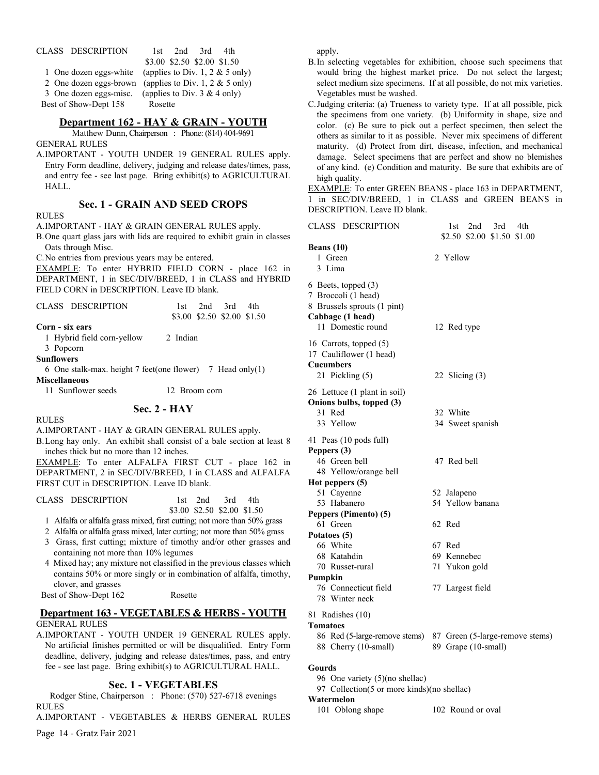| CLASS DESCRIPTION     | $2nd$ $3rd$<br>4th<br>1st.                             |
|-----------------------|--------------------------------------------------------|
|                       | \$3.00 \$2.50 \$2.00 \$1.50                            |
|                       | 1 One dozen eggs-white (applies to Div. 1, 2 & 5 only) |
|                       | 2 One dozen eggs-brown (applies to Div. 1, 2 & 5 only) |
|                       | 3 One dozen eggs-misc. (applies to Div. $3 \& 4$ only) |
| Best of Show-Dept 158 | Rosette                                                |

#### **Department 162 - HAY & GRAIN - YOUTH**

Matthew Dunn, Chairperson : Phone: (814) 404-9691 GENERAL RULES

A.IMPORTANT - YOUTH UNDER 19 GENERAL RULES apply. Entry Form deadline, delivery, judging and release dates/times, pass, and entry fee - see last page. Bring exhibit(s) to AGRICULTURAL HALL.

# **Sec. 1 - GRAIN AND SEED CROPS**

**RULES** 

A.IMPORTANT - HAY & GRAIN GENERAL RULES apply.

B.One quart glass jars with lids are required to exhibit grain in classes Oats through Misc.

C.No entries from previous years may be entered.

EXAMPLE: To enter HYBRID FIELD CORN - place 162 in DEPARTMENT, 1 in SEC/DIV/BREED, 1 in CLASS and HYBRID FIELD CORN in DESCRIPTION. Leave ID blank.

| CLASS DESCRIPTION                                         |                              | $1st$ 2nd 3rd | 4th                         |
|-----------------------------------------------------------|------------------------------|---------------|-----------------------------|
|                                                           |                              |               | \$3.00 \$2.50 \$2.00 \$1.50 |
| Corn - six ears                                           |                              |               |                             |
| 1 Hybrid field corn-yellow                                | 2 Indian                     |               |                             |
| 3 Popcorn                                                 |                              |               |                             |
| <b>Sunflowers</b>                                         |                              |               |                             |
| 6 One stalk-max. height 7 feet(one flower) 7 Head only(1) |                              |               |                             |
| <b>Miscellaneous</b>                                      |                              |               |                             |
| 11 0 0 1                                                  | $\mathbf{1} \cap \mathbf{D}$ |               |                             |

11 Sunflower seeds 12 Broom corn

#### **Sec. 2 - HAY**

RULES

A.IMPORTANT - HAY & GRAIN GENERAL RULES apply. B.Long hay only. An exhibit shall consist of a bale section at least 8

inches thick but no more than 12 inches.

EXAMPLE: To enter ALFALFA FIRST CUT - place 162 in DEPARTMENT, 2 in SEC/DIV/BREED, 1 in CLASS and ALFALFA FIRST CUT in DESCRIPTION. Leave ID blank.

| CLASS DESCRIPTION | 1st $2nd$ 3rd $4th$         |  |  |
|-------------------|-----------------------------|--|--|
|                   | \$3.00 \$2.50 \$2.00 \$1.50 |  |  |

1 Alfalfa or alfalfa grass mixed, first cutting; not more than 50% grass

2 Alfalfa or alfalfa grass mixed, later cutting; not more than 50% grass

- 3 Grass, first cutting; mixture of timothy and/or other grasses and containing not more than 10% legumes
- 4 Mixed hay; any mixture not classified in the previous classes which contains 50% or more singly or in combination of alfalfa, timothy, clover, and grasses

#### Best of Show-Dept 162 Rosette

#### **Department 163 - VEGETABLES & HERBS - YOUTH** GENERAL RULES

A.IMPORTANT - YOUTH UNDER 19 GENERAL RULES apply. No artificial finishes permitted or will be disqualified. Entry Form deadline, delivery, judging and release dates/times, pass, and entry fee - see last page. Bring exhibit(s) to AGRICULTURAL HALL.

#### **Sec. 1 - VEGETABLES**

Rodger Stine, Chairperson : Phone: (570) 527-6718 evenings RULES

A.IMPORTANT - VEGETABLES & HERBS GENERAL RULES

Page 14 - Gratz Fair 2021

apply.

- B.In selecting vegetables for exhibition, choose such specimens that would bring the highest market price. Do not select the largest; select medium size specimens. If at all possible, do not mix varieties. Vegetables must be washed.
- C.Judging criteria: (a) Trueness to variety type. If at all possible, pick the specimens from one variety. (b) Uniformity in shape, size and color. (c) Be sure to pick out a perfect specimen, then select the others as similar to it as possible. Never mix specimens of different maturity. (d) Protect from dirt, disease, infection, and mechanical damage. Select specimens that are perfect and show no blemishes of any kind. (e) Condition and maturity. Be sure that exhibits are of high quality.

EXAMPLE: To enter GREEN BEANS - place 163 in DEPARTMENT, 1 in SEC/DIV/BREED, 1 in CLASS and GREEN BEANS in DESCRIPTION. Leave ID blank.

| CLASS DESCRIPTION                                                                             | 2nd<br>3rd<br>1st<br>4th<br>\$2.50 \$2.00 \$1.50 \$1.00 |
|-----------------------------------------------------------------------------------------------|---------------------------------------------------------|
| Beans (10)                                                                                    |                                                         |
| 1 Green                                                                                       | 2 Yellow                                                |
| 3 Lima                                                                                        |                                                         |
| 6 Beets, topped (3)<br>7 Broccoli (1 head)<br>8 Brussels sprouts (1 pint)<br>Cabbage (1 head) |                                                         |
| 11 Domestic round                                                                             | 12 Red type                                             |
| 16 Carrots, topped (5)<br>17 Cauliflower (1 head)<br><b>Cucumbers</b><br>21 Pickling (5)      | 22 Slicing $(3)$                                        |
| 26 Lettuce (1 plant in soil)                                                                  |                                                         |
| Onions bulbs, topped (3)                                                                      |                                                         |
| 31 Red                                                                                        | 32 White                                                |
| 33 Yellow                                                                                     | 34 Sweet spanish                                        |
| 41 Peas (10 pods full)                                                                        |                                                         |
| Peppers (3)<br>46 Green bell                                                                  | 47 Red bell                                             |
| 48 Yellow/orange bell                                                                         |                                                         |
| Hot peppers (5)                                                                               |                                                         |
| 51 Cayenne                                                                                    | 52 Jalapeno                                             |
| 53 Habanero                                                                                   | 54 Yellow banana                                        |
| Peppers (Pimento) (5)                                                                         |                                                         |
| 61 Green                                                                                      | 62 Red                                                  |
| Potatoes (5)                                                                                  |                                                         |
| 66 White                                                                                      | 67 Red                                                  |
| 68 Katahdin                                                                                   | 69 Kennebec                                             |
| 70 Russet-rural                                                                               | 71 Yukon gold                                           |
| Pumpkin                                                                                       |                                                         |
| 76 Connecticut field<br>78 Winter neck                                                        | 77 Largest field                                        |
|                                                                                               |                                                         |
| 81 Radishes (10)                                                                              |                                                         |
| <b>Tomatoes</b>                                                                               |                                                         |
| 86 Red (5-large-remove stems)<br>88 Cherry (10-small)                                         | 87 Green (5-large-remove stems)<br>89 Grape (10-small)  |
|                                                                                               |                                                         |

# **Gourds**

- 96 One variety (5)(no shellac)
- 97 Collection(5 or more kinds)(no shellac)

# **Watermelon**

101 Oblong shape 102 Round or oval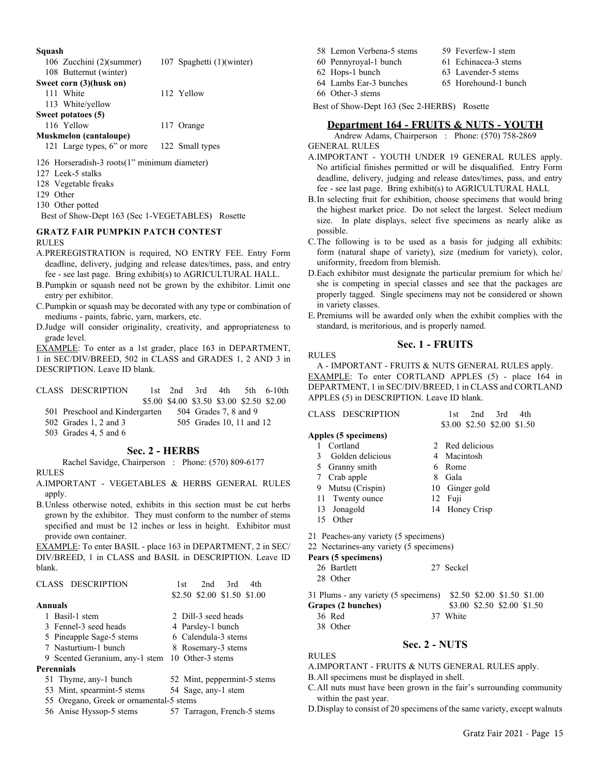#### **Squash**

| очиаэн                                       |                           |
|----------------------------------------------|---------------------------|
| 106 Zucchini (2)(summer)                     | 107 Spaghetti (1)(winter) |
| 108 Butternut (winter)                       |                           |
| Sweet corn (3)(husk on)                      |                           |
| 111 White                                    | 112 Yellow                |
| 113 White/yellow                             |                           |
| Sweet potatoes (5)                           |                           |
| 116 Yellow                                   | 117 Orange                |
| Muskmelon (cantaloupe)                       |                           |
| 121 Large types, 6" or more                  | 122 Small types           |
| 126 Horseradish-3 roots(1" minimum diameter) |                           |
| 127 Leek-5 stalks                            |                           |
| 128 Vegetable freaks                         |                           |
|                                              |                           |

129 Other

130 Other potted

Best of Show-Dept 163 (Sec 1-VEGETABLES) Rosette

#### **GRATZ FAIR PUMPKIN PATCH CONTEST** RULES

- A.PREREGISTRATION is required, NO ENTRY FEE. Entry Form deadline, delivery, judging and release dates/times, pass, and entry fee - see last page. Bring exhibit(s) to AGRICULTURAL HALL.
- B.Pumpkin or squash need not be grown by the exhibitor. Limit one entry per exhibitor.
- C.Pumpkin or squash may be decorated with any type or combination of mediums - paints, fabric, yarn, markers, etc.
- D.Judge will consider originality, creativity, and appropriateness to grade level.

EXAMPLE: To enter as a 1st grader, place 163 in DEPARTMENT, 1 in SEC/DIV/BREED, 502 in CLASS and GRADES 1, 2 AND 3 in DESCRIPTION. Leave ID blank.

| CLASS DESCRIPTION                                   |                |                                           |                       |                          | 1st $2nd$ 3rd $4th$ 5th $6-10th$ |
|-----------------------------------------------------|----------------|-------------------------------------------|-----------------------|--------------------------|----------------------------------|
|                                                     |                | \$5.00 \$4.00 \$3.50 \$3.00 \$2.50 \$2.00 |                       |                          |                                  |
| 501 Preschool and Kindergarten                      |                |                                           | 504 Grades 7, 8 and 9 |                          |                                  |
| 502 Grades 1, 2 and 3                               |                |                                           |                       | 505 Grades 10, 11 and 12 |                                  |
| 503 Grades 4, 5 and 6                               |                |                                           |                       |                          |                                  |
|                                                     | Sec. 2 - HERBS |                                           |                       |                          |                                  |
| Rachel Savidge, Chairperson : Phone: (570) 809-6177 |                |                                           |                       |                          |                                  |

#### RULES

- A.IMPORTANT VEGETABLES & HERBS GENERAL RULES apply.
- B.Unless otherwise noted, exhibits in this section must be cut herbs grown by the exhibitor. They must conform to the number of stems specified and must be 12 inches or less in height. Exhibitor must provide own container.

EXAMPLE: To enter BASIL - place 163 in DEPARTMENT, 2 in SEC/ DIV/BREED, 1 in CLASS and BASIL in DESCRIPTION. Leave ID blank.

| CLASS DESCRIPTION                               | 2nd<br>3rd<br>4th<br>1st    |
|-------------------------------------------------|-----------------------------|
|                                                 | \$2.50 \$2.00 \$1.50 \$1.00 |
| Annuals                                         |                             |
| 1 Basil-1 stem                                  | 2 Dill-3 seed heads         |
| 3 Fennel-3 seed heads                           | 4 Parsley-1 bunch           |
| 5 Pineapple Sage-5 stems                        | 6 Calendula-3 stems         |
| 7 Nasturtium-1 bunch                            | 8 Rosemary-3 stems          |
| 9 Scented Geranium, any-1 stem 10 Other-3 stems |                             |
| Perennials                                      |                             |
| 51 Thyme, any-1 bunch                           | 52 Mint, peppermint-5 stems |
| 53 Mint, spearmint-5 stems                      | 54 Sage, any-1 stem         |
| 55 Oregano, Greek or ornamental-5 stems         |                             |
| 56 Anise Hyssop-5 stems                         | 57 Tarragon, French-5 stems |

- 58 Lemon Verbena-5 stems 59 Feverfew-1 stem
- 60 Pennyroyal-1 bunch 61 Echinacea-3 stems
	-
- 62 Hops-1 bunch 63 Lavender-5 stems
- 64 Lambs Ear-3 bunches 65 Horehound-1 bunch
- 66 Other-3 stems

Best of Show-Dept 163 (Sec 2-HERBS) Rosette

# **Department 164 - FRUITS & NUTS - YOUTH**

Andrew Adams, Chairperson : Phone: (570) 758-2869 GENERAL RULES

- A.IMPORTANT YOUTH UNDER 19 GENERAL RULES apply. No artificial finishes permitted or will be disqualified. Entry Form deadline, delivery, judging and release dates/times, pass, and entry fee - see last page. Bring exhibit(s) to AGRICULTURAL HALL
- B.In selecting fruit for exhibition, choose specimens that would bring the highest market price. Do not select the largest. Select medium size. In plate displays, select five specimens as nearly alike as possible.
- C.The following is to be used as a basis for judging all exhibits: form (natural shape of variety), size (medium for variety), color, uniformity, freedom from blemish.
- D.Each exhibitor must designate the particular premium for which he/ she is competing in special classes and see that the packages are properly tagged. Single specimens may not be considered or shown in variety classes.
- E.Premiums will be awarded only when the exhibit complies with the standard, is meritorious, and is properly named.

#### **Sec. 1 - FRUITS**

RULES

RULES

A - IMPORTANT - FRUITS & NUTS GENERAL RULES apply. EXAMPLE: To enter CORTLAND APPLES (5) - place 164 in DEPARTMENT, 1 in SEC/DIV/BREED, 1 in CLASS and CORTLAND APPLES (5) in DESCRIPTION. Leave ID blank.

| CLASS DESCRIPTION                       | 2 <sub>nd</sub><br>3rd<br>4th<br>1st |
|-----------------------------------------|--------------------------------------|
|                                         | \$3.00 \$2.50 \$2.00 \$1.50          |
| Apples (5 specimens)                    |                                      |
| Cortland<br>1                           | 2 Red delicious                      |
| - Golden delicious<br>3                 | 4 Macintosh                          |
| 5 Granny smith                          | Rome<br>6                            |
| 7 Crab apple                            | 8<br>Gala                            |
| Mutsu (Crispin)<br>9.                   | 10 Ginger gold                       |
| 11 Twenty ounce                         | 12 Fuji                              |
| 13 Jonagold                             | 14 Honey Crisp                       |
| 15 Other                                |                                      |
| 21 Peaches-any variety (5 specimens)    |                                      |
| 22 Nectarines-any variety (5 specimens) |                                      |
| Pears (5 specimens)                     |                                      |
| 26 Bartlett                             | 27 Seckel                            |
| 28 Other                                |                                      |

| 31 Plums - any variety (5 specimens) \$2.50 \$2.00 \$1.50 \$1.00 |                             |  |  |
|------------------------------------------------------------------|-----------------------------|--|--|
| Grapes (2 bunches)                                               | \$3.00 \$2.50 \$2.00 \$1.50 |  |  |
| 36 Red                                                           | 37 White                    |  |  |
| 38 Other                                                         |                             |  |  |

# **Sec. 2 - NUTS**

A.IMPORTANT - FRUITS & NUTS GENERAL RULES apply.

- B.All specimens must be displayed in shell.
- C.All nuts must have been grown in the fair's surrounding community within the past year.
- D.Display to consist of 20 specimens of the same variety, except walnuts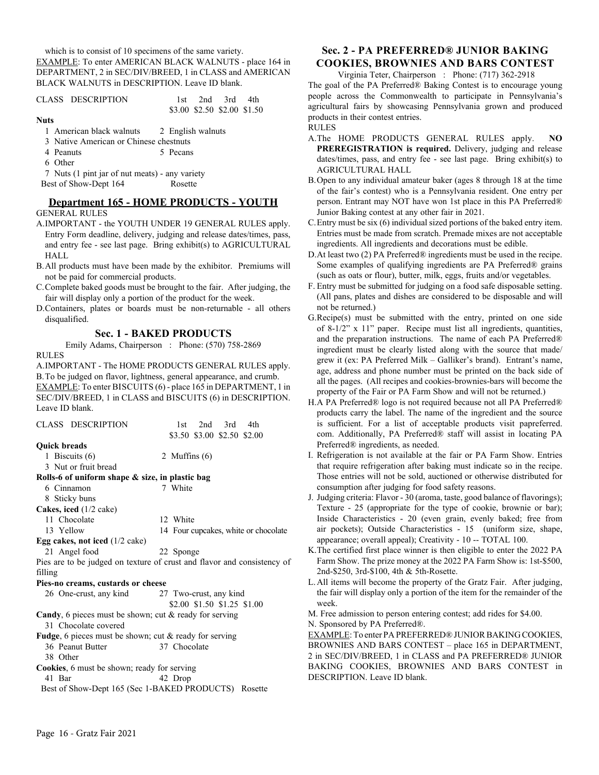which is to consist of 10 specimens of the same variety.

EXAMPLE: To enter AMERICAN BLACK WALNUTS - place 164 in DEPARTMENT, 2 in SEC/DIV/BREED, 1 in CLASS and AMERICAN BLACK WALNUTS in DESCRIPTION. Leave ID blank.

|             | CLASS DESCRIPTION |  | 1st 2nd 3rd 4th |                             |
|-------------|-------------------|--|-----------------|-----------------------------|
|             |                   |  |                 | \$3.00 \$2.50 \$2.00 \$1.50 |
| <b>Nuts</b> |                   |  |                 |                             |

- 1 American black walnuts 2 English walnuts
- 3 Native American or Chinese chestnuts
- 4 Peanuts 5 Pecans
- 6 Other

7 Nuts (1 pint jar of nut meats) - any variety Best of Show-Dept 164 Rosette

# **Department 165 - HOME PRODUCTS - YOUTH**

#### GENERAL RULES

- A.IMPORTANT the YOUTH UNDER 19 GENERAL RULES apply. Entry Form deadline, delivery, judging and release dates/times, pass, and entry fee - see last page. Bring exhibit(s) to AGRICULTURAL HALL
- B.All products must have been made by the exhibitor. Premiums will not be paid for commercial products.
- C.Complete baked goods must be brought to the fair. After judging, the fair will display only a portion of the product for the week.
- D.Containers, plates or boards must be non-returnable all others disqualified.

#### **Sec. 1 - BAKED PRODUCTS**

Emily Adams, Chairperson : Phone: (570) 758-2869 RULES

A.IMPORTANT - The HOME PRODUCTS GENERAL RULES apply. B.To be judged on flavor, lightness, general appearance, and crumb. EXAMPLE: To enter BISCUITS (6) - place 165 in DEPARTMENT, 1 in SEC/DIV/BREED, 1 in CLASS and BISCUITS (6) in DESCRIPTION. Leave ID blank.

| CLASS DESCRIPTION                                              | 2nd<br>3rd<br>4th<br>1st                                                |
|----------------------------------------------------------------|-------------------------------------------------------------------------|
|                                                                | \$3.50 \$3.00 \$2.50 \$2.00                                             |
| <b>Ouick breads</b>                                            |                                                                         |
| 1 Biscuits $(6)$                                               | 2 Muffins $(6)$                                                         |
| 3 Nut or fruit bread                                           |                                                                         |
| Rolls-6 of uniform shape $\&$ size, in plastic bag             |                                                                         |
| 6 Cinnamon                                                     | 7 White                                                                 |
| 8 Sticky buns                                                  |                                                                         |
| Cakes, iced (1/2 cake)                                         |                                                                         |
| 11 Chocolate                                                   | 12 White                                                                |
| 13 Yellow                                                      | 14 Four cupcakes, white or chocolate                                    |
| Egg cakes, not iced $(1/2 \text{ cake})$                       |                                                                         |
| 21 Angel food                                                  | 22 Sponge                                                               |
|                                                                | Pies are to be judged on texture of crust and flavor and consistency of |
| filling                                                        |                                                                         |
| Pies-no creams, custards or cheese                             |                                                                         |
| 26 One-crust, any kind 27 Two-crust, any kind                  |                                                                         |
|                                                                | \$2.00 \$1.50 \$1.25 \$1.00                                             |
| <b>Candy</b> , 6 pieces must be shown; cut & ready for serving |                                                                         |
| 31 Chocolate covered                                           |                                                                         |
| <b>Fudge</b> , 6 pieces must be shown; cut & ready for serving |                                                                         |
| 36 Peanut Butter                                               | 37 Chocolate                                                            |
| 38 Other                                                       |                                                                         |
| <b>Cookies</b> , 6 must be shown; ready for serving            |                                                                         |
| 41 Bar                                                         | 42 Drop                                                                 |
| Best of Show-Dept 165 (Sec 1-BAKED PRODUCTS)                   | Rosette                                                                 |
|                                                                |                                                                         |

# **Sec. 2 - PA PREFERRED® JUNIOR BAKING COOKIES, BROWNIES AND BARS CONTEST**

Virginia Teter, Chairperson : Phone: (717) 362-2918

The goal of the PA Preferred® Baking Contest is to encourage young people across the Commonwealth to participate in Pennsylvania's agricultural fairs by showcasing Pennsylvania grown and produced products in their contest entries.

## RULES

- A.The HOME PRODUCTS GENERAL RULES apply. **NO PREREGISTRATION is required.** Delivery, judging and release dates/times, pass, and entry fee - see last page. Bring exhibit(s) to AGRICULTURAL HALL
- B.Open to any individual amateur baker (ages 8 through 18 at the time of the fair's contest) who is a Pennsylvania resident. One entry per person. Entrant may NOT have won 1st place in this PA Preferred® Junior Baking contest at any other fair in 2021.
- C.Entry must be six (6) individual sized portions of the baked entry item. Entries must be made from scratch. Premade mixes are not acceptable ingredients. All ingredients and decorations must be edible.
- D.At least two (2) PA Preferred® ingredients must be used in the recipe. Some examples of qualifying ingredients are PA Preferred® grains (such as oats or flour), butter, milk, eggs, fruits and/or vegetables.
- F. Entry must be submitted for judging on a food safe disposable setting. (All pans, plates and dishes are considered to be disposable and will not be returned.)
- G.Recipe(s) must be submitted with the entry, printed on one side of 8-1/2" x 11" paper. Recipe must list all ingredients, quantities, and the preparation instructions. The name of each PA Preferred® ingredient must be clearly listed along with the source that made/ grew it (ex: PA Preferred Milk – Galliker's brand). Entrant's name, age, address and phone number must be printed on the back side of all the pages. (All recipes and cookies-brownies-bars will become the property of the Fair or PA Farm Show and will not be returned.)
- H.A PA Preferred® logo is not required because not all PA Preferred® products carry the label. The name of the ingredient and the source is sufficient. For a list of acceptable products visit papreferred. com. Additionally, PA Preferred® staff will assist in locating PA Preferred® ingredients, as needed.
- I. Refrigeration is not available at the fair or PA Farm Show. Entries that require refrigeration after baking must indicate so in the recipe. Those entries will not be sold, auctioned or otherwise distributed for consumption after judging for food safety reasons.
- J. Judging criteria: Flavor 30 (aroma, taste, good balance of flavorings); Texture - 25 (appropriate for the type of cookie, brownie or bar); Inside Characteristics - 20 (even grain, evenly baked; free from air pockets); Outside Characteristics - 15 (uniform size, shape, appearance; overall appeal); Creativity - 10 -- TOTAL 100.
- K.The certified first place winner is then eligible to enter the 2022 PA Farm Show. The prize money at the 2022 PA Farm Show is: 1st-\$500, 2nd-\$250, 3rd-\$100, 4th & 5th-Rosette.
- L.All items will become the property of the Gratz Fair. After judging, the fair will display only a portion of the item for the remainder of the week.
- M. Free admission to person entering contest; add rides for \$4.00.
- N. Sponsored by PA Preferred®.

EXAMPLE: To enter PA PREFERRED® JUNIOR BAKING COOKIES, BROWNIES AND BARS CONTEST – place 165 in DEPARTMENT, 2 in SEC/DIV/BREED, 1 in CLASS and PA PREFERRED® JUNIOR BAKING COOKIES, BROWNIES AND BARS CONTEST in DESCRIPTION. Leave ID blank.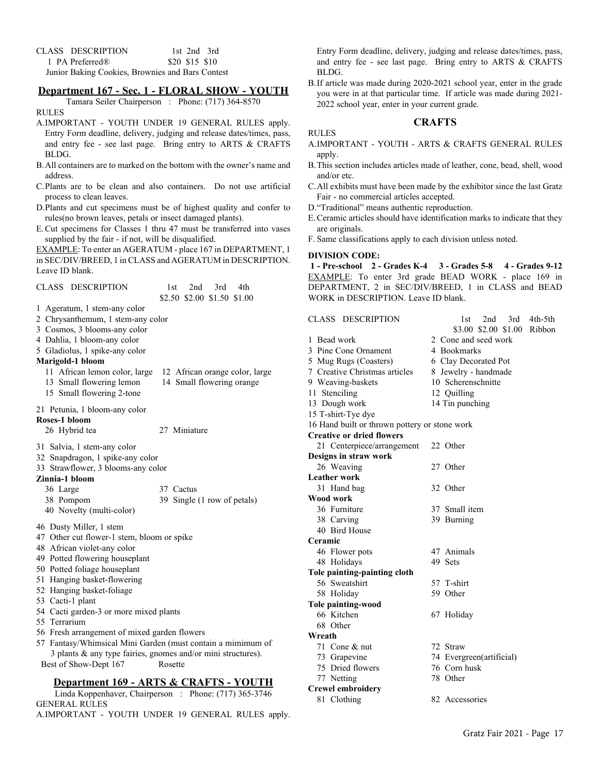| CLASS DESCRIPTION                                |                | 1st 2nd 3rd |
|--------------------------------------------------|----------------|-------------|
| 1 PA Preferred®                                  | \$20 \$15 \$10 |             |
| Junior Baking Cookies, Brownies and Bars Contest |                |             |

## **Department 167 - Sec. 1 - FLORAL SHOW - YOUTH**

Tamara Seiler Chairperson : Phone: (717) 364-8570 RULES

- A.IMPORTANT YOUTH UNDER 19 GENERAL RULES apply. Entry Form deadline, delivery, judging and release dates/times, pass, and entry fee - see last page. Bring entry to ARTS & CRAFTS BLDG.
- B.All containers are to marked on the bottom with the owner's name and address.
- C.Plants are to be clean and also containers. Do not use artificial process to clean leaves.
- D.Plants and cut specimens must be of highest quality and confer to rules(no brown leaves, petals or insect damaged plants).
- E.Cut specimens for Classes 1 thru 47 must be transferred into vases supplied by the fair - if not, will be disqualified.

EXAMPLE: To enter an AGERATUM - place 167 in DEPARTMENT, 1 in SEC/DIV/BREED, 1 in CLASS and AGERATUM in DESCRIPTION. Leave ID blank.

| CLASS DESCRIPTION                                                                                                                                                                                                                                                                                                                                                                                                                                        | 2nd<br>3rd<br>1st<br>4th<br>\$2.50 \$2.00 \$1.50 \$1.00                 |
|----------------------------------------------------------------------------------------------------------------------------------------------------------------------------------------------------------------------------------------------------------------------------------------------------------------------------------------------------------------------------------------------------------------------------------------------------------|-------------------------------------------------------------------------|
| 1 Ageratum, 1 stem-any color<br>2 Chrysanthemum, 1 stem-any color<br>3 Cosmos, 3 blooms-any color<br>4 Dahlia, 1 bloom-any color<br>5 Gladiolus, 1 spike-any color<br>Marigold-1 bloom                                                                                                                                                                                                                                                                   |                                                                         |
| 11 African lemon color, large<br>13 Small flowering lemon<br>15 Small flowering 2-tone                                                                                                                                                                                                                                                                                                                                                                   | 12 African orange color, large<br>14 Small flowering orange             |
| 21 Petunia, 1 bloom-any color                                                                                                                                                                                                                                                                                                                                                                                                                            |                                                                         |
| Roses-1 bloom<br>26 Hybrid tea                                                                                                                                                                                                                                                                                                                                                                                                                           | 27 Miniature                                                            |
| 31 Salvia, 1 stem-any color<br>32 Snapdragon, 1 spike-any color<br>33 Strawflower, 3 blooms-any color<br>Zinnia-1 bloom<br>36 Large<br>38 Pompom<br>40 Novelty (multi-color)                                                                                                                                                                                                                                                                             | 37 Cactus<br>39 Single (1 row of petals)                                |
| 46 Dusty Miller, 1 stem<br>47 Other cut flower-1 stem, bloom or spike<br>48 African violet-any color<br>49 Potted flowering houseplant<br>50 Potted foliage houseplant<br>51 Hanging basket-flowering<br>52 Hanging basket-foliage<br>53 Cacti-1 plant<br>54 Cacti garden-3 or more mixed plants<br>55 Terrarium<br>56 Fresh arrangement of mixed garden flowers<br>57 Fantasy/Whimsical Mini Garden (must contain a mimimum of<br>Best of Show-Dept 167 | 3 plants & any type fairies, gnomes and/or mini structures).<br>Rosette |

# **Department 169 - ARTS & CRAFTS - YOUTH**

Linda Koppenhaver, Chairperson : Phone: (717) 365-3746 GENERAL RULES A.IMPORTANT - YOUTH UNDER 19 GENERAL RULES apply. Entry Form deadline, delivery, judging and release dates/times, pass, and entry fee - see last page. Bring entry to ARTS & CRAFTS BLDG.

B.If article was made during 2020-2021 school year, enter in the grade you were in at that particular time. If article was made during 2021- 2022 school year, enter in your current grade.

# **CRAFTS**

#### RULES

- A.IMPORTANT YOUTH ARTS & CRAFTS GENERAL RULES apply.
- B.This section includes articles made of leather, cone, bead, shell, wood and/or etc.
- C.All exhibits must have been made by the exhibitor since the last Gratz Fair - no commercial articles accepted.
- D."Traditional" means authentic reproduction.
- E.Ceramic articles should have identification marks to indicate that they are originals.
- F. Same classifications apply to each division unless noted.

#### **DIVISION CODE:**

 **1 - Pre-school 2 - Grades K-4 3 - Grades 5-8 4 - Grades 9-12** EXAMPLE: To enter 3rd grade BEAD WORK - place 169 in DEPARTMENT, 2 in SEC/DIV/BREED, 1 in CLASS and BEAD WORK in DESCRIPTION. Leave ID blank.

| CLASS DESCRIPTION                             | 3rd<br>4th-5th<br>2 <sub>nd</sub><br>1st |
|-----------------------------------------------|------------------------------------------|
|                                               | \$3.00 \$2.00 \$1.00<br>Ribbon           |
| 1 Bead work                                   | 2 Cone and seed work                     |
| 3 Pine Cone Ornament                          | 4 Bookmarks                              |
| 5 Mug Rugs (Coasters)                         | 6 Clay Decorated Pot                     |
| 7 Creative Christmas articles                 | 8 Jewelry - handmade                     |
| 9 Weaving-baskets                             | 10 Scherenschnitte                       |
| 11 Stenciling                                 | 12 Quilling                              |
| 13 Dough work                                 | 14 Tin punching                          |
| 15 T-shirt-Tye dye                            |                                          |
| 16 Hand built or thrown pottery or stone work |                                          |
| <b>Creative or dried flowers</b>              |                                          |
| 21 Centerpiece/arrangement                    | 22 Other                                 |
| Designs in straw work                         |                                          |
| 26 Weaving                                    | 27 Other                                 |
| <b>Leather work</b>                           |                                          |
| 31 Hand bag                                   | 32 Other                                 |
| Wood work                                     |                                          |
| 36 Furniture                                  | 37 Small item                            |
| 38 Carving                                    | 39 Burning                               |
| 40 Bird House                                 |                                          |
| Ceramic                                       |                                          |
| 46 Flower pots                                | 47 Animals                               |
| 48 Holidays                                   | 49 Sets                                  |
| Tole painting-painting cloth                  |                                          |
| 56 Sweatshirt                                 | 57 T-shirt                               |
| 58 Holiday                                    | 59 Other                                 |
| <b>Tole painting-wood</b>                     |                                          |
| 66 Kitchen                                    | 67 Holiday                               |
| 68 Other                                      |                                          |
| Wreath                                        |                                          |
| 71 Cone & nut                                 | 72 Straw                                 |
| 73 Grapevine                                  | 74 Evergreen(artificial)                 |
| 75 Dried flowers                              | 76 Corn husk                             |
| 77 Netting                                    | 78 Other                                 |
| <b>Crewel embroidery</b>                      |                                          |
| 81 Clothing                                   | 82 Accessories                           |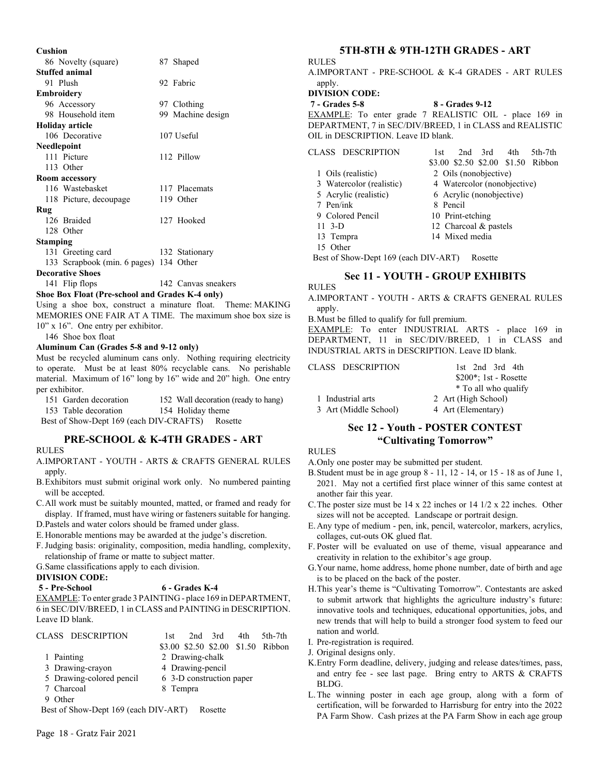| Cushion                                |                     |
|----------------------------------------|---------------------|
| 86 Novelty (square)                    | 87 Shaped           |
| <b>Stuffed animal</b>                  |                     |
| 91 Plush                               | 92 Fabric           |
| <b>Embroidery</b>                      |                     |
| 96 Accessory                           | 97 Clothing         |
| 98 Household item                      | 99 Machine design   |
| <b>Holiday article</b>                 |                     |
| 106 Decorative                         | 107 Useful          |
| <b>Needlepoint</b>                     |                     |
| 111 Picture                            | 112 Pillow          |
| 113 Other                              |                     |
| <b>Room accessory</b>                  |                     |
| 116 Wastebasket                        | 117 Placemats       |
| 118 Picture, decoupage                 | 119 Other           |
| Rug                                    |                     |
| 126 Braided                            | 127 Hooked          |
| 128 Other                              |                     |
| Stamping                               |                     |
| 131 Greeting card                      | 132 Stationary      |
| 133 Scrapbook (min. 6 pages) 134 Other |                     |
| <b>Decorative Shoes</b>                |                     |
| 141 Flip flops                         | 142 Canvas sneakers |

#### **Shoe Box Float (Pre-school and Grades K-4 only)**

Using a shoe box, construct a minature float. Theme: MAKING MEMORIES ONE FAIR AT A TIME. The maximum shoe box size is 10" x 16". One entry per exhibitor.

146 Shoe box float

#### **Aluminum Can (Grades 5-8 and 9-12 only)**

Must be recycled aluminum cans only. Nothing requiring electricity to operate. Must be at least 80% recyclable cans. No perishable material. Maximum of 16" long by 16" wide and 20" high. One entry per exhibitor.

| 151 Garden decoration                           | 152 Wall decoration (ready to hang) |
|-------------------------------------------------|-------------------------------------|
| 153 Table decoration                            | 154 Holiday theme                   |
| Best of Show-Dept 169 (each DIV-CRAFTS) Rosette |                                     |

#### **PRE-SCHOOL & K-4TH GRADES - ART**

#### RULES

- A.IMPORTANT YOUTH ARTS & CRAFTS GENERAL RULES apply.
- B.Exhibitors must submit original work only. No numbered painting will be accepted.
- C.All work must be suitably mounted, matted, or framed and ready for display. If framed, must have wiring or fasteners suitable for hanging.
- D.Pastels and water colors should be framed under glass.
- E.Honorable mentions may be awarded at the judge's discretion.
- F.Judging basis: originality, composition, media handling, complexity, relationship of frame or matte to subject matter.

## G.Same classifications apply to each division.

#### **DIVISION CODE:**

# **5 - Pre-School 6 - Grades K-4**

EXAMPLE: To enter grade 3 PAINTING - place 169 in DEPARTMENT, 6 in SEC/DIV/BREED, 1 in CLASS and PAINTING in DESCRIPTION. Leave ID blank.

| CLASS DESCRIPTION                    | 2nd 3rd<br>5th-7th<br>4th<br>1st.  |
|--------------------------------------|------------------------------------|
|                                      | \$3.00 \$2.50 \$2.00 \$1.50 Ribbon |
| 1 Painting                           | 2 Drawing-chalk                    |
| 3 Drawing-crayon                     | 4 Drawing-pencil                   |
| 5 Drawing-colored pencil             | 6 3-D construction paper           |
| 7 Charcoal                           | 8 Tempra                           |
| 9 Other                              |                                    |
| Best of Show-Dept 169 (each DIV-ART) | Rosette                            |

**5TH-8TH & 9TH-12TH GRADES - ART**

A.IMPORTANT - PRE-SCHOOL & K-4 GRADES - ART RULES apply.

RULES

**DIVISION CODE:**

 **7 - Grades 5-8 8 - Grades 9-12** EXAMPLE: To enter grade 7 REALISTIC OIL - place 169 in DEPARTMENT, 7 in SEC/DIV/BREED, 1 in CLASS and REALISTIC OIL in DESCRIPTION. Leave ID blank.

| CLASS DESCRIPTION        | 1st      |                  | $2nd$ 3rd 4th            |                             | 5th-7th                            |
|--------------------------|----------|------------------|--------------------------|-----------------------------|------------------------------------|
|                          |          |                  |                          |                             | \$3.00 \$2.50 \$2.00 \$1.50 Ribbon |
| 1 Oils (realistic)       |          |                  | 2 Oils (nonobjective)    |                             |                                    |
| 3 Watercolor (realistic) |          |                  |                          | 4 Watercolor (nonobjective) |                                    |
| 5 Acrylic (realistic)    |          |                  | 6 Acrylic (nonobjective) |                             |                                    |
| 7 Pen/ink                | 8 Pencil |                  |                          |                             |                                    |
| 9 Colored Pencil         |          | 10 Print-etching |                          |                             |                                    |
| 11 3-D                   |          |                  | 12 Charcoal & pastels    |                             |                                    |
| 13 Tempra                |          | 14 Mixed media   |                          |                             |                                    |
| Other                    |          |                  |                          |                             |                                    |
|                          |          |                  |                          |                             |                                    |

Best of Show-Dept 169 (each DIV-ART) Rosette

# **Sec 11 - YOUTH - GROUP EXHIBITS**

#### A.IMPORTANT - YOUTH - ARTS & CRAFTS GENERAL RULES apply.

B.Must be filled to qualify for full premium.

EXAMPLE: To enter INDUSTRIAL ARTS - place 169 in DEPARTMENT, 11 in SEC/DIV/BREED, 1 in CLASS and INDUSTRIAL ARTS in DESCRIPTION. Leave ID blank.

| CLASS DESCRIPTION     | 1st $2nd$ 3rd $4th$           |
|-----------------------|-------------------------------|
|                       | $$200^{\ast}$ ; 1st - Rosette |
|                       | * To all who qualify          |
| 1 Industrial arts     | 2 Art (High School)           |
| 3 Art (Middle School) | 4 Art (Elementary)            |

# **Sec 12 - Youth - POSTER CONTEST "Cultivating Tomorrow"**

# RULES

RULES

- A.Only one poster may be submitted per student.
- B.Student must be in age group 8 11, 12 14, or 15 18 as of June 1, 2021. May not a certified first place winner of this same contest at another fair this year.
- C.The poster size must be 14 x 22 inches or 14 1/2 x 22 inches. Other sizes will not be accepted. Landscape or portrait design.
- E.Any type of medium pen, ink, pencil, watercolor, markers, acrylics, collages, cut-outs OK glued flat.
- F. Poster will be evaluated on use of theme, visual appearance and creativity in relation to the exhibitor's age group.
- G.Your name, home address, home phone number, date of birth and age is to be placed on the back of the poster.
- H.This year's theme is "Cultivating Tomorrow". Contestants are asked to submit artwork that highlights the agriculture industry's future: innovative tools and techniques, educational opportunities, jobs, and new trends that will help to build a stronger food system to feed our nation and world.
- I. Pre-registration is required.
- J. Original designs only.
- K.Entry Form deadline, delivery, judging and release dates/times, pass, and entry fee - see last page. Bring entry to ARTS & CRAFTS BLDG.
- L.The winning poster in each age group, along with a form of certification, will be forwarded to Harrisburg for entry into the 2022 PA Farm Show. Cash prizes at the PA Farm Show in each age group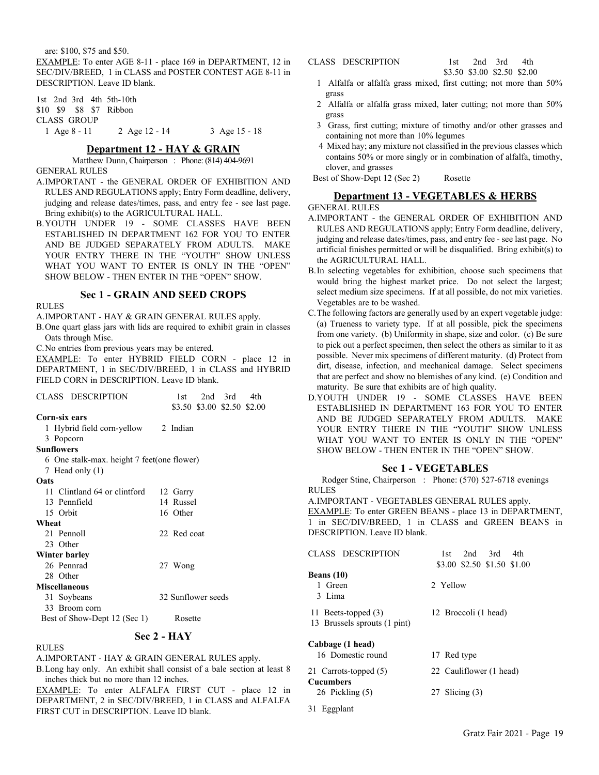are: \$100, \$75 and \$50.

EXAMPLE: To enter AGE 8-11 - place 169 in DEPARTMENT, 12 in SEC/DIV/BREED, 1 in CLASS and POSTER CONTEST AGE 8-11 in DESCRIPTION. Leave ID blank.

1st 2nd 3rd 4th 5th-10th \$10 \$9 \$8 \$7 Ribbon CLASS GROUP 1 Age 8 - 11 2 Age 12 - 14 3 Age 15 - 18

#### **Department 12 - HAY & GRAIN**

Matthew Dunn, Chairperson : Phone: (814) 404-9691 GENERAL RULES

- A.IMPORTANT the GENERAL ORDER OF EXHIBITION AND RULES AND REGULATIONS apply; Entry Form deadline, delivery, judging and release dates/times, pass, and entry fee - see last page. Bring exhibit(s) to the AGRICULTURAL HALL.
- B.YOUTH UNDER 19 SOME CLASSES HAVE BEEN ESTABLISHED IN DEPARTMENT 162 FOR YOU TO ENTER AND BE JUDGED SEPARATELY FROM ADULTS. MAKE YOUR ENTRY THERE IN THE "YOUTH" SHOW UNLESS WHAT YOU WANT TO ENTER IS ONLY IN THE "OPEN" SHOW BELOW - THEN ENTER IN THE "OPEN" SHOW.

#### **Sec 1 - GRAIN AND SEED CROPS**

RULES

A.IMPORTANT - HAY & GRAIN GENERAL RULES apply.

B.One quart glass jars with lids are required to exhibit grain in classes Oats through Misc.

C.No entries from previous years may be entered.

EXAMPLE: To enter HYBRID FIELD CORN - place 12 in DEPARTMENT, 1 in SEC/DIV/BREED, 1 in CLASS and HYBRID FIELD CORN in DESCRIPTION. Leave ID blank.

| CLASS DESCRIPTION                          | 1st                | 2nd 3rd                     | 4th |
|--------------------------------------------|--------------------|-----------------------------|-----|
|                                            |                    | \$3.50 \$3.00 \$2.50 \$2.00 |     |
| Corn-six ears                              |                    |                             |     |
| 1 Hybrid field corn-yellow 2 Indian        |                    |                             |     |
| 3 Popcorn                                  |                    |                             |     |
| <b>Sunflowers</b>                          |                    |                             |     |
| 6 One stalk-max. height 7 feet(one flower) |                    |                             |     |
| 7 Head only (1)                            |                    |                             |     |
| Oats                                       |                    |                             |     |
| 11 Clintland 64 or clintford               | 12 Garry           |                             |     |
| 13 Pennfield                               | 14 Russel          |                             |     |
| 15 Orbit                                   | 16 Other           |                             |     |
| Wheat                                      |                    |                             |     |
| 21 Pennoll                                 | 22 Red coat        |                             |     |
| 23 Other                                   |                    |                             |     |
| Winter barley                              |                    |                             |     |
| 26 Pennrad                                 | 27 Wong            |                             |     |
| 28 Other                                   |                    |                             |     |
| <b>Miscellaneous</b>                       |                    |                             |     |
| 31 Soybeans                                | 32 Sunflower seeds |                             |     |
| 33 Broom corn                              |                    |                             |     |
| Best of Show-Dept 12 (Sec 1)               | Rosette            |                             |     |
|                                            | Sec 2 - HAY        |                             |     |

#### RULES

A.IMPORTANT - HAY & GRAIN GENERAL RULES apply.

B.Long hay only. An exhibit shall consist of a bale section at least 8 inches thick but no more than 12 inches.

EXAMPLE: To enter ALFALFA FIRST CUT - place 12 in DEPARTMENT, 2 in SEC/DIV/BREED, 1 in CLASS and ALFALFA FIRST CUT in DESCRIPTION. Leave ID blank.

#### CLASS DESCRIPTION 1st 2nd 3rd 4th

\$3.50 \$3.00 \$2.50 \$2.00

- 1 Alfalfa or alfalfa grass mixed, first cutting; not more than 50% grass
- 2 Alfalfa or alfalfa grass mixed, later cutting; not more than 50% grass
- 3 Grass, first cutting; mixture of timothy and/or other grasses and containing not more than 10% legumes
- 4 Mixed hay; any mixture not classified in the previous classes which contains 50% or more singly or in combination of alfalfa, timothy, clover, and grasses

Best of Show-Dept 12 (Sec 2) Rosette

# **Department 13 - VEGETABLES & HERBS**

#### GENERAL RULES

- A.IMPORTANT the GENERAL ORDER OF EXHIBITION AND RULES AND REGULATIONS apply; Entry Form deadline, delivery, judging and release dates/times, pass, and entry fee - see last page. No artificial finishes permitted or will be disqualified. Bring exhibit(s) to the AGRICULTURAL HALL.
- B.In selecting vegetables for exhibition, choose such specimens that would bring the highest market price. Do not select the largest; select medium size specimens. If at all possible, do not mix varieties. Vegetables are to be washed.
- C.The following factors are generally used by an expert vegetable judge: (a) Trueness to variety type. If at all possible, pick the specimens from one variety. (b) Uniformity in shape, size and color. (c) Be sure to pick out a perfect specimen, then select the others as similar to it as possible. Never mix specimens of different maturity. (d) Protect from dirt, disease, infection, and mechanical damage. Select specimens that are perfect and show no blemishes of any kind. (e) Condition and maturity. Be sure that exhibits are of high quality.
- D.YOUTH UNDER 19 SOME CLASSES HAVE BEEN ESTABLISHED IN DEPARTMENT 163 FOR YOU TO ENTER AND BE JUDGED SEPARATELY FROM ADULTS. MAKE YOUR ENTRY THERE IN THE "YOUTH" SHOW UNLESS WHAT YOU WANT TO ENTER IS ONLY IN THE "OPEN" SHOW BELOW - THEN ENTER IN THE "OPEN" SHOW.

#### **Sec 1 - VEGETABLES**

Rodger Stine, Chairperson : Phone: (570) 527-6718 evenings RULES

A.IMPORTANT - VEGETABLES GENERAL RULES apply. EXAMPLE: To enter GREEN BEANS - place 13 in DEPARTMENT, 1 in SEC/DIV/BREED, 1 in CLASS and GREEN BEANS in DESCRIPTION. Leave ID blank.

| CLASS DESCRIPTION                                   | 2nd 3rd<br>4th<br>1st.<br>\$3.00 \$2.50 \$1.50 \$1.00 |
|-----------------------------------------------------|-------------------------------------------------------|
| Beans (10)<br>1 Green                               | 2 Yellow                                              |
| 3 Lima                                              |                                                       |
| 11 Beets-topped (3)<br>13 Brussels sprouts (1 pint) | 12 Broccoli (1 head)                                  |
| Cabbage (1 head)                                    |                                                       |
| 16 Domestic round                                   | 17 Red type                                           |
| 21 Carrots-topped (5)<br><b>Cucumbers</b>           | 22 Cauliflower (1 head)                               |
| 26 Pickling (5)                                     | 27 Slicing $(3)$                                      |
| 31 Eggplant                                         |                                                       |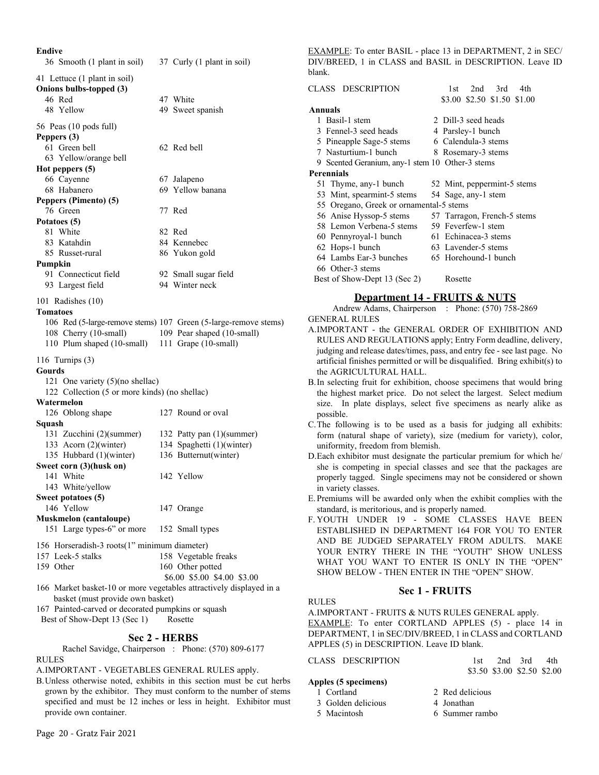| Endive                                          |                                                                     |
|-------------------------------------------------|---------------------------------------------------------------------|
| 36 Smooth (1 plant in soil)                     | 37 Curly (1 plant in soil)                                          |
| 41 Lettuce (1 plant in soil)                    |                                                                     |
| Onions bulbs-topped (3)                         |                                                                     |
| 46 Red                                          | 47 White                                                            |
| 48 Yellow                                       | 49 Sweet spanish                                                    |
| 56 Peas (10 pods full)                          |                                                                     |
| Peppers (3)                                     |                                                                     |
| 61 Green bell                                   | 62 Red bell                                                         |
| 63 Yellow/orange bell                           |                                                                     |
| Hot peppers (5)                                 |                                                                     |
| 66 Cayenne                                      | 67 Jalapeno                                                         |
| 68 Habanero                                     | 69 Yellow banana                                                    |
| Peppers (Pimento) (5)                           |                                                                     |
| 76 Green                                        | 77 Red                                                              |
| Potatoes (5)                                    |                                                                     |
| 81 White                                        | 82 Red                                                              |
| 83 Katahdin                                     | 84 Kennebec                                                         |
| 85 Russet-rural                                 | 86 Yukon gold                                                       |
| Pumpkin                                         |                                                                     |
| 91 Connecticut field<br>93 Largest field        | 92 Small sugar field<br>94 Winter neck                              |
|                                                 |                                                                     |
| 101 Radishes (10)                               |                                                                     |
| <b>Tomatoes</b>                                 |                                                                     |
|                                                 | 106 Red (5-large-remove stems) 107 Green (5-large-remove stems)     |
| 108 Cherry (10-small)                           | 109 Pear shaped (10-small)                                          |
| 110 Plum shaped (10-small) 111 Grape (10-small) |                                                                     |
| 116 Turnips $(3)$                               |                                                                     |
| Gourds                                          |                                                                     |
| 121 One variety (5)(no shellac)                 |                                                                     |
| 122 Collection (5 or more kinds) (no shellac)   |                                                                     |
| Watermelon                                      |                                                                     |
| 126 Oblong shape                                | 127 Round or oval                                                   |
| Squash                                          |                                                                     |
| 131 Zucchini (2)(summer)                        | 132 Patty pan (1)(summer)                                           |
| 133 Acorn (2)(winter)                           | 134 Spaghetti (1)(winter)                                           |
| 135 Hubbard (1)(winter)                         | 136 Butternut(winter)                                               |
| Sweet corn (3)(husk on)                         | 142 Yellow                                                          |
| 141 White<br>143 White/yellow                   |                                                                     |
| Sweet potatoes (5)                              |                                                                     |
| 146 Yellow                                      | 147 Orange                                                          |
| <b>Muskmelon (cantaloupe)</b>                   |                                                                     |
| 151 Large types-6" or more                      | 152 Small types                                                     |
| 156 Horseradish-3 roots(1" minimum diameter)    |                                                                     |
| 157 Leek-5 stalks                               | 158 Vegetable freaks                                                |
| 159 Other                                       | 160 Other potted                                                    |
|                                                 | \$6.00 \$5.00 \$4.00 \$3.00                                         |
|                                                 | 166 Market basket-10 or more vegetables attractively displayed in a |
| basket (must provide own basket)                |                                                                     |

167 Painted-carved or decorated pumpkins or squash Best of Show-Dept 13 (Sec 1) Rosette

# **Sec 2 - HERBS**

Rachel Savidge, Chairperson : Phone: (570) 809-6177 RULES

A.IMPORTANT - VEGETABLES GENERAL RULES apply.

B.Unless otherwise noted, exhibits in this section must be cut herbs grown by the exhibitor. They must conform to the number of stems specified and must be 12 inches or less in height. Exhibitor must provide own container.

EXAMPLE: To enter BASIL - place 13 in DEPARTMENT, 2 in SEC/ DIV/BREED, 1 in CLASS and BASIL in DESCRIPTION. Leave ID blank.

| CLASS DESCRIPTION                               | 2nd 3rd<br>4th<br>1st.      |  |  |  |  |  |
|-------------------------------------------------|-----------------------------|--|--|--|--|--|
|                                                 | \$3.00 \$2.50 \$1.50 \$1.00 |  |  |  |  |  |
| Annuals                                         |                             |  |  |  |  |  |
| 1 Basil-1 stem                                  | 2 Dill-3 seed heads         |  |  |  |  |  |
| 3 Fennel-3 seed heads<br>4 Parsley-1 bunch      |                             |  |  |  |  |  |
| 5 Pineapple Sage-5 stems                        | 6 Calendula-3 stems         |  |  |  |  |  |
| 7 Nasturtium-1 bunch                            | 8 Rosemary-3 stems          |  |  |  |  |  |
| 9 Scented Geranium, any-1 stem 10 Other-3 stems |                             |  |  |  |  |  |
| <b>Perennials</b>                               |                             |  |  |  |  |  |
| 51 Thyme, any-1 bunch                           | 52 Mint, peppermint-5 stems |  |  |  |  |  |
| 53 Mint, spearmint-5 stems                      | 54 Sage, any-1 stem         |  |  |  |  |  |
| 55 Oregano, Greek or ornamental-5 stems         |                             |  |  |  |  |  |
| 56 Anise Hyssop-5 stems                         | 57 Tarragon, French-5 stems |  |  |  |  |  |
| 58 Lemon Verbena-5 stems                        | 59 Feverfew-1 stem          |  |  |  |  |  |
| 60 Pennyroyal-1 bunch                           | 61 Echinacea-3 stems        |  |  |  |  |  |
| 62 Hops-1 bunch                                 | 63 Lavender-5 stems         |  |  |  |  |  |
| 64 Lambs Ear-3 bunches                          | 65 Horehound-1 bunch        |  |  |  |  |  |
| 66 Other-3 stems                                |                             |  |  |  |  |  |
| Best of Show-Dept 13 (Sec 2)                    | Rosette                     |  |  |  |  |  |
|                                                 |                             |  |  |  |  |  |

# **Department 14 - FRUITS & NUTS**

Andrew Adams, Chairperson : Phone: (570) 758-2869 GENERAL RULES

- A.IMPORTANT the GENERAL ORDER OF EXHIBITION AND RULES AND REGULATIONS apply; Entry Form deadline, delivery, judging and release dates/times, pass, and entry fee - see last page. No artificial finishes permitted or will be disqualified. Bring exhibit(s) to the AGRICULTURAL HALL.
- B.In selecting fruit for exhibition, choose specimens that would bring the highest market price. Do not select the largest. Select medium size. In plate displays, select five specimens as nearly alike as possible.
- C.The following is to be used as a basis for judging all exhibits: form (natural shape of variety), size (medium for variety), color, uniformity, freedom from blemish.
- D.Each exhibitor must designate the particular premium for which he/ she is competing in special classes and see that the packages are properly tagged. Single specimens may not be considered or shown in variety classes.
- E.Premiums will be awarded only when the exhibit complies with the standard, is meritorious, and is properly named.
- F. YOUTH UNDER 19 SOME CLASSES HAVE BEEN ESTABLISHED IN DEPARTMENT 164 FOR YOU TO ENTER AND BE JUDGED SEPARATELY FROM ADULTS. MAKE YOUR ENTRY THERE IN THE "YOUTH" SHOW UNLESS WHAT YOU WANT TO ENTER IS ONLY IN THE "OPEN" SHOW BELOW - THEN ENTER IN THE "OPEN" SHOW.

#### **Sec 1 - FRUITS**

RULES A.IMPORTANT - FRUITS & NUTS RULES GENERAL apply. EXAMPLE: To enter CORTLAND APPLES (5) - place 14 in DEPARTMENT, 1 in SEC/DIV/BREED, 1 in CLASS and CORTLAND APPLES (5) in DESCRIPTION. Leave ID blank.

CLASS DESCRIPTION 1st 2nd 3rd 4th \$3.50 \$3.00 \$2.50 \$2.00

#### **Apples (5 specimens)**

- 1 Cortland 2 Red delicious
- 
- 
- 
- 3 Golden delicious 4 Jonathan
- 5 Macintosh 6 Summer rambo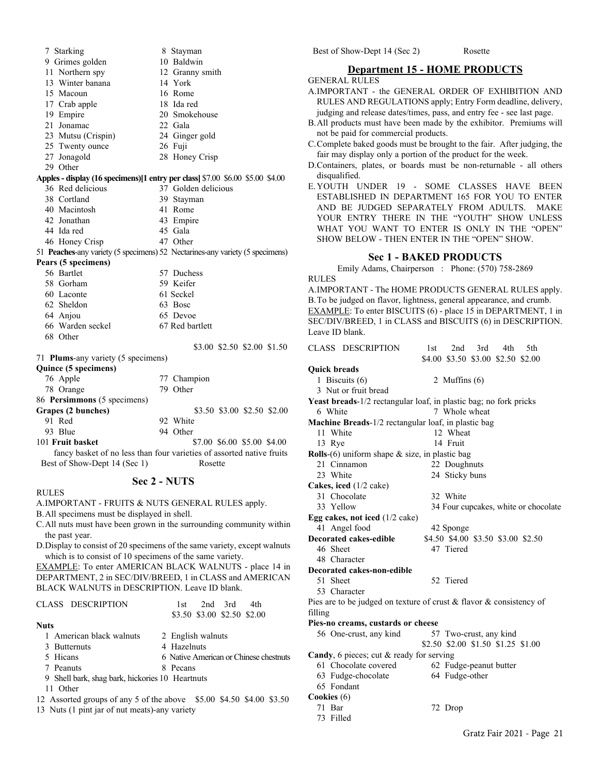7 Starking 8 Stayman 9 Grimes golden 10 Baldwin 11 Northern spy 12 Granny smith 13 Winter banana 14 York 15 Macoun 16 Rome 17 Crab apple 18 Ida red 19 Empire 20 Smokehouse 21 Jonamac 22 Gala 23 Mutsu (Crispin) 24 Ginger gold 25 Twenty ounce 26 Fuji 27 Jonagold 28 Honey Crisp 29 Other **Apples - display (16 specimens)[1 entry per class]** \$7.00 \$6.00 \$5.00 \$4.00 36 Red delicious 37 Golden delicious 38 Cortland 39 Stayman<br>40 Macintosh 41 Rome 40 Macintosh 42 Jonathan 43 Empire 44 Ida red 45 Gala<br>46 Honey Crisp 47 Other 46 Honey Crisp 51 **Peaches**-any variety (5 specimens) 52 Nectarines-any variety (5 specimens) **Pears (5 specimens)** 56 Bartlet 57 Duchess 58 Gorham 59 Keifer 60 Laconte 61 Seckel 62 Sheldon 63 Bosc 64 Anjou 65 Devoe 66 Warden seckel 67 Red bartlett 68 Other \$3.00 \$2.50 \$2.00 \$1.50 71 **Plums**-any variety (5 specimens) **Quince (5 specimens)** 76 Apple 77 Champion 78 Orange 79 Other 86 **Persimmons** (5 specimens) \$3.50 \$3.00 \$2.50 \$2.00 91 Red 92 White 93 Blue 94 Other 101 **Fruit basket** \$7.00 \$6.00 \$5.00 \$4.00 fancy basket of no less than four varieties of assorted native fruits Best of Show-Dept 14 (Sec 1) Rosette **Sec 2 - NUTS** RULES A.IMPORTANT - FRUITS & NUTS GENERAL RULES apply. B.All specimens must be displayed in shell. C.All nuts must have been grown in the surrounding community within the past year.

D.Display to consist of 20 specimens of the same variety, except walnuts which is to consist of 10 specimens of the same variety.

EXAMPLE: To enter AMERICAN BLACK WALNUTS - place 14 in DEPARTMENT, 2 in SEC/DIV/BREED, 1 in CLASS and AMERICAN BLACK WALNUTS in DESCRIPTION. Leave ID blank.

| CLASS DESCRIPTION                               | 2nd 3rd<br>4th<br>1st.                 |
|-------------------------------------------------|----------------------------------------|
|                                                 | \$3.50 \$3.00 \$2.50 \$2.00            |
| <b>Nuts</b>                                     |                                        |
| 1 American black walnuts                        | 2 English walnuts                      |
| 3 Butternuts                                    | 4 Hazelnuts                            |
| 5 Hicans                                        | 6 Native American or Chinese chestnuts |
| 7 Peanuts                                       | 8 Pecans                               |
| 9 Shell bark, shag bark, hickories 10 Heartnuts |                                        |
| Other                                           |                                        |

12 Assorted groups of any 5 of the above \$5.00 \$4.50 \$4.00 \$3.50

13 Nuts (1 pint jar of nut meats)-any variety

**Department 15 - HOME PRODUCTS** GENERAL RULES not be paid for commercial products. fair may display only a portion of the product for the week. disqualified. **Sec 1 - BAKED PRODUCTS** RULES Leave ID blank. CLASS DESCRIPTION 1st 2nd 3rd 4th 5th \$4.00 \$3.50 \$3.00 \$2.50 \$2.00 **Quick breads** 1 Biscuits (6) 2 Muffins (6) 3 Nut or fruit bread **Yeast breads**-1/2 rectangular loaf, in plastic bag; no fork pricks 6 White 7 Whole wheat **Machine Breads**-1/2 rectangular loaf, in plastic bag 11 White 12 Wheat 13 Rye 14 Fruit **Rolls**-(6) uniform shape & size, in plastic bag 21 Cinnamon 22 Doughnuts 23 White 24 Sticky buns **Cakes, iced** (1/2 cake) 31 Chocolate 32 White 33 Yellow 34 Four cupcakes, white or chocolate **Egg cakes, not iced** (1/2 cake)

41 Angel food 42 Sponge<br>Decorated cakes-edible \$4.50 \$4.00 **Period cakes-edible** \$4.50 \$4.00 \$3.50 \$3.00 \$2.50 \$4.6 Sheet 47 Tiered 47 Tiered 48 Character **Decorated cakes-non-edible** 51 Sheet 52 Tiered 53 Character

Pies are to be judged on texture of crust & flavor & consistency of filling

**Pies-no creams, custards or cheese**

| 56 One-crust, any kind                           | 57 Two-crust, any kind             |
|--------------------------------------------------|------------------------------------|
|                                                  | \$2.50 \$2.00 \$1.50 \$1.25 \$1.00 |
| <b>Candy</b> , 6 pieces; cut & ready for serving |                                    |
| 61 Chocolate covered                             | 62 Fudge-peanut butter             |
| 63 Fudge-chocolate                               | 64 Fudge-other                     |
| 65 Fondant                                       |                                    |
| Cookies (6)                                      |                                    |
| 71 Bar                                           | 72 Drop                            |
| 73 Filled                                        |                                    |

#### Best of Show-Dept 14 (Sec 2) Rosette

- A.IMPORTANT the GENERAL ORDER OF EXHIBITION AND RULES AND REGULATIONS apply; Entry Form deadline, delivery, judging and release dates/times, pass, and entry fee - see last page.
- B.All products must have been made by the exhibitor. Premiums will
- C.Complete baked goods must be brought to the fair. After judging, the
- D.Containers, plates, or boards must be non-returnable all others
- E.YOUTH UNDER 19 SOME CLASSES HAVE BEEN ESTABLISHED IN DEPARTMENT 165 FOR YOU TO ENTER AND BE JUDGED SEPARATELY FROM ADULTS. MAKE YOUR ENTRY THERE IN THE "YOUTH" SHOW UNLESS WHAT YOU WANT TO ENTER IS ONLY IN THE "OPEN" SHOW BELOW - THEN ENTER IN THE "OPEN" SHOW.

Emily Adams, Chairperson : Phone: (570) 758-2869

A.IMPORTANT - The HOME PRODUCTS GENERAL RULES apply. B.To be judged on flavor, lightness, general appearance, and crumb. EXAMPLE: To enter BISCUITS (6) - place 15 in DEPARTMENT, 1 in SEC/DIV/BREED, 1 in CLASS and BISCUITS (6) in DESCRIPTION.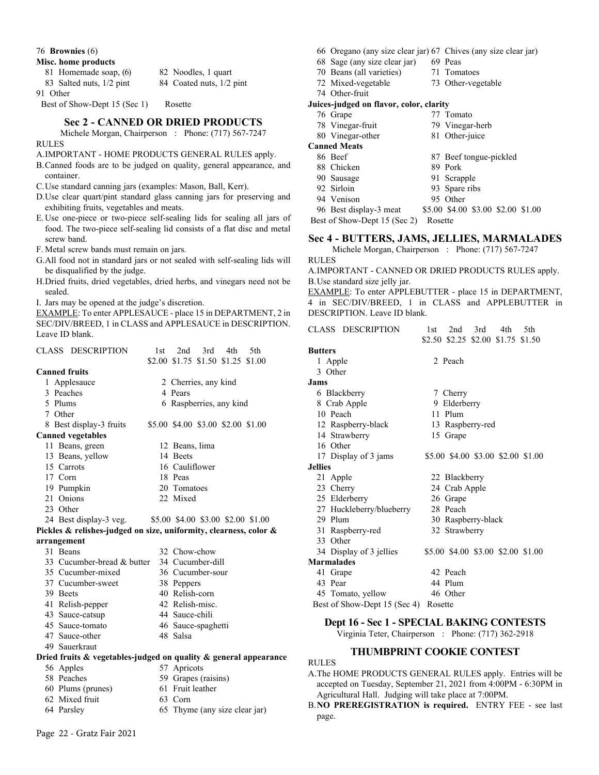76 **Brownies** (6)

#### **Misc. home products**

| 81 Homemade soap, (6)    | 82 Noodles, 1 quart      |
|--------------------------|--------------------------|
| 83 Salted nuts, 1/2 pint | 84 Coated nuts, 1/2 pint |
| 91 Other                 |                          |

Best of Show-Dept 15 (Sec 1) Rosette

## **Sec 2 - CANNED OR DRIED PRODUCTS**

Michele Morgan, Chairperson : Phone: (717) 567-7247 RULES

A.IMPORTANT - HOME PRODUCTS GENERAL RULES apply.

- B.Canned foods are to be judged on quality, general appearance, and container.
- C.Use standard canning jars (examples: Mason, Ball, Kerr).
- D.Use clear quart/pint standard glass canning jars for preserving and exhibiting fruits, vegetables and meats.
- E.Use one-piece or two-piece self-sealing lids for sealing all jars of food. The two-piece self-sealing lid consists of a flat disc and metal screw band.
- F. Metal screw bands must remain on jars.
- G.All food not in standard jars or not sealed with self-sealing lids will be disqualified by the judge.
- H.Dried fruits, dried vegetables, dried herbs, and vinegars need not be sealed.
- I. Jars may be opened at the judge's discretion.

EXAMPLE: To enter APPLESAUCE - place 15 in DEPARTMENT, 2 in SEC/DIV/BREED, 1 in CLASS and APPLESAUCE in DESCRIPTION. Leave ID blank.

| <b>CLASS DESCRIPTION</b>                                          | 1st | 2nd                  | 3rd | 4th                                | 5th                                |
|-------------------------------------------------------------------|-----|----------------------|-----|------------------------------------|------------------------------------|
|                                                                   |     |                      |     | \$2.00 \$1.75 \$1.50 \$1.25 \$1.00 |                                    |
| <b>Canned fruits</b>                                              |     |                      |     |                                    |                                    |
| 1 Applesauce                                                      |     | 2 Cherries, any kind |     |                                    |                                    |
| 3 Peaches                                                         |     | 4 Pears              |     |                                    |                                    |
| 5 Plums                                                           |     |                      |     | 6 Raspberries, any kind            |                                    |
| 7 Other                                                           |     |                      |     |                                    |                                    |
| 8 Best display-3 fruits                                           |     |                      |     | \$5.00 \$4.00 \$3.00 \$2.00 \$1.00 |                                    |
| <b>Canned vegetables</b>                                          |     |                      |     |                                    |                                    |
| 11 Beans, green                                                   |     | 12 Beans, lima       |     |                                    |                                    |
| 13 Beans, yellow                                                  |     | 14 Beets             |     |                                    |                                    |
| 15 Carrots                                                        |     | 16 Cauliflower       |     |                                    |                                    |
| 17 Corn                                                           |     | 18 Peas              |     |                                    |                                    |
| 19 Pumpkin                                                        |     | 20 Tomatoes          |     |                                    |                                    |
| 21 Onions                                                         |     | 22 Mixed             |     |                                    |                                    |
| 23 Other                                                          |     |                      |     |                                    |                                    |
| 24 Best display-3 veg.                                            |     |                      |     |                                    | \$5.00 \$4.00 \$3.00 \$2.00 \$1.00 |
| Pickles & relishes-judged on size, uniformity, clearness, color & |     |                      |     |                                    |                                    |
| arrangement                                                       |     |                      |     |                                    |                                    |
| 31 Beans                                                          |     | 32 Chow-chow         |     |                                    |                                    |
| 33 Cucumber-bread & butter 34 Cucumber-dill                       |     |                      |     |                                    |                                    |
| 35 Cucumber-mixed                                                 |     | 36 Cucumber-sour     |     |                                    |                                    |
| 37 Cucumber-sweet                                                 |     | 38 Peppers           |     |                                    |                                    |
| 39 Beets                                                          |     | 40 Relish-corn       |     |                                    |                                    |
| 41 Relish-pepper                                                  |     | 42 Relish-misc.      |     |                                    |                                    |
| 43 Sauce-catsup                                                   |     | 44 Sauce-chili       |     |                                    |                                    |
| 45 Sauce-tomato                                                   |     | 46 Sauce-spaghetti   |     |                                    |                                    |
| 47 Sauce-other                                                    |     | 48 Salsa             |     |                                    |                                    |
| 49 Sauerkraut                                                     |     |                      |     |                                    |                                    |
| Dried fruits & vegetables-judged on quality & general appearance  |     |                      |     |                                    |                                    |
| 56 Apples                                                         |     | 57 Apricots          |     |                                    |                                    |
| 58 Peaches                                                        |     | 59 Grapes (raisins)  |     |                                    |                                    |
| 60 Plums (prunes)                                                 |     | 61 Fruit leather     |     |                                    |                                    |

- 62 Mixed fruit 63 Corn
- 
- 
- 64 Parsley 65 Thyme (any size clear jar)
- 66 Oregano (any size clear jar) 67 Chives (any size clear jar)
- 68 Sage (any size clear jar) 69 Peas
- 70 Beans (all varieties) 71 Tomatoes
- 72 Mixed-vegetable 73 Other-vegetable
- 74 Other-fruit

# **Juices-judged on flavor, color, clarity**

- 76 Grape 77 Tomato
- 78 Vinegar-fruit 79 Vinegar-herb
- 80 Vinegar-other 81 Other-juice

#### **Canned Meats**

- 86 Beef 87 Beef tongue-pickled
- 88 Chicken 89 Pork
	-
- 90 Sausage 91 Scrapple
- 92 Sirloin 93 Spare ribs
- 94 Venison 95 Other
- 96 Best display-3 meat \$5.00 \$4.00 \$3.00 \$2.00 \$1.00
- Best of Show-Dept 15 (Sec 2) Rosette

#### **Sec 4 - BUTTERS, JAMS, JELLIES, MARMALADES**

Michele Morgan, Chairperson : Phone: (717) 567-7247

#### RULES

A.IMPORTANT - CANNED OR DRIED PRODUCTS RULES apply. B.Use standard size jelly jar.

EXAMPLE: To enter APPLEBUTTER - place 15 in DEPARTMENT, 4 in SEC/DIV/BREED, 1 in CLASS and APPLEBUTTER in DESCRIPTION. Leave ID blank.

| CLASS DESCRIPTION            | 3rd<br>2nd<br>4th<br>5th<br>1st    |
|------------------------------|------------------------------------|
|                              | \$2.50 \$2.25 \$2.00 \$1.75 \$1.50 |
| Butters                      |                                    |
| 1 Apple                      | 2 Peach                            |
| 3 Other                      |                                    |
| Jams                         |                                    |
| 6 Blackberry                 | 7 Cherry                           |
| 8 Crab Apple                 | 9 Elderberry                       |
| 10 Peach                     | 11 Plum                            |
| 12 Raspberry-black           | 13 Raspberry-red                   |
| 14 Strawberry                | 15 Grape                           |
| 16 Other                     |                                    |
| 17 Display of 3 jams         | \$5.00 \$4.00 \$3.00 \$2.00 \$1.00 |
| <b>Jellies</b>               |                                    |
| 21 Apple                     | 22 Blackberry                      |
| 23 Cherry                    | 24 Crab Apple                      |
| 25 Elderberry                | 26 Grape                           |
| 27 Huckleberry/blueberry     | 28 Peach                           |
| 29 Plum                      | 30 Raspberry-black                 |
| 31 Raspberry-red             | 32 Strawberry                      |
| 33 Other                     |                                    |
| 34 Display of 3 jellies      | \$5.00 \$4.00 \$3.00 \$2.00 \$1.00 |
| Marmalades                   |                                    |
| 41 Grape                     | 42 Peach                           |
| 43 Pear                      | 44 Plum                            |
| 45 Tomato, yellow            | 46 Other                           |
| Best of Show-Dept 15 (Sec 4) | Rosette                            |

#### **Dept 16 - Sec 1 - SPECIAL BAKING CONTESTS**

Virginia Teter, Chairperson : Phone: (717) 362-2918

#### **THUMBPRINT COOKIE CONTEST**

#### RULES

- A.The HOME PRODUCTS GENERAL RULES apply. Entries will be accepted on Tuesday, September 21, 2021 from 4:00PM - 6:30PM in Agricultural Hall. Judging will take place at 7:00PM.
- B.**NO PREREGISTRATION is required.** ENTRY FEE see last page.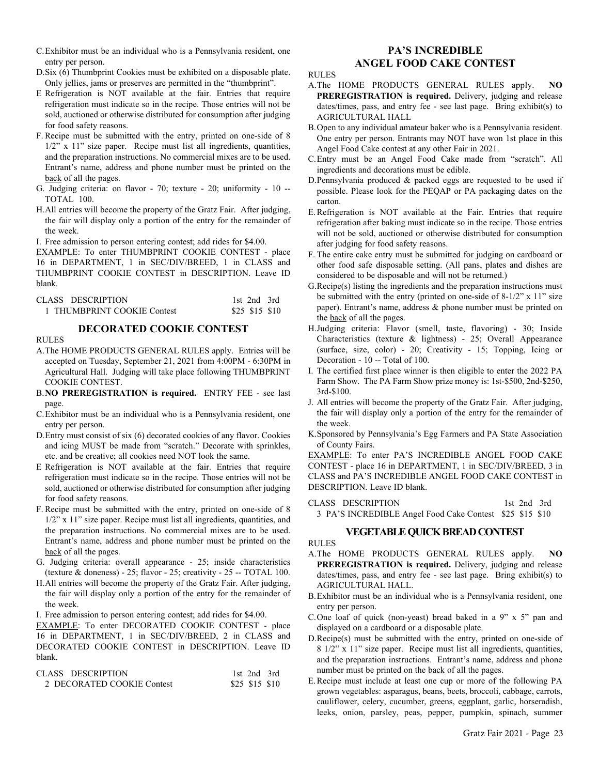- C.Exhibitor must be an individual who is a Pennsylvania resident, one entry per person.
- D.Six (6) Thumbprint Cookies must be exhibited on a disposable plate. Only jellies, jams or preserves are permitted in the "thumbprint".
- E Refrigeration is NOT available at the fair. Entries that require refrigeration must indicate so in the recipe. Those entries will not be sold, auctioned or otherwise distributed for consumption after judging for food safety reasons.
- F. Recipe must be submitted with the entry, printed on one-side of 8 1/2" x 11" size paper. Recipe must list all ingredients, quantities, and the preparation instructions. No commercial mixes are to be used. Entrant's name, address and phone number must be printed on the back of all the pages.
- G. Judging criteria: on flavor 70; texture 20; uniformity 10 -- TOTAL 100.
- H.All entries will become the property of the Gratz Fair. After judging, the fair will display only a portion of the entry for the remainder of the week.

I. Free admission to person entering contest; add rides for \$4.00.

EXAMPLE: To enter THUMBPRINT COOKIE CONTEST - place 16 in DEPARTMENT, 1 in SEC/DIV/BREED, 1 in CLASS and THUMBPRINT COOKIE CONTEST in DESCRIPTION. Leave ID blank.

| CLASS DESCRIPTION           | 1st 2nd 3rd    |
|-----------------------------|----------------|
| 1 THUMBPRINT COOKIE Contest | \$25 \$15 \$10 |

# **DECORATED COOKIE CONTEST**

RULES

- A.The HOME PRODUCTS GENERAL RULES apply. Entries will be accepted on Tuesday, September 21, 2021 from 4:00PM - 6:30PM in Agricultural Hall. Judging will take place following THUMBPRINT COOKIE CONTEST.
- B.**NO PREREGISTRATION is required.** ENTRY FEE see last page.
- C.Exhibitor must be an individual who is a Pennsylvania resident, one entry per person.
- D.Entry must consist of six (6) decorated cookies of any flavor. Cookies and icing MUST be made from "scratch." Decorate with sprinkles, etc. and be creative; all cookies need NOT look the same.
- E Refrigeration is NOT available at the fair. Entries that require refrigeration must indicate so in the recipe. Those entries will not be sold, auctioned or otherwise distributed for consumption after judging for food safety reasons.
- F. Recipe must be submitted with the entry, printed on one-side of 8 1/2" x 11" size paper. Recipe must list all ingredients, quantities, and the preparation instructions. No commercial mixes are to be used. Entrant's name, address and phone number must be printed on the back of all the pages.
- G. Judging criteria: overall appearance 25; inside characteristics (texture  $&$  doneness) - 25; flavor - 25; creativity - 25 -- TOTAL 100.
- H.All entries will become the property of the Gratz Fair. After judging, the fair will display only a portion of the entry for the remainder of the week.
- I. Free admission to person entering contest; add rides for \$4.00.

EXAMPLE: To enter DECORATED COOKIE CONTEST - place 16 in DEPARTMENT, 1 in SEC/DIV/BREED, 2 in CLASS and DECORATED COOKIE CONTEST in DESCRIPTION. Leave ID blank.

| CLASS DESCRIPTION           | 1st 2nd 3rd    |  |
|-----------------------------|----------------|--|
| 2. DECORATED COOKIE Contest | \$25 \$15 \$10 |  |

# **PA'S INCREDIBLE ANGEL FOOD CAKE CONTEST**

RULES

- A.The HOME PRODUCTS GENERAL RULES apply. **NO PREREGISTRATION is required.** Delivery, judging and release dates/times, pass, and entry fee - see last page. Bring exhibit(s) to AGRICULTURAL HALL
- B.Open to any individual amateur baker who is a Pennsylvania resident. One entry per person. Entrants may NOT have won 1st place in this Angel Food Cake contest at any other Fair in 2021.
- C.Entry must be an Angel Food Cake made from "scratch". All ingredients and decorations must be edible.
- D.Pennsylvania produced & packed eggs are requested to be used if possible. Please look for the PEQAP or PA packaging dates on the carton.
- E.Refrigeration is NOT available at the Fair. Entries that require refrigeration after baking must indicate so in the recipe. Those entries will not be sold, auctioned or otherwise distributed for consumption after judging for food safety reasons.
- F. The entire cake entry must be submitted for judging on cardboard or other food safe disposable setting. (All pans, plates and dishes are considered to be disposable and will not be returned.)
- G.Recipe(s) listing the ingredients and the preparation instructions must be submitted with the entry (printed on one-side of 8-1/2" x 11" size paper). Entrant's name, address & phone number must be printed on the back of all the pages.
- H.Judging criteria: Flavor (smell, taste, flavoring) 30; Inside Characteristics (texture & lightness) - 25; Overall Appearance (surface, size, color) - 20; Creativity - 15; Topping, Icing or Decoration - 10 -- Total of 100.
- I. The certified first place winner is then eligible to enter the 2022 PA Farm Show. The PA Farm Show prize money is: 1st-\$500, 2nd-\$250, 3rd-\$100.
- J. All entries will become the property of the Gratz Fair. After judging, the fair will display only a portion of the entry for the remainder of the week.
- K.Sponsored by Pennsylvania's Egg Farmers and PA State Association of County Fairs.

EXAMPLE: To enter PA'S INCREDIBLE ANGEL FOOD CAKE CONTEST - place 16 in DEPARTMENT, 1 in SEC/DIV/BREED, 3 in CLASS and PA'S INCREDIBLE ANGEL FOOD CAKE CONTEST in DESCRIPTION. Leave ID blank.

| CLASS DESCRIPTION                                        |  | 1st $2nd$ $3rd$ |
|----------------------------------------------------------|--|-----------------|
| 3 PA'S INCREDIBLE Angel Food Cake Contest \$25 \$15 \$10 |  |                 |

# **VEGETABLE QUICK BREAD CONTEST**

RULES

- A.The HOME PRODUCTS GENERAL RULES apply. **NO PREREGISTRATION is required.** Delivery, judging and release dates/times, pass, and entry fee - see last page. Bring exhibit(s) to AGRICULTURAL HALL.
- B.Exhibitor must be an individual who is a Pennsylvania resident, one entry per person.
- C.One loaf of quick (non-yeast) bread baked in a 9" x 5" pan and displayed on a cardboard or a disposable plate.
- D.Recipe(s) must be submitted with the entry, printed on one-side of 8 1/2" x 11" size paper. Recipe must list all ingredients, quantities, and the preparation instructions. Entrant's name, address and phone number must be printed on the back of all the pages.
- E.Recipe must include at least one cup or more of the following PA grown vegetables: asparagus, beans, beets, broccoli, cabbage, carrots, cauliflower, celery, cucumber, greens, eggplant, garlic, horseradish, leeks, onion, parsley, peas, pepper, pumpkin, spinach, summer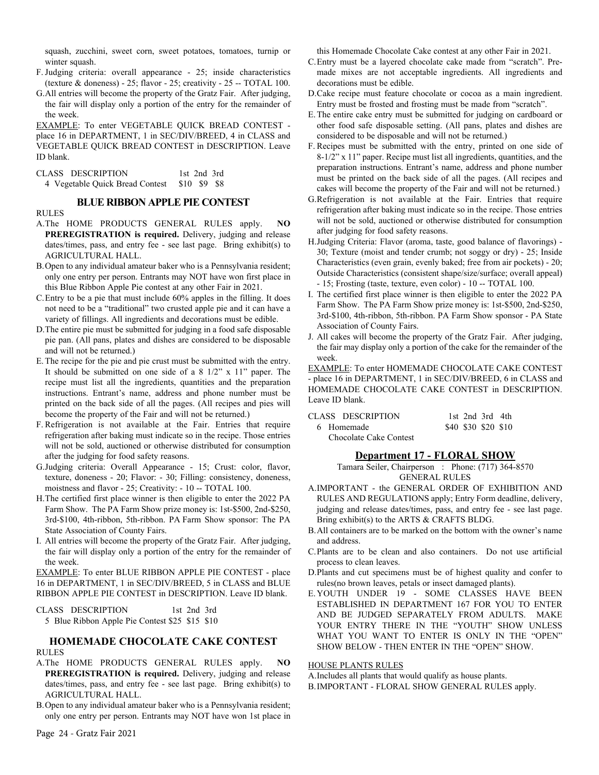squash, zucchini, sweet corn, sweet potatoes, tomatoes, turnip or winter squash.

- F.Judging criteria: overall appearance 25; inside characteristics (texture  $&$  doneness) - 25; flavor - 25; creativity - 25 -- TOTAL 100.
- G.All entries will become the property of the Gratz Fair. After judging, the fair will display only a portion of the entry for the remainder of the week.

EXAMPLE: To enter VEGETABLE QUICK BREAD CONTEST place 16 in DEPARTMENT, 1 in SEC/DIV/BREED, 4 in CLASS and VEGETABLE QUICK BREAD CONTEST in DESCRIPTION. Leave ID blank.

| CLASS DESCRIPTION                            | 1st 2nd 3rd |  |
|----------------------------------------------|-------------|--|
| 4 Vegetable Quick Bread Contest \$10 \$9 \$8 |             |  |

#### **BLUE RIBBON APPLE PIE CONTEST**

#### RULES

- A.The HOME PRODUCTS GENERAL RULES apply. **NO PREREGISTRATION is required.** Delivery, judging and release dates/times, pass, and entry fee - see last page. Bring exhibit(s) to AGRICULTURAL HALL.
- B.Open to any individual amateur baker who is a Pennsylvania resident; only one entry per person. Entrants may NOT have won first place in this Blue Ribbon Apple Pie contest at any other Fair in 2021.
- C.Entry to be a pie that must include 60% apples in the filling. It does not need to be a "traditional" two crusted apple pie and it can have a variety of fillings. All ingredients and decorations must be edible.
- D.The entire pie must be submitted for judging in a food safe disposable pie pan. (All pans, plates and dishes are considered to be disposable and will not be returned.)
- E.The recipe for the pie and pie crust must be submitted with the entry. It should be submitted on one side of a 8 1/2" x 11" paper. The recipe must list all the ingredients, quantities and the preparation instructions. Entrant's name, address and phone number must be printed on the back side of all the pages. (All recipes and pies will become the property of the Fair and will not be returned.)
- F. Refrigeration is not available at the Fair. Entries that require refrigeration after baking must indicate so in the recipe. Those entries will not be sold, auctioned or otherwise distributed for consumption after the judging for food safety reasons.
- G.Judging criteria: Overall Appearance 15; Crust: color, flavor, texture, doneness - 20; Flavor: - 30; Filling: consistency, doneness, moistness and flavor - 25; Creativity: - 10 -- TOTAL 100.
- H.The certified first place winner is then eligible to enter the 2022 PA Farm Show. The PA Farm Show prize money is: 1st-\$500, 2nd-\$250, 3rd-\$100, 4th-ribbon, 5th-ribbon. PA Farm Show sponsor: The PA State Association of County Fairs.
- I. All entries will become the property of the Gratz Fair. After judging, the fair will display only a portion of the entry for the remainder of the week.

EXAMPLE: To enter BLUE RIBBON APPLE PIE CONTEST - place 16 in DEPARTMENT, 1 in SEC/DIV/BREED, 5 in CLASS and BLUE RIBBON APPLE PIE CONTEST in DESCRIPTION. Leave ID blank.

| CLASS DESCRIPTION                              | 1st 2nd 3rd |  |
|------------------------------------------------|-------------|--|
| 5 Blue Ribbon Apple Pie Contest \$25 \$15 \$10 |             |  |

#### **HOMEMADE CHOCOLATE CAKE CONTEST** RULES

- A.The HOME PRODUCTS GENERAL RULES apply. **NO PREREGISTRATION is required.** Delivery, judging and release dates/times, pass, and entry fee - see last page. Bring exhibit(s) to AGRICULTURAL HALL.
- B.Open to any individual amateur baker who is a Pennsylvania resident; only one entry per person. Entrants may NOT have won 1st place in

this Homemade Chocolate Cake contest at any other Fair in 2021.

- C.Entry must be a layered chocolate cake made from "scratch". Premade mixes are not acceptable ingredients. All ingredients and decorations must be edible.
- D.Cake recipe must feature chocolate or cocoa as a main ingredient. Entry must be frosted and frosting must be made from "scratch".
- E.The entire cake entry must be submitted for judging on cardboard or other food safe disposable setting. (All pans, plates and dishes are considered to be disposable and will not be returned.)
- F. Recipes must be submitted with the entry, printed on one side of 8-1/2" x 11" paper. Recipe must list all ingredients, quantities, and the preparation instructions. Entrant's name, address and phone number must be printed on the back side of all the pages. (All recipes and cakes will become the property of the Fair and will not be returned.)
- G.Refrigeration is not available at the Fair. Entries that require refrigeration after baking must indicate so in the recipe. Those entries will not be sold, auctioned or otherwise distributed for consumption after judging for food safety reasons.
- H.Judging Criteria: Flavor (aroma, taste, good balance of flavorings) 30; Texture (moist and tender crumb; not soggy or dry) - 25; Inside Characteristics (even grain, evenly baked; free from air pockets) - 20; Outside Characteristics (consistent shape/size/surface; overall appeal) - 15; Frosting (taste, texture, even color) - 10 -- TOTAL 100.
- I. The certified first place winner is then eligible to enter the 2022 PA Farm Show. The PA Farm Show prize money is: 1st-\$500, 2nd-\$250, 3rd-\$100, 4th-ribbon, 5th-ribbon. PA Farm Show sponsor - PA State Association of County Fairs.
- J. All cakes will become the property of the Gratz Fair. After judging, the fair may display only a portion of the cake for the remainder of the week.

EXAMPLE: To enter HOMEMADE CHOCOLATE CAKE CONTEST - place 16 in DEPARTMENT, 1 in SEC/DIV/BREED, 6 in CLASS and HOMEMADE CHOCOLATE CAKE CONTEST in DESCRIPTION. Leave ID blank.

| CLASS DESCRIPTION      |  | 1st $2nd$ 3rd $4th$ |  |
|------------------------|--|---------------------|--|
| 6 Homemade             |  | \$40 \$30 \$20 \$10 |  |
| Chocolate Cake Contest |  |                     |  |

#### **Department 17 - FLORAL SHOW**

Tamara Seiler, Chairperson : Phone: (717) 364-8570 GENERAL RULES

- A.IMPORTANT the GENERAL ORDER OF EXHIBITION AND RULES AND REGULATIONS apply; Entry Form deadline, delivery, judging and release dates/times, pass, and entry fee - see last page. Bring exhibit(s) to the ARTS & CRAFTS BLDG.
- B.All containers are to be marked on the bottom with the owner's name and address.
- C.Plants are to be clean and also containers. Do not use artificial process to clean leaves.
- D.Plants and cut specimens must be of highest quality and confer to rules(no brown leaves, petals or insect damaged plants).
- E.YOUTH UNDER 19 SOME CLASSES HAVE BEEN ESTABLISHED IN DEPARTMENT 167 FOR YOU TO ENTER AND BE JUDGED SEPARATELY FROM ADULTS. MAKE YOUR ENTRY THERE IN THE "YOUTH" SHOW UNLESS WHAT YOU WANT TO ENTER IS ONLY IN THE "OPEN" SHOW BELOW - THEN ENTER IN THE "OPEN" SHOW.

#### HOUSE PLANTS RULES

A.Includes all plants that would qualify as house plants.

B.IMPORTANT - FLORAL SHOW GENERAL RULES apply.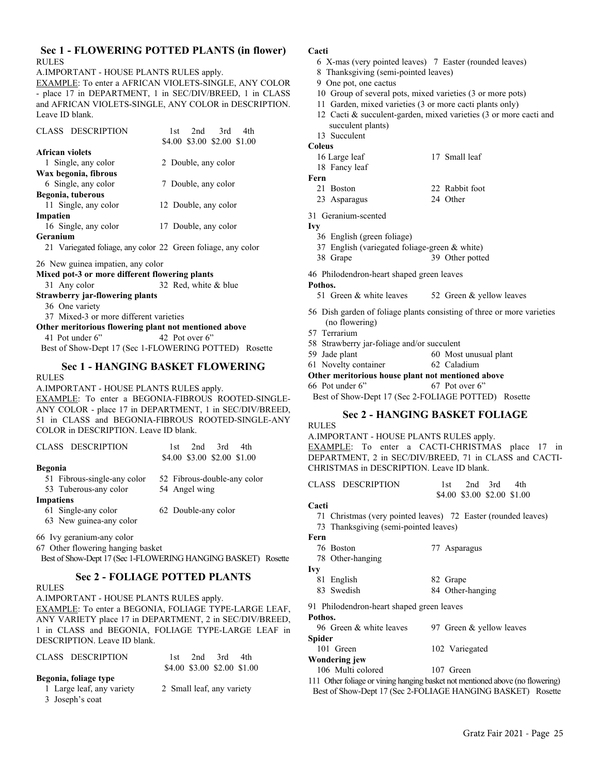## **Sec 1 - FLOWERING POTTED PLANTS (in flower)** RULES

A.IMPORTANT - HOUSE PLANTS RULES apply.

EXAMPLE: To enter a AFRICAN VIOLETS-SINGLE, ANY COLOR - place 17 in DEPARTMENT, 1 in SEC/DIV/BREED, 1 in CLASS and AFRICAN VIOLETS-SINGLE, ANY COLOR in DESCRIPTION. Leave ID blank.

| <b>CLASS DESCRIPTION</b> | 2nd<br>3rd<br>4th<br>1st    |
|--------------------------|-----------------------------|
|                          | \$4.00 \$3.00 \$2.00 \$1.00 |
| <b>African violets</b>   |                             |
| 1 Single, any color      | 2 Double, any color         |
| Wax begonia, fibrous     |                             |
| 6 Single, any color      | 7 Double, any color         |
| Begonia, tuberous        |                             |
| 11 Single, any color     | 12 Double, any color        |
| Impatien                 |                             |
| 16 Single, any color     | 17 Double, any color        |
| Geranium                 |                             |
| $21 T$ , $101$           | $\sim$ $\sim$               |

21 Variegated foliage, any color 22 Green foliage, any color

26 New guinea impatien, any color

- **Mixed pot-3 or more different flowering plants** 31 Any color 32 Red, white & blue
- 

# **Strawberry jar-flowering plants**

36 One variety

37 Mixed-3 or more different varieties

**Other meritorious flowering plant not mentioned above** 41 Pot under 6" 42 Pot over 6"

Best of Show-Dept 17 (Sec 1-FLOWERING POTTED) Rosette

#### **Sec 1 - HANGING BASKET FLOWERING** RULES

A.IMPORTANT - HOUSE PLANTS RULES apply. EXAMPLE: To enter a BEGONIA-FIBROUS ROOTED-SINGLE-ANY COLOR - place 17 in DEPARTMENT, 1 in SEC/DIV/BREED,

51 in CLASS and BEGONIA-FIBROUS ROOTED-SINGLE-ANY COLOR in DESCRIPTION. Leave ID blank.

|                  |                             | \$4.00 \$3.00 \$2.00 \$1.00 |
|------------------|-----------------------------|-----------------------------|
| Begonia          |                             |                             |
|                  | 51 Fibrous-single-any color | 52 Fibrous-double-any color |
|                  | 53 Tuberous-any color       | 54 Angel wing               |
| <b>Impatiens</b> |                             |                             |
|                  | 61 Single-any color         | 62 Double-any color         |
|                  | 63 New guinea-any color     |                             |

CLASS DESCRIPTION 1st 2nd 3rd 4th

66 Ivy geranium-any color

67 Other flowering hanging basket

Best of Show-Dept 17 (Sec 1-FLOWERING HANGING BASKET) Rosette

# **Sec 2 - FOLIAGE POTTED PLANTS**

RULES

#### A.IMPORTANT - HOUSE PLANTS RULES apply.

EXAMPLE: To enter a BEGONIA, FOLIAGE TYPE-LARGE LEAF, ANY VARIETY place 17 in DEPARTMENT, 2 in SEC/DIV/BREED, 1 in CLASS and BEGONIA, FOLIAGE TYPE-LARGE LEAF in DESCRIPTION. Leave ID blank.

| CLASS DESCRIPTION         | $2nd$ 3rd<br>4th<br>1st -   |
|---------------------------|-----------------------------|
|                           | \$4.00 \$3.00 \$2.00 \$1.00 |
| Begonia, foliage type     |                             |
| 1 Large leaf, any variety | 2 Small leaf, any variety   |
| 3 Joseph's coat           |                             |

#### **Cacti**

- 6 X-mas (very pointed leaves) 7 Easter (rounded leaves)
	- 8 Thanksgiving (semi-pointed leaves)
	- 9 One pot, one cactus
	- 10 Group of several pots, mixed varieties (3 or more pots)
	- 11 Garden, mixed varieties (3 or more cacti plants only)
	- 12 Cacti & succulent-garden, mixed varieties (3 or more cacti and succulent plants)
	- 13 Succulent

#### **Coleus**

- 16 Large leaf 17 Small leaf
- 18 Fancy leaf

# **Fern**

- 21 Boston 22 Rabbit foot
- 23 Asparagus 24 Other

31 Geranium-scented

- **Ivy**
	- 36 English (green foliage)
	- 37 English (variegated foliage-green & white)
	- 38 Grape 39 Other potted

46 Philodendron-heart shaped green leaves

#### **Pothos.**

51 Green & white leaves 52 Green & yellow leaves

- 56 Dish garden of foliage plants consisting of three or more varieties (no flowering)
- 57 Terrarium
- 58 Strawberry jar-foliage and/or succulent
- 59 Jade plant 60 Most unusual plant
- 61 Novelty container 62 Caladium

**Other meritorious house plant not mentioned above**

66 Pot under 6" 67 Pot over 6"

Best of Show-Dept 17 (Sec 2-FOLIAGE POTTED) Rosette

# **Sec 2 - HANGING BASKET FOLIAGE**

RULES

A.IMPORTANT - HOUSE PLANTS RULES apply. EXAMPLE: To enter a CACTI-CHRISTMAS place 17 in DEPARTMENT, 2 in SEC/DIV/BREED, 71 in CLASS and CACTI-CHRISTMAS in DESCRIPTION. Leave ID blank.

CLASS DESCRIPTION 1st 2nd 3rd 4th

\$4.00 \$3.00 \$2.00 \$1.00

#### **Cacti**

- 71 Christmas (very pointed leaves) 72 Easter (rounded leaves)
- 73 Thanksgiving (semi-pointed leaves)
- **Fern**
	- 76 Boston 77 Asparagus
	- 78 Other-hanging
- **Ivy**
	- 81 English 82 Grape 83 Swedish 84 Other-hanging

91 Philodendron-heart shaped green leaves

# **Pothos.**

96 Green & white leaves 97 Green & yellow leaves **Spider** 101 Green 102 Variegated **Wondering jew**

106 Multi colored 107 Green

111 Other foliage or vining hanging basket not mentioned above (no flowering) Best of Show-Dept 17 (Sec 2-FOLIAGE HANGING BASKET) Rosette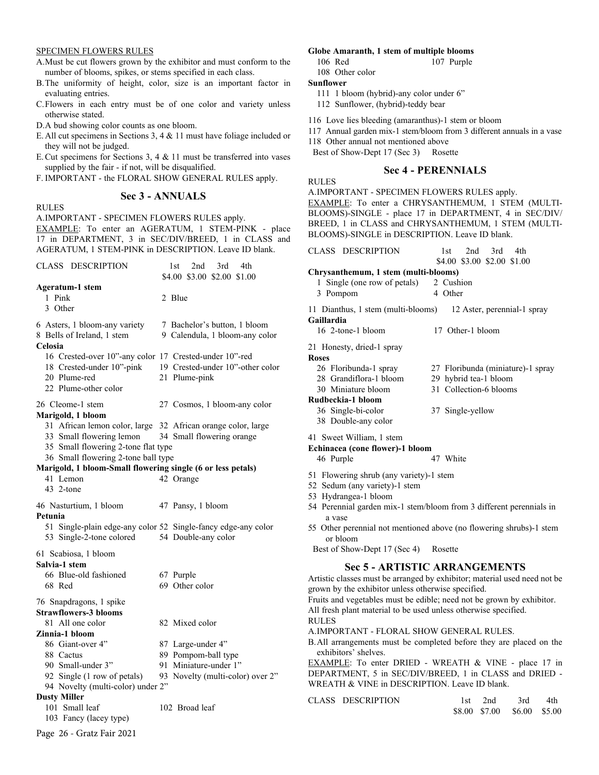#### SPECIMEN FLOWERS RULES

RULES

- A.Must be cut flowers grown by the exhibitor and must conform to the number of blooms, spikes, or stems specified in each class.
- B.The uniformity of height, color, size is an important factor in evaluating entries.
- C.Flowers in each entry must be of one color and variety unless otherwise stated.
- D.A bud showing color counts as one bloom.
- E.All cut specimens in Sections 3, 4 & 11 must have foliage included or they will not be judged.
- E.Cut specimens for Sections 3, 4 & 11 must be transferred into vases supplied by the fair - if not, will be disqualified.
- F. IMPORTANT the FLORAL SHOW GENERAL RULES apply.

#### **Sec 3 - ANNUALS**

A.IMPORTANT - SPECIMEN FLOWERS RULES apply. EXAMPLE: To enter an AGERATUM, 1 STEM-PINK - place 17 in DEPARTMENT, 3 in SEC/DIV/BREED, 1 in CLASS and AGERATUM, 1 STEM-PINK in DESCRIPTION. Leave ID blank.

| CLASS DESCRIPTION                                                                                                                                                                                                                                          | 3rd<br>2nd<br>4th<br>1st<br>\$4.00 \$3.00 \$2.00 \$1.00                              |
|------------------------------------------------------------------------------------------------------------------------------------------------------------------------------------------------------------------------------------------------------------|--------------------------------------------------------------------------------------|
| <b>Ageratum-1 stem</b><br>1 Pink<br>3 Other                                                                                                                                                                                                                | 2 Blue                                                                               |
| 6 Asters, 1 bloom-any variety<br>8 Bells of Ireland, 1 stem<br>Celosia                                                                                                                                                                                     | 7 Bachelor's button, 1 bloom<br>9 Calendula, 1 bloom-any color                       |
| 16 Crested-over 10"-any color 17 Crested-under 10"-red<br>18 Crested-under 10"-pink<br>20 Plume-red<br>22 Plume-other color                                                                                                                                | 19 Crested-under 10"-other color<br>21 Plume-pink                                    |
| 26 Cleome-1 stem                                                                                                                                                                                                                                           | 27 Cosmos, 1 bloom-any color                                                         |
| Marigold, 1 bloom<br>31 African lemon color, large 32 African orange color, large<br>33 Small flowering lemon<br>35 Small flowering 2-tone flat type<br>36 Small flowering 2-tone ball type<br>Marigold, 1 bloom-Small flowering single (6 or less petals) | 34 Small flowering orange                                                            |
| 41 Lemon<br>43 2-tone                                                                                                                                                                                                                                      | 42 Orange                                                                            |
| 46 Nasturtium, 1 bloom<br>Petunia                                                                                                                                                                                                                          | 47 Pansy, 1 bloom                                                                    |
| 53 Single-2-tone colored                                                                                                                                                                                                                                   | 51 Single-plain edge-any color 52 Single-fancy edge-any color<br>54 Double-any color |
| 61 Scabiosa, 1 bloom<br>Salvia-1 stem<br>66 Blue-old fashioned                                                                                                                                                                                             | 67 Purple                                                                            |
| 68 Red                                                                                                                                                                                                                                                     | 69 Other color                                                                       |
| 76 Snapdragons, 1 spike<br><b>Strawflowers-3 blooms</b><br>81 All one color                                                                                                                                                                                | 82 Mixed color                                                                       |
| Zinnia-1 bloom                                                                                                                                                                                                                                             |                                                                                      |
| 86 Giant-over 4"<br>88 Cactus                                                                                                                                                                                                                              | 87 Large-under 4"<br>89 Pompom-ball type                                             |
| 90 Small-under 3"                                                                                                                                                                                                                                          | 91 Miniature-under 1"                                                                |
| 92 Single (1 row of petals)                                                                                                                                                                                                                                | 93 Novelty (multi-color) over 2"                                                     |
| 94 Novelty (multi-color) under 2"                                                                                                                                                                                                                          |                                                                                      |
| <b>Dusty Miller</b><br>101 Small leaf<br>103 Fancy (lacey type)                                                                                                                                                                                            | 102 Broad leaf                                                                       |
| Page 26 - Gratz Fair 2021                                                                                                                                                                                                                                  |                                                                                      |

#### **Globe Amaranth, 1 stem of multiple blooms**

- 106 Red 107 Purple
- 108 Other color

```
Sunflower
```
- 111 1 bloom (hybrid)-any color under 6"
- 112 Sunflower, (hybrid)-teddy bear
- 116 Love lies bleeding (amaranthus)-1 stem or bloom
- 117 Annual garden mix-1 stem/bloom from 3 different annuals in a vase

118 Other annual not mentioned above

Best of Show-Dept 17 (Sec 3) Rosette

#### **Sec 4 - PERENNIALS**

RULES

A.IMPORTANT - SPECIMEN FLOWERS RULES apply. EXAMPLE: To enter a CHRYSANTHEMUM, 1 STEM (MULTI-BLOOMS)-SINGLE - place 17 in DEPARTMENT, 4 in SEC/DIV/ BREED, 1 in CLASS and CHRYSANTHEMUM, 1 STEM (MULTI-BLOOMS)-SINGLE in DESCRIPTION. Leave ID blank.

| CLASS DESCRIPTION                                                                                                                                                                                                                                                                                                                                                                                                                                                                                                                                                                                                                                  | 1st<br>2nd 3rd<br>4th<br>\$4.00 \$3.00 \$2.00 \$1.00                                                     |  |
|----------------------------------------------------------------------------------------------------------------------------------------------------------------------------------------------------------------------------------------------------------------------------------------------------------------------------------------------------------------------------------------------------------------------------------------------------------------------------------------------------------------------------------------------------------------------------------------------------------------------------------------------------|----------------------------------------------------------------------------------------------------------|--|
| Chrysanthemum, 1 stem (multi-blooms)                                                                                                                                                                                                                                                                                                                                                                                                                                                                                                                                                                                                               |                                                                                                          |  |
| 1 Single (one row of petals)<br>3 Pompom                                                                                                                                                                                                                                                                                                                                                                                                                                                                                                                                                                                                           | 2 Cushion<br>4 Other                                                                                     |  |
| 11 Dianthus, 1 stem (multi-blooms)<br>Gaillardia<br>16 2-tone-1 bloom                                                                                                                                                                                                                                                                                                                                                                                                                                                                                                                                                                              | 12 Aster, perennial-1 spray<br>17 Other-1 bloom                                                          |  |
| 21 Honesty, dried-1 spray<br><b>Roses</b><br>26 Floribunda-1 spray<br>28 Grandiflora-1 bloom<br>30 Miniature bloom<br>Rudbeckia-1 bloom<br>36 Single-bi-color<br>38 Double-any color                                                                                                                                                                                                                                                                                                                                                                                                                                                               | 27 Floribunda (miniature)-1 spray<br>29 hybrid tea-1 bloom<br>31 Collection-6 blooms<br>37 Single-yellow |  |
| 41 Sweet William, 1 stem<br>Echinacea (cone flower)-1 bloom<br>46 Purple                                                                                                                                                                                                                                                                                                                                                                                                                                                                                                                                                                           | 47 White                                                                                                 |  |
| 51 Flowering shrub (any variety)-1 stem<br>52 Sedum (any variety)-1 stem<br>53 Hydrangea-1 bloom<br>54 Perennial garden mix-1 stem/bloom from 3 different perennials in<br>a vase<br>55 Other perennial not mentioned above (no flowering shrubs)-1 stem<br>or bloom<br>Best of Show-Dept 17 (Sec 4)<br>Rosette                                                                                                                                                                                                                                                                                                                                    |                                                                                                          |  |
| <b>Sec 5 - ARTISTIC ARRANGEMENTS</b><br>Artistic classes must be arranged by exhibitor; material used need not be<br>grown by the exhibitor unless otherwise specified.<br>Fruits and vegetables must be edible; need not be grown by exhibitor.<br>All fresh plant material to be used unless otherwise specified.<br><b>RULES</b><br>A.IMPORTANT - FLORAL SHOW GENERAL RULES.<br>B. All arrangements must be completed before they are placed on the<br>exhibitors' shelves.<br>EXAMPLE: To enter DRIED - WREATH & VINE - place 17 in<br>DEPARTMENT, 5 in SEC/DIV/BREED, 1 in CLASS and DRIED -<br>WREATH & VINE in DESCRIPTION. Leave ID blank. |                                                                                                          |  |
| CLASS DESCRIPTION                                                                                                                                                                                                                                                                                                                                                                                                                                                                                                                                                                                                                                  | $1st$ 2nd<br>3rd 4th                                                                                     |  |

| ULADO DEOUNIFIIUN | TSL ZNCL | эга                         | - 4-ա |
|-------------------|----------|-----------------------------|-------|
|                   |          | \$8.00 \$7.00 \$6.00 \$5.00 |       |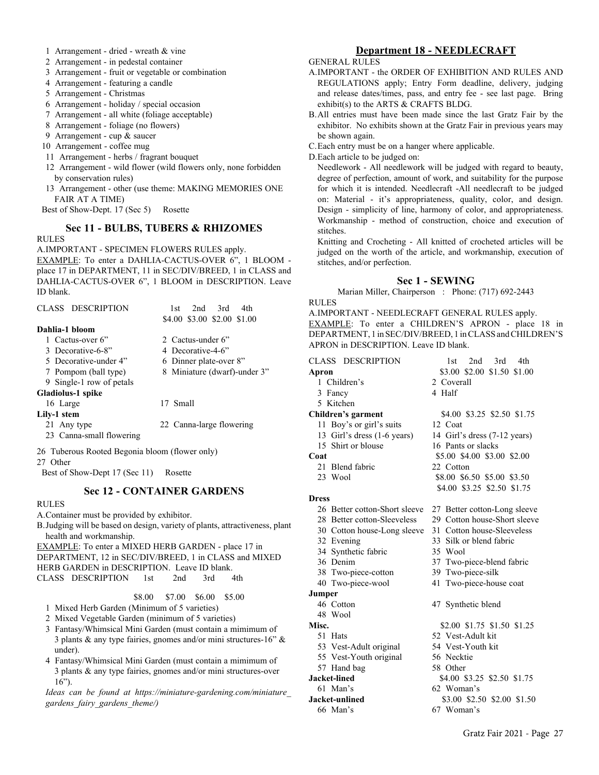- 1 Arrangement dried wreath & vine
- 2 Arrangement in pedestal container
- 3 Arrangement fruit or vegetable or combination
- 4 Arrangement featuring a candle
- 5 Arrangement Christmas
- 6 Arrangement holiday / special occasion
- 7 Arrangement all white (foliage acceptable)
- 8 Arrangement foliage (no flowers)
- 9 Arrangement cup & saucer
- 10 Arrangement coffee mug
- 11 Arrangement herbs / fragrant bouquet
- 12 Arrangement wild flower (wild flowers only, none forbidden by conservation rules)
- 13 Arrangement other (use theme: MAKING MEMORIES ONE FAIR AT A TIME)

Best of Show-Dept. 17 (Sec 5) Rosette

#### **Sec 11 - BULBS, TUBERS & RHIZOMES**

#### RULES

A.IMPORTANT - SPECIMEN FLOWERS RULES apply. EXAMPLE: To enter a DAHLIA-CACTUS-OVER 6", 1 BLOOM place 17 in DEPARTMENT, 11 in SEC/DIV/BREED, 1 in CLASS and DAHLIA-CACTUS-OVER 6", 1 BLOOM in DESCRIPTION. Leave ID blank.

| CLASS DESCRIPTION        | 2nd<br>3rd<br>4th<br>1st     |
|--------------------------|------------------------------|
|                          | \$4.00 \$3.00 \$2.00 \$1.00  |
| Dahlia-1 bloom           |                              |
| 1 Cactus-over 6"         | 2 Cactus-under 6"            |
| 3 Decorative-6-8"        | 4 Decorative-4-6"            |
| 5 Decorative-under 4"    | 6 Dinner plate-over 8"       |
| 7 Pompom (ball type)     | 8 Miniature (dwarf)-under 3" |
| 9 Single-1 row of petals |                              |
| Gladiolus-1 spike        |                              |
| 16 Large                 | 17 Small                     |
| Lily-1 stem              |                              |
| 21 Any type              | 22 Canna-large flowering     |
| 23 Canna-small flowering |                              |
|                          |                              |

- 26 Tuberous Rooted Begonia bloom (flower only)
- 27 Other
- Best of Show-Dept 17 (Sec 11) Rosette

#### **Sec 12 - CONTAINER GARDENS**

#### RULES

A.Container must be provided by exhibitor.

B.Judging will be based on design, variety of plants, attractiveness, plant health and workmanship.

EXAMPLE: To enter a MIXED HERB GARDEN - place 17 in DEPARTMENT, 12 in SEC/DIV/BREED, 1 in CLASS and MIXED HERB GARDEN in DESCRIPTION. Leave ID blank. CLASS DESCRIPTION 1st 2nd 3rd 4th

- \$8.00 \$7.00 \$6.00 \$5.00
- 1 Mixed Herb Garden (Minimum of 5 varieties)
- 2 Mixed Vegetable Garden (minimum of 5 varieties)
- 3 Fantasy/Whimsical Mini Garden (must contain a mimimum of 3 plants & any type fairies, gnomes and/or mini structures-16" & under).
- 4 Fantasy/Whimsical Mini Garden (must contain a mimimum of 3 plants & any type fairies, gnomes and/or mini structures-over 16").

*Ideas can be found at https://miniature-gardening.com/miniature\_ gardens\_fairy\_gardens\_theme/)*

# **Department 18 - NEEDLECRAFT**

#### GENERAL RULES

- A.IMPORTANT the ORDER OF EXHIBITION AND RULES AND REGULATIONS apply; Entry Form deadline, delivery, judging and release dates/times, pass, and entry fee - see last page. Bring exhibit(s) to the ARTS & CRAFTS BLDG.
- B.All entries must have been made since the last Gratz Fair by the exhibitor. No exhibits shown at the Gratz Fair in previous years may be shown again.
- C.Each entry must be on a hanger where applicable.
- D.Each article to be judged on:

Needlework - All needlework will be judged with regard to beauty, degree of perfection, amount of work, and suitability for the purpose for which it is intended. Needlecraft -All needlecraft to be judged on: Material - it's appropriateness, quality, color, and design. Design - simplicity of line, harmony of color, and appropriateness. Workmanship - method of construction, choice and execution of stitches.

Knitting and Crocheting - All knitted of crocheted articles will be judged on the worth of the article, and workmanship, execution of stitches, and/or perfection.

#### **Sec 1 - SEWING**

Marian Miller, Chairperson : Phone: (717) 692-2443

RULES

A.IMPORTANT - NEEDLECRAFT GENERAL RULES apply. EXAMPLE: To enter a CHILDREN'S APRON - place 18 in DEPARTMENT, 1 in SEC/DIV/BREED, 1 in CLASS and CHILDREN'S APRON in DESCRIPTION. Leave ID blank.

| CLASS DESCRIPTION             | 2nd<br>3rd<br>4th<br>1st     |  |
|-------------------------------|------------------------------|--|
| Apron                         | \$3.00 \$2.00 \$1.50 \$1.00  |  |
| 1 Children's                  | 2 Coverall                   |  |
| 3 Fancy                       | 4 Half                       |  |
| 5 Kitchen                     |                              |  |
| Children's garment            | \$4.00 \$3.25 \$2.50 \$1.75  |  |
| 11 Boy's or girl's suits      | 12 Coat                      |  |
| 13 Girl's dress (1-6 years)   | 14 Girl's dress (7-12 years) |  |
| 15 Shirt or blouse            | 16 Pants or slacks           |  |
| Coat                          | \$5.00 \$4.00 \$3.00 \$2.00  |  |
| 21 Blend fabric               | 22 Cotton                    |  |
| 23 Wool                       | \$8.00 \$6.50 \$5.00 \$3.50  |  |
|                               | \$4.00 \$3.25 \$2.50 \$1.75  |  |
| <b>Dress</b>                  |                              |  |
| 26 Better cotton-Short sleeve | 27 Better cotton-Long sleeve |  |
| 28 Better cotton-Sleeveless   | 29 Cotton house-Short sleeve |  |
| 30 Cotton house-Long sleeve   | 31 Cotton house-Sleeveless   |  |
| 32 Evening                    | 33 Silk or blend fabric      |  |
| 34 Synthetic fabric           | 35 Wool                      |  |
| 36 Denim                      | 37 Two-piece-blend fabric    |  |
| 38 Two-piece-cotton           | 39 Two-piece-silk            |  |
| 40 Two-piece-wool             | 41 Two-piece-house coat      |  |
| Jumper                        |                              |  |
| 46 Cotton                     | 47 Synthetic blend           |  |
| 48 Wool                       |                              |  |
| Misc.                         | \$2.00 \$1.75 \$1.50 \$1.25  |  |
| 51 Hats                       | 52 Vest-Adult kit            |  |
| 53 Vest-Adult original        | 54 Vest-Youth kit            |  |
| 55 Vest-Youth original        | 56 Necktie                   |  |
| 57 Hand bag                   | 58 Other                     |  |
| <b>Jacket-lined</b>           | \$4.00 \$3.25 \$2.50 \$1.75  |  |
| 61 Man's                      | 62 Woman's                   |  |
| Jacket-unlined                | \$3.00 \$2.50 \$2.00 \$1.50  |  |
| 66 Man's                      | 67 Woman's                   |  |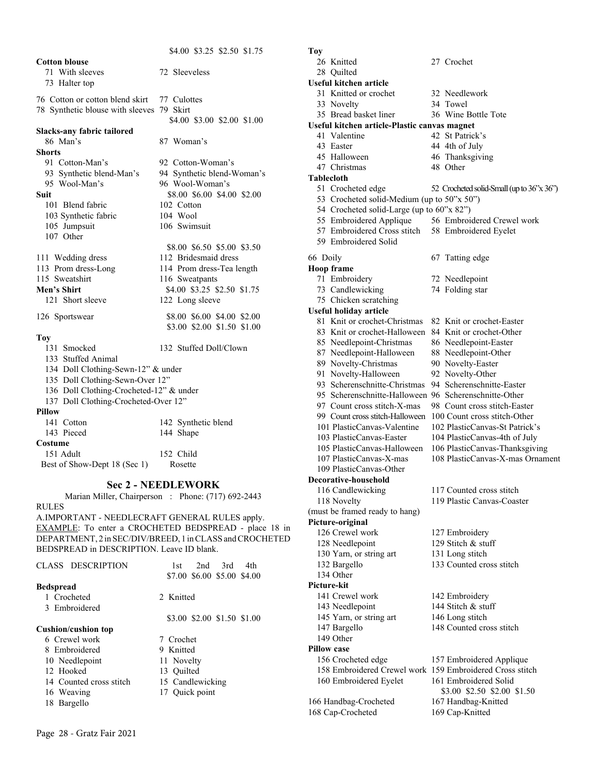|                                           | \$4.00 \$3.25 \$2.50 \$1.75 |  |
|-------------------------------------------|-----------------------------|--|
| <b>Cotton blouse</b>                      |                             |  |
| 71 With sleeves                           | 72 Sleeveless               |  |
| 73 Halter top                             |                             |  |
|                                           |                             |  |
| 76 Cotton or cotton blend skirt           | 77 Culottes                 |  |
| 78 Synthetic blouse with sleeves 79 Skirt |                             |  |
|                                           | \$4.00 \$3.00 \$2.00 \$1.00 |  |
| Slacks-any fabric tailored<br>86 Man's    | 87 Woman's                  |  |
| <b>Shorts</b>                             |                             |  |
|                                           |                             |  |
| 91 Cotton-Man's                           | 92 Cotton-Woman's           |  |
| 93 Synthetic blend-Man's                  | 94 Synthetic blend-Woman's  |  |
| 95 Wool-Man's                             | 96 Wool-Woman's             |  |
| Suit                                      | \$8.00 \$6.00 \$4.00 \$2.00 |  |
| 101 Blend fabric                          | 102 Cotton                  |  |
| 103 Synthetic fabric                      | 104 Wool                    |  |
| 105 Jumpsuit                              | 106 Swimsuit                |  |
| 107 Other                                 |                             |  |
|                                           | \$8.00 \$6.50 \$5.00 \$3.50 |  |
| 111 Wedding dress                         | 112 Bridesmaid dress        |  |
| 113 Prom dress-Long                       | 114 Prom dress-Tea length   |  |
| 115 Sweatshirt                            | 116 Sweatpants              |  |
| Men's Shirt                               | \$4.00 \$3.25 \$2.50 \$1.75 |  |
| 121 Short sleeve                          | 122 Long sleeve             |  |
|                                           | \$8.00 \$6.00 \$4.00 \$2.00 |  |
| 126 Sportswear                            |                             |  |
|                                           | \$3.00 \$2.00 \$1.50 \$1.00 |  |
| <b>Toy</b><br>131 Smocked                 | 132 Stuffed Doll/Clown      |  |
|                                           |                             |  |
| 133 Stuffed Animal                        |                             |  |
| 134 Doll Clothing-Sewn-12" & under        |                             |  |
| 135 Doll Clothing-Sewn-Over 12"           |                             |  |
| 136 Doll Clothing-Crocheted-12" & under   |                             |  |
| 137 Doll Clothing-Crocheted-Over 12"      |                             |  |
| <b>Pillow</b>                             |                             |  |
| 141 Cotton                                | 142 Synthetic blend         |  |
| 143 Pieced                                | 144 Shape                   |  |
| Costume                                   |                             |  |
| 151 Adult                                 | 152 Child                   |  |
| Best of Show-Dept 18 (Sec 1)              | Rosette                     |  |

#### **Sec 2 - NEEDLEWORK**

Marian Miller, Chairperson : Phone: (717) 692-2443 RULES

A.IMPORTANT - NEEDLECRAFT GENERAL RULES apply. EXAMPLE: To enter a CROCHETED BEDSPREAD - place 18 in DEPARTMENT, 2 in SEC/DIV/BREED, 1 in CLASS and CROCHETED BEDSPREAD in DESCRIPTION. Leave ID blank.

| CLASS DESCRIPTION          | 3rd<br>2nd<br>4th<br>1st    |  |
|----------------------------|-----------------------------|--|
|                            | \$7.00 \$6.00 \$5.00 \$4.00 |  |
| <b>Bedspread</b>           |                             |  |
| 1 Crocheted                | 2. Knitted                  |  |
| 3 Embroidered              |                             |  |
|                            | \$3.00 \$2.00 \$1.50 \$1.00 |  |
| <b>Cushion/cushion top</b> |                             |  |
| 6 Crewel work              | 7 Crochet                   |  |
| 8 Embroidered              | 9 Knitted                   |  |
| 10 Needlepoint             | 11 Novelty                  |  |
| 12. Hooked                 | 13 Ouilted                  |  |
| 14 Counted cross stitch    | 15 Candlewicking            |  |
| 16 Weaving                 | 17 Quick point              |  |
| 18 Bargello                |                             |  |
|                            |                             |  |

Page 28 - Gratz Fair 2021

**Toy** 26 Knitted 27 Crochet 28 Quilted **Useful kitchen article** 31 Knitted or crochet 32 Needlework 33 Novelty 34 Towel 35 Bread basket liner 36 Wine Bottle Tote **Useful kitchen article-Plastic canvas magnet** 41 Valentine 42 St Patrick's 43 Easter 44 4th of July 45 Halloween 46 Thanksgiving 47 Christmas 48 Other **Tablecloth** 51 Crocheted edge 52 Crocheted solid-Small (up to 36"x 36") 53 Crocheted solid-Medium (up to 50"x 50") 54 Crocheted solid-Large (up to 60"x 82") 55 Embroidered Applique 56 Embroidered Crewel work 57 Embroidered Cross stitch 58 Embroidered Eyelet 59 Embroidered Solid 66 Doily 67 Tatting edge **Hoop frame** 71 Embroidery 72 Needlepoint 73 Candlewicking 74 Folding star 75 Chicken scratching **Useful holiday article** 81 Knit or crochet-Christmas 82 Knit or crochet-Easter 83 Knit or crochet-Halloween 84 Knit or crochet-Other 85 Needlepoint-Christmas 86 Needlepoint-Easter 87 Needlepoint-Halloween 88 Needlepoint-Other 89 Novelty-Christmas 90 Novelty-Easter 91 Novelty-Halloween 92 Novelty-Other 93 Scherenschnitte-Christmas 94 Scherenschnitte-Easter 95 Scherenschnitte-Halloween 96 Scherenschnitte-Other 97 Count cross stitch-X-mas 98 Count cross stitch-Easter 99 Count cross stitch-Halloween 100 Count cross stitch-Other 101 PlasticCanvas-Valentine 102 PlasticCanvas-St Patrick's 103 PlasticCanvas-Easter 104 PlasticCanvas-4th of July 105 PlasticCanvas-Halloween 106 PlasticCanvas-Thanksgiving 108 PlasticCanvas-X-mas Ornament 109 PlasticCanvas-Other **Decorative-household** 116 Candlewicking 117 Counted cross stitch 118 Novelty 119 Plastic Canvas-Coaster (must be framed ready to hang) **Picture-original** 126 Crewel work 127 Embroidery 128 Needlepoint 129 Stitch & stuff 130 Yarn, or string art 131 Long stitch 132 Bargello 133 Counted cross stitch 134 Other **Picture-kit** 141 Crewel work 142 Embroidery 143 Needlepoint 144 Stitch & stuff 145 Yarn, or string art 146 Long stitch 147 Bargello 148 Counted cross stitch 149 Other **Pillow case** 156 Crocheted edge 157 Embroidered Applique 158 Embroidered Crewel work 159 Embroidered Cross stitch 160 Embroidered Eyelet 161 Embroidered Solid

\$3.00 \$2.50 \$2.00 \$1.50

166 Handbag-Crocheted 167 Handbag-Knitted 168 Cap-Crocheted 169 Cap-Knitted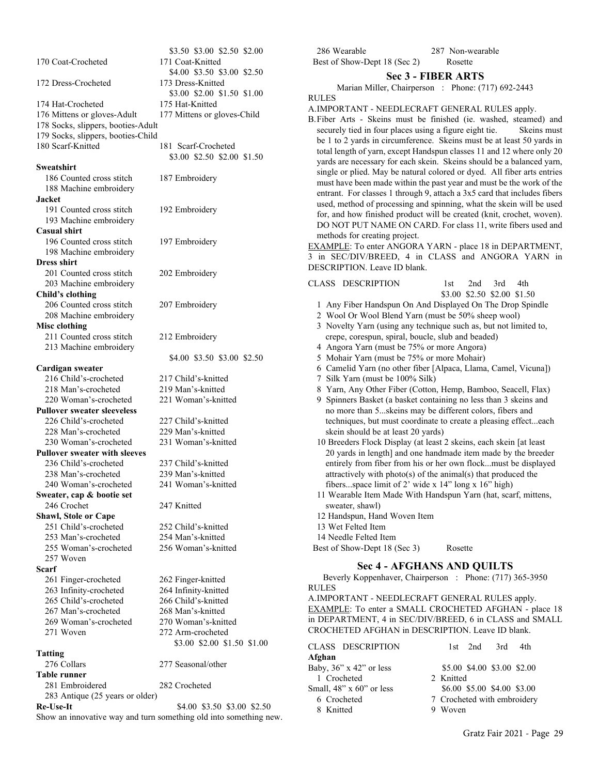| 170 Coat-Crocheted                               | φυ <i>ιο</i> ν φυιον φειον<br>171 Coat-Knitted                    |
|--------------------------------------------------|-------------------------------------------------------------------|
|                                                  | \$4.00 \$3.50 \$3.00 \$2.50                                       |
| 172 Dress-Crocheted                              | 173 Dress-Knitted                                                 |
|                                                  | \$3.00 \$2.00 \$1.50 \$1.00                                       |
| 174 Hat-Crocheted<br>176 Mittens or gloves-Adult | 175 Hat-Knitted<br>177 Mittens or gloves-Child                    |
|                                                  |                                                                   |
| 178 Socks, slippers, booties-Adult               |                                                                   |
| 179 Socks, slippers, booties-Child               |                                                                   |
| 180 Scarf-Knitted                                | 181 Scarf-Crocheted<br>\$3.00 \$2.50 \$2.00 \$1.50                |
| Sweatshirt                                       |                                                                   |
| 186 Counted cross stitch                         | 187 Embroidery                                                    |
| 188 Machine embroidery                           |                                                                   |
| Jacket                                           |                                                                   |
| 191 Counted cross stitch                         | 192 Embroidery                                                    |
| 193 Machine embroidery                           |                                                                   |
| <b>Casual shirt</b>                              |                                                                   |
| 196 Counted cross stitch                         | 197 Embroidery                                                    |
| 198 Machine embroidery                           |                                                                   |
| <b>Dress shirt</b>                               |                                                                   |
| 201 Counted cross stitch                         | 202 Embroidery                                                    |
| 203 Machine embroidery                           |                                                                   |
| Child's clothing                                 |                                                                   |
| 206 Counted cross stitch                         | 207 Embroidery                                                    |
| 208 Machine embroidery                           |                                                                   |
| Misc clothing                                    |                                                                   |
| 211 Counted cross stitch                         | 212 Embroidery                                                    |
| 213 Machine embroidery                           |                                                                   |
|                                                  | \$4.00 \$3.50 \$3.00 \$2.50                                       |
| Cardigan sweater                                 |                                                                   |
| 216 Child's-crocheted                            | 217 Child's-knitted                                               |
| 218 Man's-crocheted                              | 219 Man's-knitted                                                 |
| 220 Woman's-crocheted                            | 221 Woman's-knitted                                               |
| <b>Pullover sweater sleeveless</b>               |                                                                   |
| 226 Child's-crocheted                            | 227 Child's-knitted                                               |
| 228 Man's-crocheted                              | 229 Man's-knitted                                                 |
| 230 Woman's-crocheted                            | 231 Woman's-knitted                                               |
| <b>Pullover sweater with sleeves</b>             |                                                                   |
| 236 Child's-crocheted                            | 237 Child's-knitted                                               |
| 238 Man's-crocheted                              | 239 Man's-knitted                                                 |
| 240 Woman's-crocheted                            | 241 Woman's-knitted                                               |
| Sweater, cap & bootie set                        |                                                                   |
| 246 Crochet                                      | 247 Knitted                                                       |
| Shawl, Stole or Cape                             |                                                                   |
| 251 Child's-crocheted                            | 252 Child's-knitted                                               |
| 253 Man's-crocheted                              | 254 Man's-knitted                                                 |
| 255 Woman's-crocheted                            | 256 Woman's-knitted                                               |
| 257 Woven                                        |                                                                   |
| Scarf                                            |                                                                   |
| 261 Finger-crocheted                             | 262 Finger-knitted                                                |
| 263 Infinity-crocheted                           | 264 Infinity-knitted                                              |
| 265 Child's-crocheted                            | 266 Child's-knitted                                               |
| 267 Man's-crocheted                              | 268 Man's-knitted                                                 |
| 269 Woman's-crocheted                            | 270 Woman's-knitted                                               |
| 271 Woven                                        | 272 Arm-crocheted                                                 |
|                                                  | \$3.00 \$2.00 \$1.50 \$1.00                                       |
| <b>Tatting</b>                                   |                                                                   |
| 276 Collars                                      | 277 Seasonal/other                                                |
| <b>Table runner</b>                              |                                                                   |
| 281 Embroidered                                  | 282 Crocheted                                                     |
| 283 Antique (25 years or older)                  |                                                                   |
| <b>Re-Use-It</b>                                 | \$4.00 \$3.50 \$3.00 \$2.50                                       |
|                                                  | Show an innovative way and turn something old into something new. |
|                                                  |                                                                   |

| 286 Wearable                 | 287 Non-wearable |
|------------------------------|------------------|
| Best of Show-Dept 18 (Sec 2) | Rosette          |

#### **Sec 3 - FIBER ARTS**

Marian Miller, Chairperson : Phone: (717) 692-2443

# RULES

\$3.50 \$3.00 \$2.50 \$2.00

#### A.IMPORTANT - NEEDLECRAFT GENERAL RULES apply.

B.Fiber Arts - Skeins must be finished (ie. washed, steamed) and securely tied in four places using a figure eight tie. Skeins must be 1 to 2 yards in circumference. Skeins must be at least 50 yards in total length of yarn, except Handspun classes 11 and 12 where only 20 yards are necessary for each skein. Skeins should be a balanced yarn, single or plied. May be natural colored or dyed. All fiber arts entries must have been made within the past year and must be the work of the entrant. For classes 1 through 9, attach a 3x5 card that includes fibers used, method of processing and spinning, what the skein will be used for, and how finished product will be created (knit, crochet, woven). DO NOT PUT NAME ON CARD. For class 11, write fibers used and methods for creating project.

EXAMPLE: To enter ANGORA YARN - place 18 in DEPARTMENT, 3 in SEC/DIV/BREED, 4 in CLASS and ANGORA YARN in DESCRIPTION. Leave ID blank.

|                                                                                                                              |                    | CLASS DESCRIPTION     |                                                                    |         | 1st 2nd 3rd<br>\$3.00 \$2.50 \$2.00 \$1.50 |  | 4th                                                              |
|------------------------------------------------------------------------------------------------------------------------------|--------------------|-----------------------|--------------------------------------------------------------------|---------|--------------------------------------------|--|------------------------------------------------------------------|
|                                                                                                                              |                    |                       |                                                                    |         |                                            |  |                                                                  |
| 1 Any Fiber Handspun On And Displayed On The Drop Spindle                                                                    |                    |                       |                                                                    |         |                                            |  |                                                                  |
| 2 Wool Or Wool Blend Yarn (must be 50% sheep wool)                                                                           |                    |                       |                                                                    |         |                                            |  |                                                                  |
| 3 Novelty Yarn (using any technique such as, but not limited to,<br>crepe, corespun, spiral, boucle, slub and beaded)        |                    |                       |                                                                    |         |                                            |  |                                                                  |
|                                                                                                                              |                    |                       | 4 Angora Yarn (must be 75% or more Angora)                         |         |                                            |  |                                                                  |
|                                                                                                                              |                    |                       | 5 Mohair Yarn (must be 75% or more Mohair)                         |         |                                            |  |                                                                  |
|                                                                                                                              |                    |                       |                                                                    |         |                                            |  | 6 Camelid Yarn (no other fiber [Alpaca, Llama, Camel, Vicuna])   |
|                                                                                                                              |                    |                       | 7 Silk Yarn (must be 100% Silk)                                    |         |                                            |  |                                                                  |
|                                                                                                                              |                    |                       |                                                                    |         |                                            |  | 8 Yarn, Any Other Fiber (Cotton, Hemp, Bamboo, Seacell, Flax)    |
|                                                                                                                              |                    |                       |                                                                    |         |                                            |  | 9 Spinners Basket (a basket containing no less than 3 skeins and |
|                                                                                                                              |                    |                       | no more than 5skeins may be different colors, fibers and           |         |                                            |  |                                                                  |
| techniques, but must coordinate to create a pleasing effecteach                                                              |                    |                       |                                                                    |         |                                            |  |                                                                  |
|                                                                                                                              |                    |                       | skein should be at least 20 yards)                                 |         |                                            |  |                                                                  |
|                                                                                                                              |                    |                       | 10 Breeders Flock Display (at least 2 skeins, each skein [at least |         |                                            |  |                                                                  |
|                                                                                                                              |                    |                       |                                                                    |         |                                            |  | 20 yards in length] and one handmade item made by the breeder    |
|                                                                                                                              |                    |                       |                                                                    |         |                                            |  | entirely from fiber from his or her own flockmust be displayed   |
|                                                                                                                              |                    |                       |                                                                    |         |                                            |  |                                                                  |
| attractively with $photo(s)$ of the animal(s) that produced the<br>fibersspace limit of 2' wide x $14$ " long x $16$ " high) |                    |                       |                                                                    |         |                                            |  |                                                                  |
|                                                                                                                              |                    |                       |                                                                    |         |                                            |  | 11 Wearable Item Made With Handspun Yarn (hat, scarf, mittens,   |
| sweater, shawl)                                                                                                              |                    |                       |                                                                    |         |                                            |  |                                                                  |
|                                                                                                                              |                    |                       | 12 Handspun, Hand Woven Item                                       |         |                                            |  |                                                                  |
|                                                                                                                              | 13 Wet Felted Item |                       |                                                                    |         |                                            |  |                                                                  |
|                                                                                                                              |                    | 14 Needle Felted Item |                                                                    |         |                                            |  |                                                                  |
|                                                                                                                              |                    |                       | Best of Show-Dept 18 (Sec 3)                                       | Rosette |                                            |  |                                                                  |

# **Sec 4 - AFGHANS AND QUILTS**

Beverly Koppenhaver, Chairperson : Phone: (717) 365-3950 RULES

A.IMPORTANT - NEEDLECRAFT GENERAL RULES apply. EXAMPLE: To enter a SMALL CROCHETED AFGHAN - place 18 in DEPARTMENT, 4 in SEC/DIV/BREED, 6 in CLASS and SMALL CROCHETED AFGHAN in DESCRIPTION. Leave ID blank.

| CLASS DESCRIPTION              | $1st$ $2nd$ $3rd$ $4th$     |
|--------------------------------|-----------------------------|
| Afghan                         |                             |
| Baby, $36$ " x $42$ " or less  | \$5.00 \$4.00 \$3.00 \$2.00 |
| 1 Crocheted                    | 2. Knitted                  |
| Small, $48$ " x $60$ " or less | \$6.00 \$5.00 \$4.00 \$3.00 |
| 6 Crocheted                    | 7 Crocheted with embroidery |
| 8 Knitted                      | 9 Woven                     |
|                                |                             |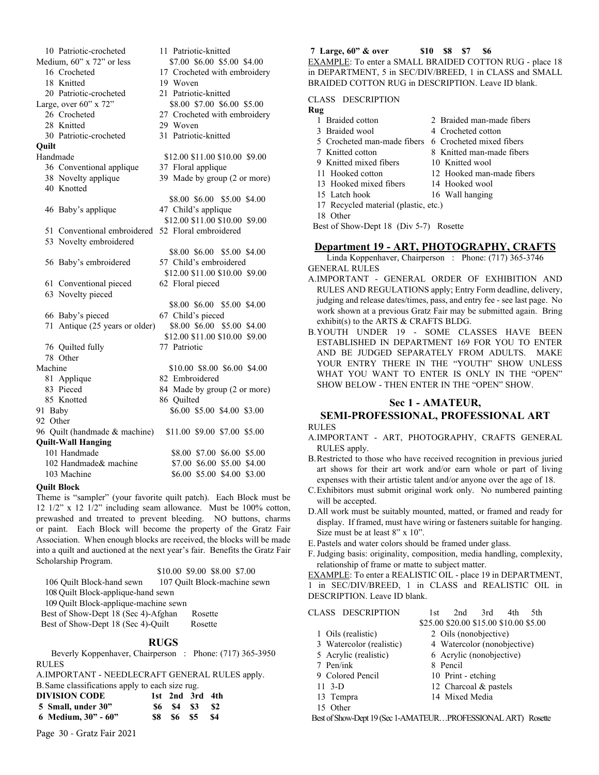10 Patriotic-croch Medium, 60" x 72" or 16 Crocheted 18 Knitted 20 Patriotic-croch Large, over  $60$ "  $\times$  72 26 Crocheted 28 Knitted 30 Patriotic-croch **Quilt** Handmade 36 Conventional 38 Novelty applic 40 Knotted \$8.00 \$6.00 \$5.00 \$4.00 46 Baby's applique \$12.00 \$11.00 \$10.00 \$9.00 51 Conventional 53 Novelty embro \$8.00 \$6.00 \$5.00 \$4.00 56 Baby's embroi \$12.00 \$11.00 \$10.00 \$9.00 61 Conventional 63 Novelty pieced \$8.00 \$6.00 \$5.00 \$4.00 66 Baby's pieced 71 Antique  $(25$  ye \$12.00 \$11.00 \$10.00 \$9.00 76 Quilted fully 78 Other Machine 81 Applique 83 Pieced 85 Knotted 91 Baby 92 Other 96 Quilt (handmade **Quilt-Wall Hanging** 101 Handmade \$8.00 \$7.00 \$6.00 \$5.00 102 Handmade& machine \$7.00 \$6.00 \$5.00 \$4.00 103 Machine \$6.00 \$5.00 \$4.00 \$3.00

#### **Quilt Block**

Theme is "sampler" (your favorite quilt patch). Each Block must be 12 1/2" x 12 1/2" including seam allowance. Must be 100% cotton, prewashed and trreated to prevent bleeding. NO buttons, charms or paint. Each Block will become the property of the Gratz Fair Association. When enough blocks are received, the blocks will be made into a quilt and auctioned at the next year's fair. Benefits the Gratz Fair Scholarship Program.

#### \$10.00 \$9.00 \$8.00 \$7.00

106 Quilt Block-hand sewn 107 Quilt Block-machine sewn 108 Quilt Block-applique-hand sewn 109 Quilt Block-applique-machine sewn Best of Show-Dept 18 (Sec 4)-Afghan Rosette Best of Show-Dept 18 (Sec 4)-Quilt Rosette

#### **RUGS**

Beverly Koppenhaver, Chairperson : Phone: (717) 365-3950 RULES

A.IMPORTANT - NEEDLECRAFT GENERAL RULES apply.

B.Same classifications apply to each size rug.

| .<br><b>DIVISION CODE</b> |          | 1st 2nd 3rd 4th                                             |      |
|---------------------------|----------|-------------------------------------------------------------|------|
| 5 Small, under 30"        |          | S <sub>6</sub> S <sub>4</sub> S <sub>3</sub> S <sub>2</sub> |      |
| 6 Medium, $30" - 60"$     | S8 S6 S5 |                                                             | - S4 |

Page 30 - Gratz Fair 2021

| ıeted          | 11 Patriotic-knitted                    |
|----------------|-----------------------------------------|
| or less        | \$7.00 \$6.00 \$5.00 \$4.00             |
|                | 17 Crocheted with embroidery            |
|                | 19 Woven                                |
| ieted          | 21 Patriotic-knitted                    |
| יי             | \$8.00 \$7.00 \$6.00 \$5.00             |
|                | 27 Crocheted with embroidery            |
|                | 29 Woven                                |
| ıeted          | 31 Patriotic-knitted                    |
|                | \$12.00 \$11.00 \$10.00 \$9.00          |
| applique       | 37 Floral applique                      |
| que            | 39 Made by group (2 or more)            |
|                |                                         |
|                | \$8.00 \$6.00 \$5.00 \$4.00             |
| ue             | 47 Child's applique                     |
|                | \$12.00 \$11.00 \$10.00 \$9.00          |
| oidered        | embroidered 52 Floral embroidered       |
|                | \$8.00 \$6.00 \$5.00 \$4.00             |
| idered         | 57 Child's embroidered                  |
|                | \$12.00 \$11.00 \$10.00 \$9.00          |
| pieced         | 62 Floral pieced                        |
| d              |                                         |
|                | \$8.00 \$6.00 \$5.00 \$4.00             |
|                | 67 Child's pieced                       |
| ears or older) | \$8.00 \$6.00 \$5.00 \$4.00             |
|                | \$12.00 \$11.00 \$10.00 \$9.00          |
|                | 77 Patriotic                            |
|                |                                         |
|                | \$10.00 \$8.00 \$6.00 \$4.00            |
|                | 82 Embroidered                          |
|                | 84 Made by group (2 or more)            |
|                | 86 Quilted                              |
|                | \$6.00 \$5.00 \$4.00 \$3.00             |
|                | & machine) \$11.00 \$9.00 \$7.00 \$5.00 |
|                |                                         |

# **7 Large, 60" & over \$10 \$8 \$7 \$6**

EXAMPLE: To enter a SMALL BRAIDED COTTON RUG - place 18 in DEPARTMENT, 5 in SEC/DIV/BREED, 1 in CLASS and SMALL BRAIDED COTTON RUG in DESCRIPTION. Leave ID blank.

# CLASS DESCRIPTION

# **Rug**

| Kug                                       |                            |  |  |  |
|-------------------------------------------|----------------------------|--|--|--|
| Braided cotton                            | 2. Braided man-made fibers |  |  |  |
| 3 Braided wool                            | 4 Crocheted cotton         |  |  |  |
| 5. Crocheted man-made fibers              | 6. Crocheted mixed fibers  |  |  |  |
| 7 Knitted cotton                          | 8 Knitted man-made fibers  |  |  |  |
| 9 Knitted mixed fibers                    | 10 Knitted wool            |  |  |  |
| 11 Hooked cotton                          | 12. Hooked man-made fibers |  |  |  |
| 13 Hooked mixed fibers                    | 14 Hooked wool             |  |  |  |
| 15 Latch hook                             | 16 Wall hanging            |  |  |  |
| 17 Recycled material (plastic, etc.)      |                            |  |  |  |
| 18 Other                                  |                            |  |  |  |
| Best of Show-Dept 18 (Div 5-7)<br>Rosette |                            |  |  |  |
|                                           |                            |  |  |  |

# **Department 19 - ART, PHOTOGRAPHY, CRAFTS**

Linda Koppenhaver, Chairperson : Phone: (717) 365-3746 GENERAL RULES

- A.IMPORTANT GENERAL ORDER OF EXHIBITION AND RULES AND REGULATIONS apply; Entry Form deadline, delivery, judging and release dates/times, pass, and entry fee - see last page. No work shown at a previous Gratz Fair may be submitted again. Bring exhibit(s) to the ARTS & CRAFTS BLDG.
- B.YOUTH UNDER 19 SOME CLASSES HAVE BEEN ESTABLISHED IN DEPARTMENT 169 FOR YOU TO ENTER AND BE JUDGED SEPARATELY FROM ADULTS. MAKE YOUR ENTRY THERE IN THE "YOUTH" SHOW UNLESS WHAT YOU WANT TO ENTER IS ONLY IN THE "OPEN" SHOW BELOW - THEN ENTER IN THE "OPEN" SHOW.

# **Sec 1 - AMATEUR, SEMI-PROFESSIONAL, PROFESSIONAL ART**

RULES

- A.IMPORTANT ART, PHOTOGRAPHY, CRAFTS GENERAL RULES apply.
- B.Restricted to those who have received recognition in previous juried art shows for their art work and/or earn whole or part of living expenses with their artistic talent and/or anyone over the age of 18.
- C.Exhibitors must submit original work only. No numbered painting will be accepted.
- D.All work must be suitably mounted, matted, or framed and ready for display. If framed, must have wiring or fasteners suitable for hanging. Size must be at least 8" x 10".
- E.Pastels and water colors should be framed under glass.
- F.Judging basis: originality, composition, media handling, complexity, relationship of frame or matte to subject matter.

EXAMPLE: To enter a REALISTIC OIL - place 19 in DEPARTMENT, 1 in SEC/DIV/BREED, 1 in CLASS and REALISTIC OIL in DESCRIPTION. Leave ID blank.

# CLASS DESCRIPTION 1st 2nd 3rd 4th 5th \$25.00 \$20.00 \$15.00 \$10.00 \$5.00 1 Oils (realistic) 2 Oils (nonobjective) 3 Watercolor (realistic) 4 Watercolor (nonobjective) 5 Acrylic (realistic) 6 Acrylic (nonobjective) 7 Pen/ink 8 Pencil 9 Colored Pencil 10 Print - etching

- 11 3-D 12 Charcoal & pastels
- 13 Tempra 14 Mixed Media
- 15 Other

Best of Show-Dept 19 (Sec 1-AMATEUR…PROFESSIONAL ART) Rosette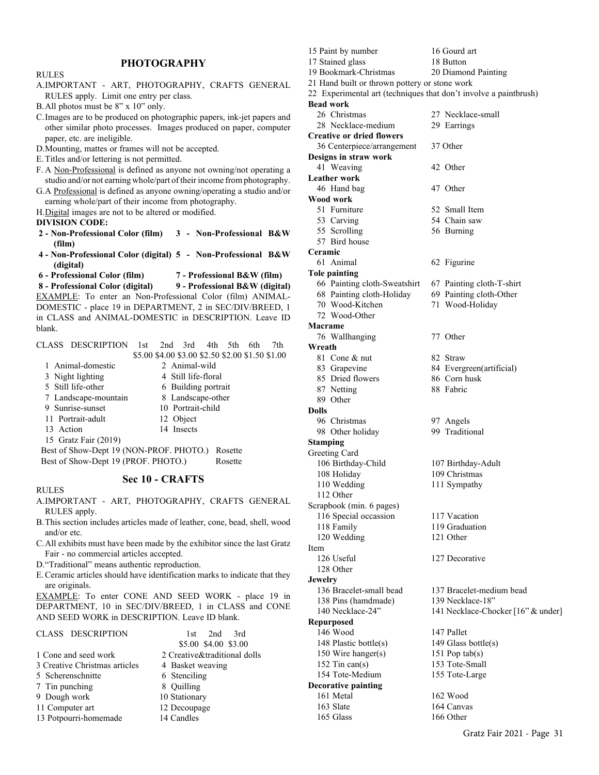# **PHOTOGRAPHY**

| <b>RULES</b>                                                            |  |  |  |  |  |
|-------------------------------------------------------------------------|--|--|--|--|--|
|                                                                         |  |  |  |  |  |
| A.IMPORTANT - ART, PHOTOGRAPHY, CRAFTS GENERAL                          |  |  |  |  |  |
| RULES apply. Limit one entry per class.                                 |  |  |  |  |  |
| B. All photos must be 8" x 10" only.                                    |  |  |  |  |  |
| C. Images are to be produced on photographic papers, ink-jet papers and |  |  |  |  |  |
| other similar photo processes. Images produced on paper, computer       |  |  |  |  |  |
| paper, etc. are ineligible.                                             |  |  |  |  |  |
| D. Mounting, mattes or frames will not be accepted.                     |  |  |  |  |  |
| E. Titles and/or lettering is not permitted.                            |  |  |  |  |  |
| F. A Non-Professional is defined as anyone not owning/not operating a   |  |  |  |  |  |
| studio and/or not earning whole/part of their income from photography.  |  |  |  |  |  |
| G.A Professional is defined as anyone owning/operating a studio and/or  |  |  |  |  |  |
| earning whole/part of their income from photography.                    |  |  |  |  |  |
| H.Digital images are not to be altered or modified.                     |  |  |  |  |  |
| <b>DIVISION CODE:</b>                                                   |  |  |  |  |  |
| 2 - Non-Professional Color (film) 3 - Non-Professional B&W              |  |  |  |  |  |
| (film)                                                                  |  |  |  |  |  |
| 4 - Non-Professional Color (digital) 5 - Non-Professional B&W           |  |  |  |  |  |
| (digital)                                                               |  |  |  |  |  |
|                                                                         |  |  |  |  |  |
| 6 - Professional Color (film)<br>7 - Professional B&W (film)            |  |  |  |  |  |
| 8 - Professional Color (digital)<br>9 - Professional B&W (digital)      |  |  |  |  |  |
| EXAMPLE: To enter an Non-Professional Color (film) ANIMAL-              |  |  |  |  |  |
| DOMESTIC - place 19 in DEPARTMENT, 2 in SEC/DIV/BREED, 1                |  |  |  |  |  |
| in CLASS and ANIMAL-DOMESTIC in DESCRIPTION. Leave ID                   |  |  |  |  |  |
| blank.                                                                  |  |  |  |  |  |
|                                                                         |  |  |  |  |  |
| CLASS DESCRIPTION<br>$2nd$ $3rd$<br>4th<br>5th<br>1st<br>6th.<br>7th    |  |  |  |  |  |
| \$5.00 \$4.00 \$3.00 \$2.50 \$2.00 \$1.50 \$1.00                        |  |  |  |  |  |
| 2 Animal-wild<br>1 Animal-domestic                                      |  |  |  |  |  |
| 3 Night lighting<br>4 Still life-floral                                 |  |  |  |  |  |
| 5 Still life-other<br>6 Building portrait                               |  |  |  |  |  |
| 8 Landscape-other<br>7 Landscape-mountain                               |  |  |  |  |  |
| 9 Sunrise-sunset<br>10 Portrait-child                                   |  |  |  |  |  |
| 12 Object<br>11 Portrait-adult                                          |  |  |  |  |  |
| 14 Insects<br>13 Action<br>15 Gratz Fair (2019)                         |  |  |  |  |  |

 Best of Show-Dept 19 (NON-PROF. PHOTO.) Rosette Best of Show-Dept 19 (PROF. PHOTO.) Rosette

# **Sec 10 - CRAFTS**

#### RULES

- A.IMPORTANT ART, PHOTOGRAPHY, CRAFTS GENERAL RULES apply.
- B.This section includes articles made of leather, cone, bead, shell, wood and/or etc.
- C.All exhibits must have been made by the exhibitor since the last Gratz Fair - no commercial articles accepted.
- D."Traditional" means authentic reproduction.
- E.Ceramic articles should have identification marks to indicate that they are originals.

EXAMPLE: To enter CONE AND SEED WORK - place 19 in DEPARTMENT, 10 in SEC/DIV/BREED, 1 in CLASS and CONE AND SEED WORK in DESCRIPTION. Leave ID blank.

| CLASS DESCRIPTION             | 2nd<br>3rd<br>1st.           |
|-------------------------------|------------------------------|
|                               | \$5.00 \$4.00 \$3.00         |
| 1 Cone and seed work          | 2 Creative&traditional dolls |
| 3 Creative Christmas articles | 4 Basket weaving             |
| 5 Scherenschnitte             | 6 Stenciling                 |
| 7 Tin punching                | 8 Quilling                   |
| 9 Dough work                  | 10 Stationary                |
| 11 Computer art               | 12 Decoupage                 |
| 13 Potpourri-homemade         | 14 Candles                   |

| 15 Paint by number                                               | 16 Gourd art                       |
|------------------------------------------------------------------|------------------------------------|
| 17 Stained glass                                                 | 18 Button                          |
| 19 Bookmark-Christmas                                            | 20 Diamond Painting                |
| 21 Hand built or thrown pottery or stone work                    |                                    |
| 22 Experimental art (techniques that don't involve a paintbrush) |                                    |
| <b>Bead work</b>                                                 |                                    |
| 26 Christmas                                                     | 27 Necklace-small                  |
| 28 Necklace-medium                                               | 29 Earrings                        |
| <b>Creative or dried flowers</b>                                 |                                    |
| 36 Centerpiece/arrangement                                       | 37 Other                           |
| Designs in straw work                                            |                                    |
| 41 Weaving                                                       | 42 Other                           |
| <b>Leather work</b>                                              |                                    |
| 46 Hand bag                                                      | 47 Other                           |
| Wood work                                                        |                                    |
| 51 Furniture                                                     | 52 Small Item                      |
| 53 Carving                                                       | 54 Chain saw                       |
| 55 Scrolling                                                     | 56 Burning                         |
| 57 Bird house                                                    |                                    |
| Ceramic                                                          |                                    |
| 61 Animal                                                        | 62 Figurine                        |
| <b>Tole painting</b>                                             |                                    |
| 66 Painting cloth-Sweatshirt                                     | 67 Painting cloth-T-shirt          |
| 68 Painting cloth-Holiday                                        | 69 Painting cloth-Other            |
| 70 Wood-Kitchen                                                  | 71 Wood-Holiday                    |
| 72. Wood-Other                                                   |                                    |
| Macrame                                                          |                                    |
| 76 Wallhanging                                                   | 77 Other                           |
| Wreath                                                           |                                    |
| 81 Cone & nut                                                    | 82 Straw                           |
| 83 Grapevine                                                     | 84 Evergreen(artificial)           |
| 85 Dried flowers                                                 | 86 Corn husk                       |
| 87 Netting                                                       | 88 Fabric                          |
| 89 Other                                                         |                                    |
| <b>Dolls</b>                                                     |                                    |
| 96 Christmas                                                     | 97 Angels                          |
| 98 Other holiday                                                 | 99 Traditional                     |
| <b>Stamping</b>                                                  |                                    |
| Greeting Card                                                    |                                    |
| 106 Birthday-Child                                               | 107 Birthday-Adult                 |
| 108 Holiday                                                      | 109 Christmas                      |
| 110 Wedding                                                      | 111 Sympathy                       |
| 112 Other                                                        |                                    |
| Scrapbook (min. 6 pages)                                         |                                    |
| 116 Special occassion                                            | 117 Vacation                       |
| 118 Family                                                       | 119 Graduation                     |
| 120 Wedding                                                      | 121 Other                          |
| Item                                                             |                                    |
| 126 Useful                                                       | 127 Decorative                     |
| 128 Other                                                        |                                    |
| <b>Jewelry</b>                                                   |                                    |
| 136 Bracelet-small bead                                          | 137 Bracelet-medium bead           |
| 138 Pins (hamdmade)                                              | 139 Necklace-18"                   |
| 140 Necklace-24"                                                 | 141 Necklace-Chocker [16" & under] |
|                                                                  |                                    |
| Repurposed<br>146 Wood                                           | 147 Pallet                         |
|                                                                  |                                    |
| 148 Plastic bottle(s)                                            | 149 Glass bottle(s)                |
| 150 Wire hanger(s)                                               | 151 Pop $tab(s)$                   |
| 152 Tin can(s)                                                   | 153 Tote-Small                     |
| 154 Tote-Medium                                                  | 155 Tote-Large                     |
| <b>Decorative painting</b>                                       |                                    |
| 161 Metal                                                        | 162 Wood                           |
| 163 Slate                                                        | 164 Canvas                         |
| 165 Glass                                                        | 166 Other                          |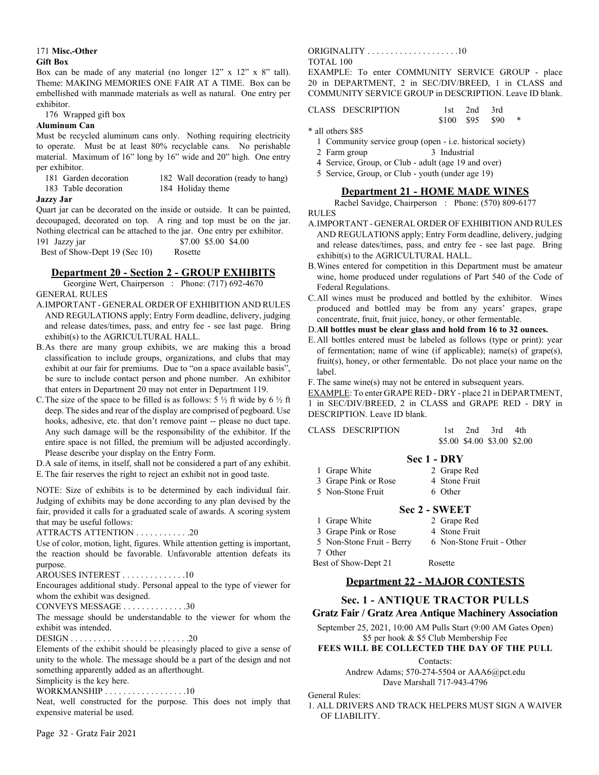#### 171 **Misc.-Other Gift Box**

Box can be made of any material (no longer 12" x 12" x 8" tall). Theme: MAKING MEMORIES ONE FAIR AT A TIME. Box can be embellished with manmade materials as well as natural. One entry per exhibitor.

176 Wrapped gift box

#### **Aluminum Can**

Must be recycled aluminum cans only. Nothing requiring electricity to operate. Must be at least 80% recyclable cans. No perishable material. Maximum of 16" long by 16" wide and 20" high. One entry per exhibitor.

- 
- 181 Garden decoration 182 Wall decoration (ready to hang)
- 183 Table decoration 184 Holiday theme
- 

#### **Jazzy Jar**

Quart jar can be decorated on the inside or outside. It can be painted, decoupaged, decorated on top. A ring and top must be on the jar. Nothing electrical can be attached to the jar. One entry per exhibitor. 191 Jazzy jar \$7.00 \$5.00 \$4.00

Best of Show-Dept 19 (Sec 10) Rosette

# **Department 20 - Section 2 - GROUP EXHIBITS**

Georgine Wert, Chairperson : Phone: (717) 692-4670 GENERAL RULES

- A.IMPORTANT GENERAL ORDER OF EXHIBITION AND RULES AND REGULATIONS apply; Entry Form deadline, delivery, judging and release dates/times, pass, and entry fee - see last page. Bring exhibit(s) to the AGRICULTURAL HALL.
- B.As there are many group exhibits, we are making this a broad classification to include groups, organizations, and clubs that may exhibit at our fair for premiums. Due to "on a space available basis", be sure to include contact person and phone number. An exhibitor that enters in Department 20 may not enter in Department 119.
- C. The size of the space to be filled is as follows:  $5\frac{1}{2}$  ft wide by  $6\frac{1}{2}$  ft deep. The sides and rear of the display are comprised of pegboard. Use hooks, adhesive, etc. that don't remove paint -- please no duct tape. Any such damage will be the responsibility of the exhibitor. If the entire space is not filled, the premium will be adjusted accordingly. Please describe your display on the Entry Form.

D.A sale of items, in itself, shall not be considered a part of any exhibit. E.The fair reserves the right to reject an exhibit not in good taste.

NOTE: Size of exhibits is to be determined by each individual fair. Judging of exhibits may be done according to any plan devised by the fair, provided it calls for a graduated scale of awards. A scoring system that may be useful follows:

ATTRACTS ATTENTION . . . . . . . . . . . .20

Use of color, motion, light, figures. While attention getting is important, the reaction should be favorable. Unfavorable attention defeats its purpose.

AROUSES INTEREST . . . . . . . . . . . . . .10

Encourages additional study. Personal appeal to the type of viewer for whom the exhibit was designed.

CONVEYS MESSAGE . . . . . . . . . . . . . .30

The message should be understandable to the viewer for whom the exhibit was intended.

DESIGN . . . . . . . . . . . . . . . . . . . . . . . . . .20

Elements of the exhibit should be pleasingly placed to give a sense of unity to the whole. The message should be a part of the design and not something apparently added as an afterthought.

Simplicity is the key here.

WORKMANSHIP . . . . . . . . . . . . . . . . . . 10

Neat, well constructed for the purpose. This does not imply that expensive material be used.

#### ORIGINALITY . . . . . . . . . . . . . . . . . . . .10 TOTAL 100

EXAMPLE: To enter COMMUNITY SERVICE GROUP - place 20 in DEPARTMENT, 2 in SEC/DIV/BREED, 1 in CLASS and COMMUNITY SERVICE GROUP in DESCRIPTION. Leave ID blank.

# CLASS DESCRIPTION 1st 2nd 3rd

\$100 \$95 \$90

\* all others \$85

- 1 Community service group (open i.e. historical society)
- 2 Farm group 3 Industrial
- 4 Service, Group, or Club adult (age 19 and over)
- 5 Service, Group, or Club youth (under age 19)

# **Department 21 - HOME MADE WINES**

Rachel Savidge, Chairperson : Phone: (570) 809-6177

#### RULES

- A.IMPORTANT GENERAL ORDER OF EXHIBITION AND RULES AND REGULATIONS apply; Entry Form deadline, delivery, judging and release dates/times, pass, and entry fee - see last page. Bring exhibit(s) to the AGRICULTURAL HALL.
- B.Wines entered for competition in this Department must be amateur wine, home produced under regulations of Part 540 of the Code of Federal Regulations.
- C.All wines must be produced and bottled by the exhibitor. Wines produced and bottled may be from any years' grapes, grape concentrate, fruit, fruit juice, honey, or other fermentable.
- D.**All bottles must be clear glass and hold from 16 to 32 ounces.**
- E.All bottles entered must be labeled as follows (type or print): year of fermentation; name of wine (if applicable); name(s) of grape(s), fruit(s), honey, or other fermentable. Do not place your name on the label.

F. The same wine(s) may not be entered in subsequent years.

EXAMPLE: To enter GRAPE RED - DRY - place 21 in DEPARTMENT, 1 in SEC/DIV/BREED, 2 in CLASS and GRAPE RED - DRY in DESCRIPTION. Leave ID blank.

|                   | Sec 1 - DRY |  |                             |  |
|-------------------|-------------|--|-----------------------------|--|
|                   |             |  | \$5.00 \$4.00 \$3.00 \$2.00 |  |
| CLASS DESCRIPTION |             |  | $1st$ $2nd$ $3rd$ $4th$     |  |

| 1 Grape White        | 2 Grape Red   |
|----------------------|---------------|
| 3 Grape Pink or Rose | 4 Stone Fruit |
| 5 Non-Stone Fruit    | 6 Other       |

# **Sec 2 - SWEET**

1 Grape White 2 Grape Red 3 Grape Pink or Rose 4 Stone Fruit 5 Non-Stone Fruit - Berry 6 Non-Stone Fruit - Other 7 Other Best of Show-Dept 21 Rosette

# **Department 22 - MAJOR CONTESTS**

# **Sec. 1 - ANTIQUE TRACTOR PULLS**

**Gratz Fair / Gratz Area Antique Machinery Association**

September 25, 2021, 10:00 AM Pulls Start (9:00 AM Gates Open) \$5 per hook & \$5 Club Membership Fee

# **FEES WILL BE COLLECTED THE DAY OF THE PULL**

Contacts:

Andrew Adams; 570-274-5504 or AAA6@pct.edu Dave Marshall 717-943-4796

#### General Rules:

1. ALL DRIVERS AND TRACK HELPERS MUST SIGN A WAIVER OF LIABILITY.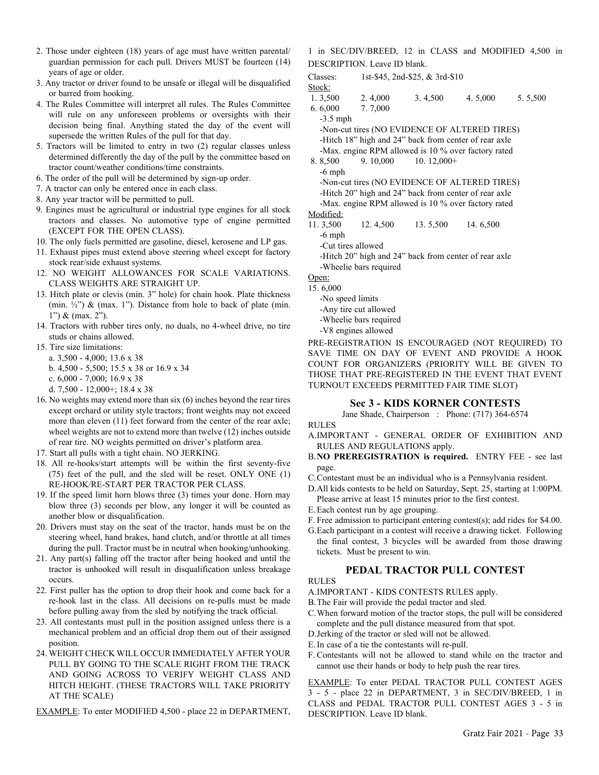- 2. Those under eighteen (18) years of age must have written parental/ guardian permission for each pull. Drivers MUST be fourteen (14) years of age or older.
- 3. Any tractor or driver found to be unsafe or illegal will be disqualified or barred from hooking.
- 4. The Rules Committee will interpret all rules. The Rules Committee will rule on any unforeseen problems or oversights with their decision being final. Anything stated the day of the event will supersede the written Rules of the pull for that day.
- 5. Tractors will be limited to entry in two (2) regular classes unless determined differently the day of the pull by the committee based on tractor count/weather conditions/time constraints.
- 6. The order of the pull will be determined by sign-up order.
- 7. A tractor can only be entered once in each class.
- 8. Any year tractor will be permitted to pull.
- 9. Engines must be agricultural or industrial type engines for all stock tractors and classes. No automotive type of engine permitted (EXCEPT FOR THE OPEN CLASS).
- 10. The only fuels permitted are gasoline, diesel, kerosene and LP gas.
- 11. Exhaust pipes must extend above steering wheel except for factory stock rear/side exhaust systems.
- 12. NO WEIGHT ALLOWANCES FOR SCALE VARIATIONS. CLASS WEIGHTS ARE STRAIGHT UP.
- 13. Hitch plate or clevis (min. 3" hole) for chain hook. Plate thickness (min.  $\frac{1}{2}$ ") & (max. 1"). Distance from hole to back of plate (min. 1") & (max. 2").
- 14. Tractors with rubber tires only, no duals, no 4-wheel drive, no tire studs or chains allowed.
- 15. Tire size limitations:
	- a. 3,500 4,000; 13.6 x 38
	- b. 4,500 5,500; 15.5 x 38 or 16.9 x 34
	- c. 6,000 7,000; 16.9 x 38
	- d. 7,500 12,000+; 18.4 x 38
- 16. No weights may extend more than six (6) inches beyond the rear tires except orchard or utility style tractors; front weights may not exceed more than eleven (11) feet forward from the center of the rear axle; wheel weights are not to extend more than twelve (12) inches outside of rear tire. NO weights permitted on driver's platform area.
- 17. Start all pulls with a tight chain. NO JERKING.
- 18. All re-hooks/start attempts will be within the first seventy-five (75) feet of the pull, and the sled will be reset. ONLY ONE (1) RE-HOOK/RE-START PER TRACTOR PER CLASS.
- 19. If the speed limit horn blows three (3) times your done. Horn may blow three (3) seconds per blow, any longer it will be counted as another blow or disqualification.
- 20. Drivers must stay on the seat of the tractor, hands must be on the steering wheel, hand brakes, hand clutch, and/or throttle at all times during the pull. Tractor must be in neutral when hooking/unhooking.
- 21. Any part(s) falling off the tractor after being hooked and until the tractor is unhooked will result in disqualification unless breakage occurs.
- 22. First puller has the option to drop their hook and come back for a re-hook last in the class. All decisions on re-pulls must be made before pulling away from the sled by notifying the track official.
- 23. All contestants must pull in the position assigned unless there is a mechanical problem and an official drop them out of their assigned position.
- 24. WEIGHT CHECK WILL OCCUR IMMEDIATELY AFTER YOUR PULL BY GOING TO THE SCALE RIGHT FROM THE TRACK AND GOING ACROSS TO VERIFY WEIGHT CLASS AND HITCH HEIGHT. (THESE TRACTORS WILL TAKE PRIORITY AT THE SCALE)

EXAMPLE: To enter MODIFIED 4,500 - place 22 in DEPARTMENT,

1 in SEC/DIV/BREED, 12 in CLASS and MODIFIED 4,500 in DESCRIPTION. Leave ID blank.

Classes: 1st-\$45, 2nd-\$25, & 3rd-\$10

Stock:

1. 3,500 2. 4,000 3. 4,500 4. 5,000 5. 5,500

6. 6,000 7. 7,000

- -3.5 mph -Non-cut tires (NO EVIDENCE OF ALTERED TIRES) -Hitch 18" high and 24" back from center of rear axle -Max. engine RPM allowed is 10 % over factory rated 8. 8,500 9. 10,000 10. 12,000+ -6 mph -Non-cut tires (NO EVIDENCE OF ALTERED TIRES) -Hitch 20" high and 24" back from center of rear axle -Max. engine RPM allowed is 10 % over factory rated Modified:
- 
- 11. 3,500 12. 4,500 13. 5,500 14. 6,500 -6 mph

-Cut tires allowed

-Hitch 20" high and 24" back from center of rear axle -Wheelie bars required

Open:

#### 15. 6,000

- -No speed limits
- -Any tire cut allowed
- -Wheelie bars required
- -V8 engines allowed

PRE-REGISTRATION IS ENCOURAGED (NOT REQUIRED) TO SAVE TIME ON DAY OF EVENT AND PROVIDE A HOOK COUNT FOR ORGANIZERS (PRIORITY WILL BE GIVEN TO THOSE THAT PRE-REGISTERED IN THE EVENT THAT EVENT TURNOUT EXCEEDS PERMITTED FAIR TIME SLOT)

# **Sec 3 - KIDS KORNER CONTESTS**

Jane Shade, Chairperson : Phone: (717) 364-6574

RULES

- A.IMPORTANT GENERAL ORDER OF EXHIBITION AND RULES AND REGULATIONS apply.
- B.**NO PREREGISTRATION is required.** ENTRY FEE see last page.
- C.Contestant must be an individual who is a Pennsylvania resident.
- D.All kids contests to be held on Saturday, Sept. 25, starting at 1:00PM. Please arrive at least 15 minutes prior to the first contest.
- E.Each contest run by age grouping.
- F. Free admission to participant entering contest(s); add rides for \$4.00.
- G.Each participant in a contest will receive a drawing ticket. Following the final contest, 3 bicycles will be awarded from those drawing tickets. Must be present to win.

#### **PEDAL TRACTOR PULL CONTEST**

# RULES

- A.IMPORTANT KIDS CONTESTS RULES apply.
- B.The Fair will provide the pedal tractor and sled.
- C.When forward motion of the tractor stops, the pull will be considered complete and the pull distance measured from that spot.
- D.Jerking of the tractor or sled will not be allowed.
- E.In case of a tie the contestants will re-pull.
- F. Contestants will not be allowed to stand while on the tractor and cannot use their hands or body to help push the rear tires.

EXAMPLE: To enter PEDAL TRACTOR PULL CONTEST AGES 3 - 5 - place 22 in DEPARTMENT, 3 in SEC/DIV/BREED, 1 in CLASS and PEDAL TRACTOR PULL CONTEST AGES 3 - 5 in DESCRIPTION. Leave ID blank.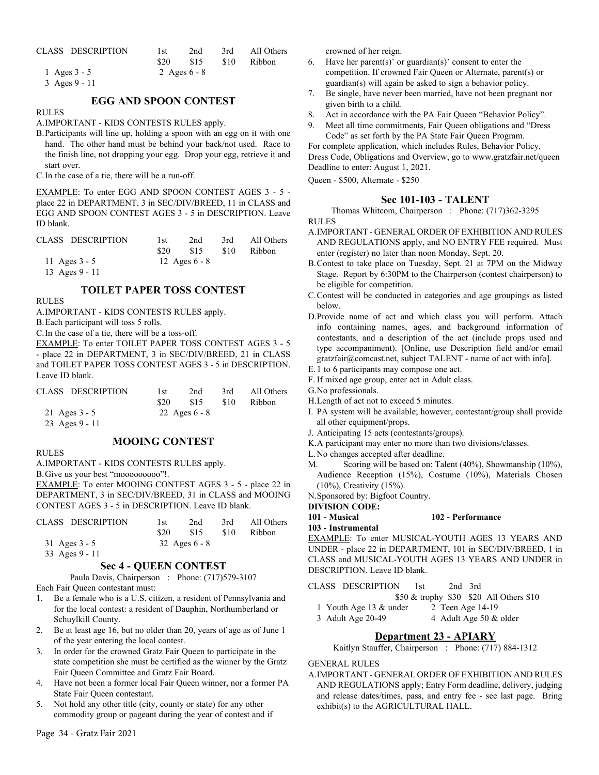| CLASS DESCRIPTION | 1st<br>S <sub>20</sub> | 2nd<br>S15     | - S10 | 3rd All Others<br>Ribbon |
|-------------------|------------------------|----------------|-------|--------------------------|
| 1 Ages $3 - 5$    |                        | 2 Ages $6 - 8$ |       |                          |

3 Ages 9 - 11

#### **EGG AND SPOON CONTEST**

#### RULES

A.IMPORTANT - KIDS CONTESTS RULES apply.

B.Participants will line up, holding a spoon with an egg on it with one hand. The other hand must be behind your back/not used. Race to the finish line, not dropping your egg. Drop your egg, retrieve it and start over.

C.In the case of a tie, there will be a run-off.

EXAMPLE: To enter EGG AND SPOON CONTEST AGES 3 - 5 place 22 in DEPARTMENT, 3 in SEC/DIV/BREED, 11 in CLASS and EGG AND SPOON CONTEST AGES 3 - 5 in DESCRIPTION. Leave ID blank.

| CLASS DESCRIPTION | 1st  | 2nd             | 3rd  | All Others |
|-------------------|------|-----------------|------|------------|
|                   | \$20 | \$15            | \$10 | Ribbon     |
| 11 Ages $3 - 5$   |      | 12 Ages $6 - 8$ |      |            |
| 13 Ages $9 - 11$  |      |                 |      |            |

# **TOILET PAPER TOSS CONTEST**

#### RULES

A.IMPORTANT - KIDS CONTESTS RULES apply.

B.Each participant will toss 5 rolls.

C.In the case of a tie, there will be a toss-off.

EXAMPLE: To enter TOILET PAPER TOSS CONTEST AGES 3 - 5 - place 22 in DEPARTMENT, 3 in SEC/DIV/BREED, 21 in CLASS and TOILET PAPER TOSS CONTEST AGES 3 - 5 in DESCRIPTION. Leave ID blank.

| CLASS DESCRIPTION | 1st  | 2 <sub>nd</sub> | 3rd  | All Others    |
|-------------------|------|-----------------|------|---------------|
|                   | \$20 | \$15            | \$10 | <b>Ribbon</b> |
| 21 Ages $3 - 5$   |      | 22 Ages $6 - 8$ |      |               |
| 23 Ages $9 - 11$  |      |                 |      |               |

# **MOOING CONTEST**

RULES

A.IMPORTANT - KIDS CONTESTS RULES apply.

B.Give us your best "mooooooooo"!.

EXAMPLE: To enter MOOING CONTEST AGES 3 - 5 - place 22 in DEPARTMENT, 3 in SEC/DIV/BREED, 31 in CLASS and MOOING CONTEST AGES 3 - 5 in DESCRIPTION. Leave ID blank.

| CLASS DESCRIPTION | 1st  | 2nd             | 3rd  | All Others |
|-------------------|------|-----------------|------|------------|
|                   | \$20 | \$15            | \$10 | Ribbon     |
| 31 Ages $3 - 5$   |      | 32 Ages $6 - 8$ |      |            |
| 33 Ages 9 - 11    |      |                 |      |            |

# **Sec 4 - QUEEN CONTEST**

Paula Davis, Chairperson : Phone: (717)579-3107

Each Fair Queen contestant must:

- 1. Be a female who is a U.S. citizen, a resident of Pennsylvania and for the local contest: a resident of Dauphin, Northumberland or Schuylkill County.
- 2. Be at least age 16, but no older than 20, years of age as of June 1 of the year entering the local contest.
- 3. In order for the crowned Gratz Fair Queen to participate in the state competition she must be certified as the winner by the Gratz Fair Queen Committee and Gratz Fair Board.
- 4. Have not been a former local Fair Queen winner, nor a former PA State Fair Queen contestant.
- 5. Not hold any other title (city, county or state) for any other commodity group or pageant during the year of contest and if

crowned of her reign.

- 6. Have her parent(s)' or guardian(s)' consent to enter the competition. If crowned Fair Queen or Alternate, parent(s) or guardian(s) will again be asked to sign a behavior policy.
- 7. Be single, have never been married, have not been pregnant nor given birth to a child.
- 8. Act in accordance with the PA Fair Queen "Behavior Policy".
- 9. Meet all time commitments, Fair Queen obligations and "Dress Code" as set forth by the PA State Fair Queen Program.

For complete application, which includes Rules, Behavior Policy, Dress Code, Obligations and Overview, go to www.gratzfair.net/queen Deadline to enter: August 1, 2021.

Queen - \$500, Alternate - \$250

#### **Sec 101-103 - TALENT**

Thomas Whitcom, Chairperson : Phone: (717)362-3295 RULES

- A.IMPORTANT GENERAL ORDER OF EXHIBITION AND RULES AND REGULATIONS apply, and NO ENTRY FEE required. Must enter (register) no later than noon Monday, Sept. 20.
- B.Contest to take place on Tuesday, Sept. 21 at 7PM on the Midway Stage. Report by 6:30PM to the Chairperson (contest chairperson) to be eligible for competition.
- C.Contest will be conducted in categories and age groupings as listed below.
- D.Provide name of act and which class you will perform. Attach info containing names, ages, and background information of contestants, and a description of the act (include props used and type accompaniment). [Online, use Description field and/or email gratzfair@comcast.net, subject TALENT - name of act with info].
- E. 1 to 6 participants may compose one act.
- F. If mixed age group, enter act in Adult class.

G.No professionals.

- H.Length of act not to exceed 5 minutes.
- I. PA system will be available; however, contestant/group shall provide all other equipment/props.
- J. Anticipating 15 acts (contestants/groups).
- K.A participant may enter no more than two divisions/classes.
- L.No changes accepted after deadline.
- M. Scoring will be based on: Talent (40%), Showmanship (10%), Audience Reception (15%), Costume (10%), Materials Chosen (10%), Creativity (15%).
- N.Sponsored by: Bigfoot Country.

**DIVISION CODE:**

**103 - Instrumental**

EXAMPLE: To enter MUSICAL-YOUTH AGES 13 YEARS AND UNDER - place 22 in DEPARTMENT, 101 in SEC/DIV/BREED, 1 in CLASS and MUSICAL-YOUTH AGES 13 YEARS AND UNDER in DESCRIPTION. Leave ID blank.

**101 - Musical 102 - Performance**

CLASS DESCRIPTION 1st 2nd 3rd

- \$50 & trophy \$30 \$20 All Others \$10<br>
ader
2 Teen Age 14-19
	-
- 1 Youth Age  $13 &$  under  $3$  Adult Age  $20-49$ 3 Adult Age 20-49 4 Adult Age 50 & older

# **Department 23 - APIARY**

Kaitlyn Stauffer, Chairperson : Phone: (717) 884-1312

#### GENERAL RULES

A.IMPORTANT - GENERAL ORDER OF EXHIBITION AND RULES AND REGULATIONS apply; Entry Form deadline, delivery, judging and release dates/times, pass, and entry fee - see last page. Bring exhibit(s) to the AGRICULTURAL HALL.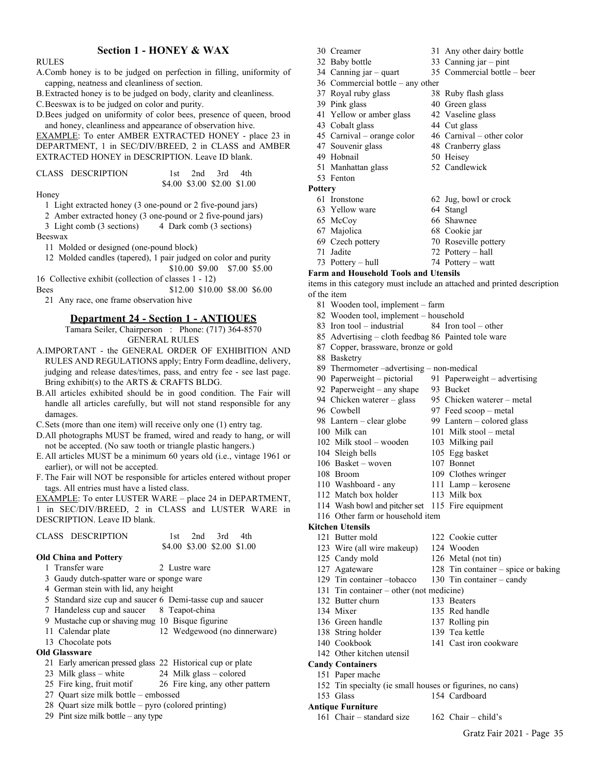#### **Section 1 - HONEY & WAX**

#### RULES

- A.Comb honey is to be judged on perfection in filling, uniformity of capping, neatness and cleanliness of section.
- B.Extracted honey is to be judged on body, clarity and cleanliness.

C.Beeswax is to be judged on color and purity.

D.Bees judged on uniformity of color bees, presence of queen, brood and honey, cleanliness and appearance of observation hive.

EXAMPLE: To enter AMBER EXTRACTED HONEY - place 23 in DEPARTMENT, 1 in SEC/DIV/BREED, 2 in CLASS and AMBER EXTRACTED HONEY in DESCRIPTION. Leave ID blank.

| CLASS DESCRIPTION |                             | 1st $2nd$ 3rd $4th$ |  |
|-------------------|-----------------------------|---------------------|--|
|                   | \$4.00 \$3.00 \$2.00 \$1.00 |                     |  |

Honey

1 Light extracted honey (3 one-pound or 2 five-pound jars)

- 2 Amber extracted honey (3 one-pound or 2 five-pound jars)
- 3 Light comb (3 sections) 4 Dark comb (3 sections)

Beeswax

11 Molded or designed (one-pound block)

12 Molded candles (tapered), 1 pair judged on color and purity \$10.00 \$9.00 \$7.00 \$5.00

16 Collective exhibit (collection of classes 1 - 12)

Bees \$12.00 \$10.00 \$8.00 \$6.00 21 Any race, one frame observation hive

#### **Department 24 - Section 1 - ANTIQUES**

Tamara Seiler, Chairperson : Phone: (717) 364-8570 GENERAL RULES

- A.IMPORTANT the GENERAL ORDER OF EXHIBITION AND RULES AND REGULATIONS apply; Entry Form deadline, delivery, judging and release dates/times, pass, and entry fee - see last page. Bring exhibit(s) to the ARTS & CRAFTS BLDG.
- B.All articles exhibited should be in good condition. The Fair will handle all articles carefully, but will not stand responsible for any damages.

C.Sets (more than one item) will receive only one (1) entry tag.

- D.All photographs MUST be framed, wired and ready to hang, or will not be accepted. (No saw tooth or triangle plastic hangers.)
- E.All articles MUST be a minimum 60 years old (i.e., vintage 1961 or earlier), or will not be accepted.
- F. The Fair will NOT be responsible for articles entered without proper tags. All entries must have a listed class.

EXAMPLE: To enter LUSTER WARE – place 24 in DEPARTMENT, 1 in SEC/DIV/BREED, 2 in CLASS and LUSTER WARE in DESCRIPTION. Leave ID blank.

| CLASS DESCRIPTION                                          |  | $1st$ 2nd 3rd               | 4th                          |
|------------------------------------------------------------|--|-----------------------------|------------------------------|
|                                                            |  | \$4.00 \$3.00 \$2.00 \$1.00 |                              |
| <b>Old China and Pottery</b>                               |  |                             |                              |
| 1 Transfer ware                                            |  | 2 Lustre ware               |                              |
| 3 Gaudy dutch-spatter ware or sponge ware                  |  |                             |                              |
| 4 German stein with lid, any height                        |  |                             |                              |
| 5 Standard size cup and saucer 6 Demi-tasse cup and saucer |  |                             |                              |
| 7 Handeless cup and saucer 8 Teapot-china                  |  |                             |                              |
| 9 Mustache cup or shaving mug 10 Bisque figurine           |  |                             |                              |
| 11 Calendar plate                                          |  |                             | 12 Wedgewood (no dinnerware) |
| 13 Chocolate pots                                          |  |                             |                              |
| $\Omega$ d Classware                                       |  |                             |                              |

# **Old Glassware**

- 21 Early american pressed glass 22 Historical cup or plate
- 23 Milk glass white 24 Milk glass colored
- 25 Fire king, fruit motif 26 Fire king, any other pattern
- 27 Quart size milk bottle embossed
- 28 Quart size milk bottle pyro (colored printing)
- 29 Pint size milk bottle any type
- 30 Creamer 31 Any other dairy bottle
- 32 Baby bottle 33 Canning jar pint
- 34 Canning jar quart 35 Commercial bottle beer
- 36 Commercial bottle any other 37 Royal ruby glass 38 Ruby flash glass
- 
- 
- 39 Pink glass 40 Green glass<br>41 Yellow or amber glass 42 Vaseline glass 41 Yellow or amber glass 43 Cobalt glass 44 Cut glass
- 
- 45 Carnival orange color 46 Carnival other color
- 47 Souvenir glass 48 Cranberry glass
- 49 Hobnail 50 Heisey
- 51 Manhattan glass 52 Candlewick
- 53 Fenton
- **Pottery** 61 Ironstone 62 Jug, bowl or crock 63 Yellow ware 64 Stangl 65 McCoy 66 Shawnee 67 Majolica 68 Cookie jar 69 Czech pottery 70 Roseville pottery 71 Jadite 72 Pottery – hall 73 Pottery – hull 74 Pottery – watt

#### **Farm and Household Tools and Utensils**

items in this category must include an attached and printed description of the item

- 81 Wooden tool, implement farm
- 82 Wooden tool, implement household
- 83 Iron tool industrial 84 Iron tool other
- 85 Advertising cloth feedbag 86 Painted tole ware
- 87 Copper, brassware, bronze or gold
- 88 Basketry
- 89 Thermometer –advertising non-medical
- 90 Paperweight pictorial 91 Paperweight advertising
- 92 Paperweight any shape 93 Bucket
- 94 Chicken waterer glass 95 Chicken waterer metal
- 96 Cowbell 97 Feed scoop metal
- 98 Lantern clear globe 99 Lantern colored glass
- 100 Milk can 101 Milk stool metal
- 102 Milk stool wooden 103 Milking pail
- 104 Sleigh bells 105 Egg basket
- 106 Basket woven 107 Bonnet
- 
- 108 Broom 109 Clothes wringer
- 110 Washboard any 111 Lamp kerosene
- 112 Match box holder 113 Milk box
- 114 Wash bowl and pitcher set 115 Fire equipment 116 Other farm or household item

#### **Kitchen Utensils**

- 121 Butter mold 122 Cookie cutter 123 Wire (all wire makeup) 124 Wooden
- 125 Candy mold 126 Metal (not tin)
- 127 Agateware 128 Tin container spice or baking
- 129 Tin container –tobacco 130 Tin container candy
- 131 Tin container other (not medicine)
- 132 Butter churn 133 Beaters
- 134 Mixer 135 Red handle
- 
- 136 Green handle 137 Rolling pin
- 138 String holder 139 Tea kettle
- 140 Cookbook 141 Cast iron cookware
- 142 Other kitchen utensil
- **Candy Containers**
	- 151 Paper mache
	- 152 Tin specialty (ie small houses or figurines, no cans)
	- 153 Glass 154 Cardboard
- **Antique Furniture**
	- 161 Chair standard size 162 Chair child's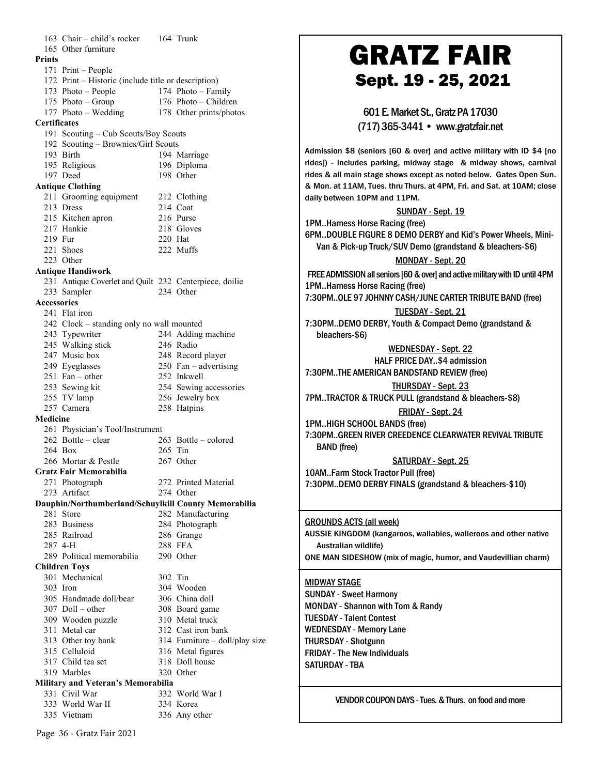| 163 Chair - child's rocker                          | 164 Trunk                                              |                                                                              |
|-----------------------------------------------------|--------------------------------------------------------|------------------------------------------------------------------------------|
|                                                     |                                                        |                                                                              |
| 165 Other furniture                                 |                                                        | <b>GRATZ FAIR</b>                                                            |
| <b>Prints</b>                                       |                                                        |                                                                              |
| 171 Print – People                                  |                                                        |                                                                              |
| 172 Print – Historic (include title or description) |                                                        | Sept. 19 - 25, 2021                                                          |
| 173 Photo – People                                  | 174 Photo - Family                                     |                                                                              |
| 175 Photo - Group                                   | 176 Photo – Children                                   |                                                                              |
| 177 Photo – Wedding                                 | 178 Other prints/photos                                | 601 E. Market St., Gratz PA 17030                                            |
| <b>Certificates</b>                                 |                                                        |                                                                              |
| 191 Scouting - Cub Scouts/Boy Scouts                |                                                        | (717) 365-3441 • www.gratzfair.net                                           |
|                                                     |                                                        |                                                                              |
| 192 Scouting - Brownies/Girl Scouts                 |                                                        | Admission \$8 (seniors [60 & over] and active military with ID \$4 [no       |
| 193 Birth                                           | 194 Marriage                                           |                                                                              |
| 195 Religious                                       | 196 Diploma                                            | rides]) - includes parking, midway stage & midway shows, carnival            |
| 197 Deed                                            | 198 Other                                              | rides & all main stage shows except as noted below. Gates Open Sun.          |
| <b>Antique Clothing</b>                             |                                                        | & Mon. at 11AM, Tues. thru Thurs. at 4PM, Fri. and Sat. at 10AM; close       |
| 211 Grooming equipment                              | 212 Clothing                                           | daily between 10PM and 11PM.                                                 |
| 213 Dress                                           | 214 Coat                                               |                                                                              |
| 215 Kitchen apron                                   | 216 Purse                                              | <b>SUNDAY - Sept. 19</b>                                                     |
| 217 Hankie                                          | 218 Gloves                                             | 1PMHarness Horse Racing (free)                                               |
|                                                     |                                                        | 6PMDOUBLE FIGURE 8 DEMO DERBY and Kid's Power Wheels, Mini-                  |
| 219 Fur                                             | 220 Hat                                                | Van & Pick-up Truck/SUV Demo (grandstand & bleachers-\$6)                    |
| 221 Shoes                                           | 222 Muffs                                              |                                                                              |
| 223 Other                                           |                                                        | MONDAY - Sept. 20                                                            |
| <b>Antique Handiwork</b>                            |                                                        | FREE ADMISSION all seniors [60 & over] and active military with ID until 4PM |
|                                                     | 231 Antique Coverlet and Quilt 232 Centerpiece, doilie |                                                                              |
| 233 Sampler                                         | 234 Other                                              | 1PMHarness Horse Racing (free)                                               |
| Accessories                                         |                                                        | 7:30PMOLE 97 JOHNNY CASH/JUNE CARTER TRIBUTE BAND (free)                     |
| 241 Flat iron                                       |                                                        | <b>TUESDAY - Sept. 21</b>                                                    |
|                                                     |                                                        |                                                                              |
| 242 Clock – standing only no wall mounted           |                                                        | 7:30PMDEMO DERBY, Youth & Compact Demo (grandstand &                         |
| 243 Typewriter                                      | 244 Adding machine                                     | bleachers-\$6)                                                               |
| 245 Walking stick                                   | 246 Radio                                              | <b>WEDNESDAY - Sept. 22</b>                                                  |
| 247 Music box                                       | 248 Record player                                      | HALF PRICE DAY\$4 admission                                                  |
| 249 Eyeglasses                                      | $250$ Fan – advertising                                |                                                                              |
| $251$ Fan – other                                   | 252 Inkwell                                            | 7:30PMTHE AMERICAN BANDSTAND REVIEW (free)                                   |
| 253 Sewing kit                                      | 254 Sewing accessories                                 | <b>THURSDAY - Sept. 23</b>                                                   |
| 255 TV lamp                                         | 256 Jewelry box                                        | 7PMTRACTOR & TRUCK PULL (grandstand & bleachers-\$8)                         |
| 257 Camera                                          |                                                        |                                                                              |
|                                                     | 258 Hatpins                                            | FRIDAY - Sept. 24                                                            |
| Medicine                                            |                                                        | 1PMHIGH SCHOOL BANDS (free)                                                  |
| 261 Physician's Tool/Instrument                     |                                                        | 7:30PMGREEN RIVER CREEDENCE CLEARWATER REVIVAL TRIBUTE                       |
| $262$ Bottle – clear                                | 263 Bottle - colored                                   |                                                                              |
| 264 Box                                             | $265$ Tin                                              | <b>BAND</b> (free)                                                           |
| 266 Mortar & Pestle                                 | 267 Other                                              | <b>SATURDAY - Sept. 25</b>                                                   |
| Gratz Fair Memorabilia                              |                                                        | 10AMFarm Stock Tractor Pull (free)                                           |
| 271 Photograph                                      | 272 Printed Material                                   | 7:30PMDEMO DERBY FINALS (grandstand & bleachers-\$10)                        |
| 273 Artifact                                        | 274 Other                                              |                                                                              |
|                                                     | Dauphin/Northumberland/Schuylkill County Memorabilia   |                                                                              |
|                                                     |                                                        |                                                                              |
| 281 Store                                           | 282 Manufacturing                                      |                                                                              |
| 283 Business                                        | 284 Photograph                                         | <b>GROUNDS ACTS (all week)</b>                                               |
| 285 Railroad                                        | 286 Grange                                             | AUSSIE KINGDOM (kangaroos, wallabies, walleroos and other native             |
| 287 4-H                                             | 288 FFA                                                | Australian wildlife)                                                         |
| 289 Political memorabilia                           | 290 Other                                              | ONE MAN SIDESHOW (mix of magic, humor, and Vaudevillian charm)               |
| <b>Children Toys</b>                                |                                                        |                                                                              |
| 301 Mechanical                                      | 302 Tin                                                |                                                                              |
| 303 Iron                                            | 304 Wooden                                             | <b>MIDWAY STAGE</b>                                                          |
|                                                     |                                                        | <b>SUNDAY - Sweet Harmony</b>                                                |
| 305 Handmade doll/bear                              | 306 China doll                                         | <b>MONDAY - Shannon with Tom &amp; Randy</b>                                 |
| $307$ Doll – other                                  | 308 Board game                                         |                                                                              |
| 309 Wooden puzzle                                   | 310 Metal truck                                        | <b>TUESDAY - Talent Contest</b>                                              |
| 311 Metal car                                       | 312 Cast iron bank                                     | <b>WEDNESDAY - Memory Lane</b>                                               |
| 313 Other toy bank                                  | 314 Furniture - doll/play size                         | <b>THURSDAY - Shotgunn</b>                                                   |
| 315 Celluloid                                       | 316 Metal figures                                      |                                                                              |
| 317 Child tea set                                   | 318 Doll house                                         | <b>FRIDAY - The New Individuals</b>                                          |
| 319 Marbles                                         | 320 Other                                              | SATURDAY - TBA                                                               |
|                                                     |                                                        |                                                                              |
| Military and Veteran's Memorabilia                  |                                                        |                                                                              |
| 331 Civil War                                       | 332 World War I                                        | VENDOR COUPON DAYS - Tues, & Thurs, on food and more                         |
| 333 World War II                                    | 334 Korea                                              |                                                                              |
| 335 Vietnam                                         | 336 Any other                                          |                                                                              |

Page 36 - Gratz Fair 2021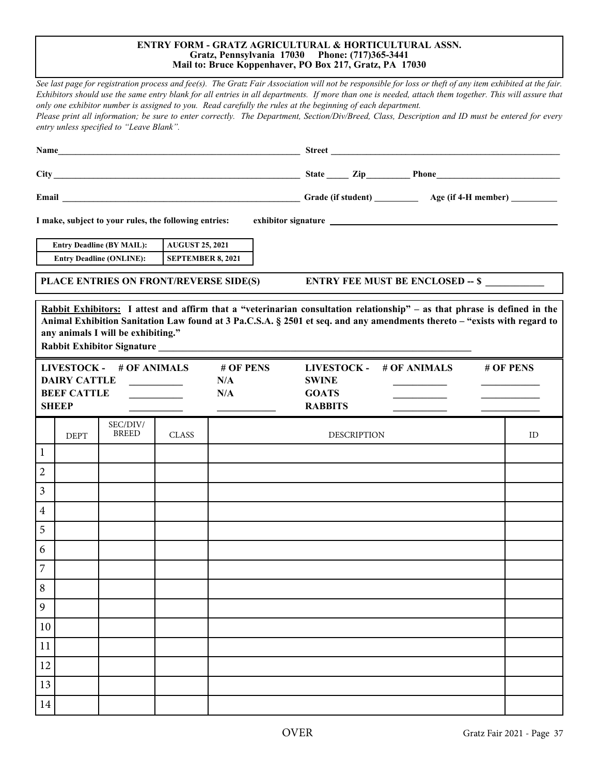#### **ENTRY FORM - GRATZ AGRICULTURAL & HORTICULTURAL ASSN. Gratz, Pennsylvania 17030 Phone: (717)365-3441 Mail to: Bruce Koppenhaver, PO Box 217, Gratz, PA 17030**

*See last page for registration process and fee(s). The Gratz Fair Association will not be responsible for loss or theft of any item exhibited at the fair. Exhibitors should use the same entry blank for all entries in all departments. If more than one is needed, attach them together. This will assure that only one exhibitor number is assigned to you. Read carefully the rules at the beginning of each department. Please print all information; be sure to enter correctly. The Department, Section/Div/Breed, Class, Description and ID must be entered for every entry unless specified to "Leave Blank".* **Name\_\_\_\_\_\_\_\_\_\_\_\_\_\_\_\_\_\_\_\_\_\_\_\_\_\_\_\_\_\_\_\_\_\_\_\_\_\_\_\_\_\_\_\_\_\_\_\_\_\_\_\_\_\_\_ Street \_\_\_\_\_\_\_\_\_\_\_\_\_\_\_\_\_\_\_\_\_\_\_\_\_\_\_\_\_\_\_\_\_\_\_\_\_\_\_\_\_\_\_\_\_\_\_\_\_\_\_\_ City \_\_\_\_\_\_\_\_\_\_\_\_\_\_\_\_\_\_\_\_\_\_\_\_\_\_\_\_\_\_\_\_\_\_\_\_\_\_\_\_\_\_\_\_\_\_\_\_\_\_\_\_\_\_\_\_ State \_\_\_\_\_ Zip\_\_\_\_\_\_\_\_\_\_ Phone\_\_\_\_\_\_\_\_\_\_\_\_\_\_\_\_\_\_\_\_\_\_\_\_\_\_\_\_ Email \_\_\_\_\_\_\_\_\_\_\_\_\_\_\_\_\_\_\_\_\_\_\_\_\_\_\_\_\_\_\_\_\_\_\_\_\_\_\_\_\_\_\_\_\_\_\_\_\_\_\_\_\_\_ Grade (if student) Age (if 4-H member) I make, subject to your rules, the following entries: exhibitor signature Entry Deadline (BY MAIL): AUGUST 25, 2021 Entry Deadline (ONLINE): SEPTEMBER 8, 2021** LIVESTOCK - # OF ANIMALS # OF PENS **DAIRY CATTLE \_\_\_\_\_\_\_\_\_\_\_ N/A BEEF CATTLE \_\_\_\_\_\_\_\_\_\_\_ N/A SHEEP \_\_\_\_\_\_\_\_\_\_\_ \_\_\_\_\_\_\_\_\_\_\_\_ LIVESTOCK - # OF ANIMALS # OF PENS SWINE \_\_\_\_\_\_\_\_\_\_\_ \_\_\_\_\_\_\_\_\_\_\_\_ GOATS \_\_\_\_\_\_\_\_\_\_\_ \_\_\_\_\_\_\_\_\_\_\_\_ RABBITS \_\_\_\_\_\_\_\_\_\_\_ \_\_\_\_\_\_\_\_\_\_\_\_ PLACE ENTRIES ON FRONT/REVERSE SIDE(S) ENTRY FEE MUST BE ENCLOSED -- \$ \_\_\_\_\_\_\_\_\_\_\_\_ Rabbit Exhibitors: I attest and affirm that a "veterinarian consultation relationship" – as that phrase is defined in the Animal Exhibition Sanitation Law found at 3 Pa.C.S.A. § 2501 et seq. and any amendments thereto – "exists with regard to any animals I will be exhibiting." Rabbit Exhibitor Signature \_\_\_\_\_\_\_\_\_\_\_\_\_\_\_\_\_\_\_\_\_\_\_\_\_\_\_\_\_\_\_\_\_\_\_\_\_\_\_\_\_\_\_\_\_\_\_\_\_\_\_\_\_\_\_\_\_\_\_\_\_\_\_\_** DEPT SEC/DIV/ CLASS I DESCRIPTION ID 1 2 3 4 5 6 7 8 9 10 11 12 13 14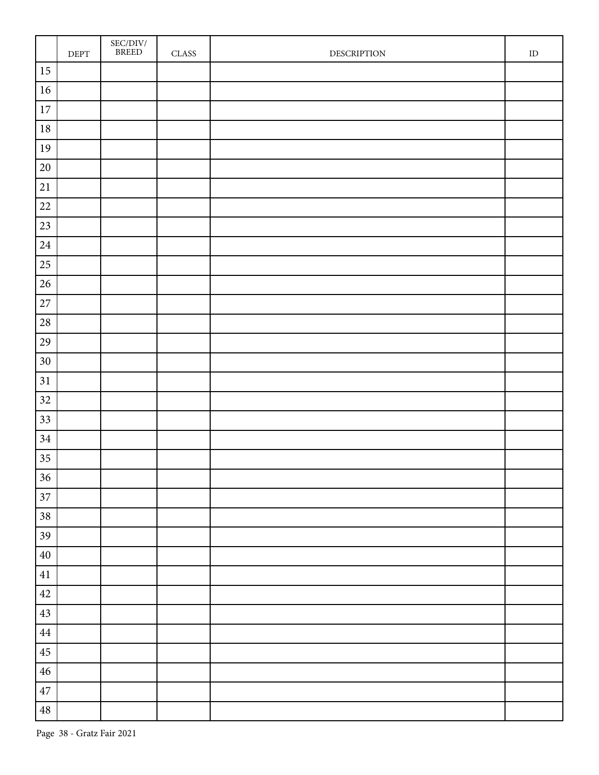|             | $\ensuremath{\mathsf{DEPT}}$ | $\frac{\mathrm{SEC/DIV}}{\mathrm{BREED}}$ | CLASS | <b>DESCRIPTION</b> | ${\rm ID}$ |
|-------------|------------------------------|-------------------------------------------|-------|--------------------|------------|
| $15\,$      |                              |                                           |       |                    |            |
| $16\,$      |                              |                                           |       |                    |            |
| $17\,$      |                              |                                           |       |                    |            |
| $18\,$      |                              |                                           |       |                    |            |
| $19\,$      |                              |                                           |       |                    |            |
| $20\,$      |                              |                                           |       |                    |            |
| $21\,$      |                              |                                           |       |                    |            |
| $22\,$      |                              |                                           |       |                    |            |
| $23\,$      |                              |                                           |       |                    |            |
| $24\,$      |                              |                                           |       |                    |            |
| $25\,$      |                              |                                           |       |                    |            |
| $26\,$      |                              |                                           |       |                    |            |
| $27\,$      |                              |                                           |       |                    |            |
| $28\,$      |                              |                                           |       |                    |            |
| $29\,$      |                              |                                           |       |                    |            |
| $30\,$      |                              |                                           |       |                    |            |
| 31          |                              |                                           |       |                    |            |
| $32\,$      |                              |                                           |       |                    |            |
| 33          |                              |                                           |       |                    |            |
| $34\,$      |                              |                                           |       |                    |            |
| 35          |                              |                                           |       |                    |            |
| 36          |                              |                                           |       |                    |            |
| 37          |                              |                                           |       |                    |            |
| $38\,$      |                              |                                           |       |                    |            |
| 39          |                              |                                           |       |                    |            |
| $40\,$      |                              |                                           |       |                    |            |
| 41          |                              |                                           |       |                    |            |
| $42\,$      |                              |                                           |       |                    |            |
| $43\,$      |                              |                                           |       |                    |            |
| $\bf 44$    |                              |                                           |       |                    |            |
| 45          |                              |                                           |       |                    |            |
| $\sqrt{46}$ |                              |                                           |       |                    |            |
| $47\,$      |                              |                                           |       |                    |            |
| $\bf 48$    |                              |                                           |       |                    |            |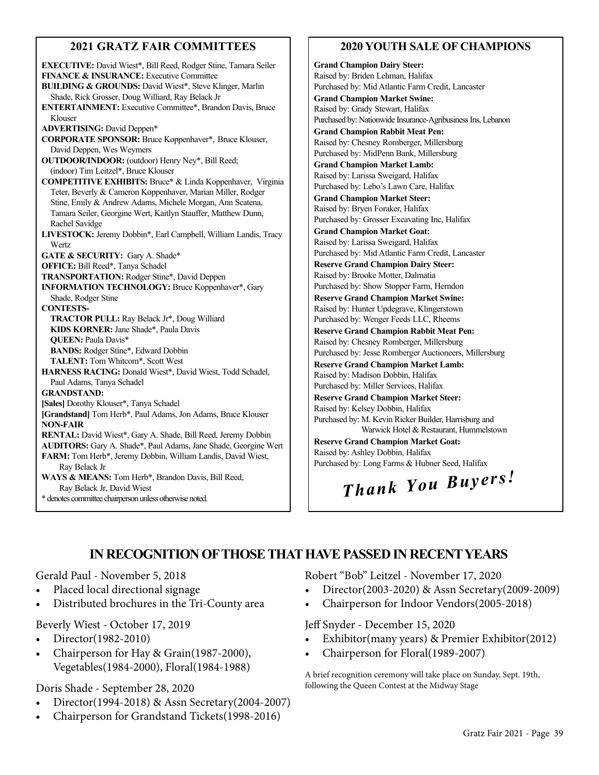# **2021 GRATZ FAIR COMMITTEES**

**EXECUTIVE:** David Wiest\*, Bill Reed, Rodger Stine, Tamara Seiler **FINANCE & INSURANCE:** Executive Committee **BUILDING & GROUNDS:** David Wiest\*, Steve Klinger, Marlin Shade, Rick Grosser, Doug Williard, Ray Belack Jr **ENTERTAINMENT:** Executive Committee\*, Brandon Davis, Bruce Klouser **ADVERTISING:** David Deppen\* **CORPORATE SPONSOR:** Bruce Koppenhaver\*, Bruce Klouser, David Deppen, Wes Weymers **OUTDOOR/INDOOR:** (outdoor) Henry Ney\*, Bill Reed; (indoor) Tim Leitzel\*, Bruce Klouser **COMPETITIVE EXHIBITS:** Bruce\* & Linda Koppenhaver, Virginia Teter, Beverly & Cameron Koppenhaver, Marian Miller, Rodger Stine, Emily & Andrew Adams, Michele Morgan, Ann Scatena, Tamara Seiler, Georgine Wert, Kaitlyn Stauffer, Matthew Dunn, Rachel Savidge **LIVESTOCK:** Jeremy Dobbin\*, Earl Campbell, William Landis, Tracy Wertz **GATE & SECURITY:** Gary A. Shade\* **OFFICE:** Bill Reed\*, Tanya Schadel **TRANSPORTATION:** Rodger Stine\*, David Deppen **INFORMATION TECHNOLOGY:** Bruce Koppenhaver\*, Gary Shade, Rodger Stine **CONTESTS-TRACTOR PULL:** Ray Belack Jr\*, Doug Williard **KIDS KORNER:** Jane Shade\*, Paula Davis **QUEEN:** Paula Davis\* **BANDS:** Rodger Stine\*, Edward Dobbin **TALENT:** Tom Whitcom\*, Scott West **HARNESS RACING:** Donald Wiest\*, David Wiest, Todd Schadel, Paul Adams, Tanya Schadel **GRANDSTAND: [Sales]** Dorothy Klouser\*, Tanya Schadel **[Grandstand]** Tom Herb\*, Paul Adams, Jon Adams, Bruce Klouser **NON-FAIR RENTAL:** David Wiest\*, Gary A. Shade, Bill Reed, Jeremy Dobbin **AUDITORS:** Gary A. Shade\*, Paul Adams, Jane Shade, Georgine Wert **FARM:** Tom Herb\*, Jeremy Dobbin, William Landis, David Wiest, Ray Belack Jr **WAYS & MEANS:** Tom Herb\*, Brandon Davis, Bill Reed, Ray Belack Jr, David Wiest \* denotes committee chairperson unless otherwise noted.

# **2020 YOUTH SALE OF CHAMPIONS**

**Grand Champion Dairy Steer:** Raised by: Briden Lehman, Halifax Purchased by: Mid Atlantic Farm Credit, Lancaster **Grand Champion Market Swine:** Raised by: Grady Stewart, Halifax Purchased by: Nationwide Insurance-Agribusiness Ins, Lebanon **Grand Champion Rabbit Meat Pen:** Raised by: Chesney Romberger, Millersburg Purchased by: MidPenn Bank, Millersburg **Grand Champion Market Lamb:** Raised by: Larissa Sweigard, Halifax Purchased by: Lebo's Lawn Care, Halifax **Grand Champion Market Steer:** Raised by: Bryen Foraker, Halifax Purchased by: Grosser Excavating Inc, Halifax **Grand Champion Market Goat:** Raised by: Larissa Sweigard, Halifax Purchased by: Mid Atlantic Farm Credit, Lancaster **Reserve Grand Champion Dairy Steer:** Raised by: Brooke Motter, Dalmatia Purchased by: Show Stopper Farm, Herndon **Reserve Grand Champion Market Swine:** Raised by: Hunter Updegrave, Klingerstown Purchased by: Wenger Feeds LLC, Rheems **Reserve Grand Champion Rabbit Meat Pen:** Raised by: Chesney Romberger, Millersburg Purchased by: Jesse Romberger Auctioneers, Millersburg **Reserve Grand Champion Market Lamb:** Raised by: Madison Dobbin, Halifax Purchased by: Miller Services, Halifax **Reserve Grand Champion Market Steer:** Raised by: Kelsey Dobbin, Halifax Purchased by: M. Kevin Ricker Builder, Harrisburg and Warwick Hotel & Restaurant, Hummelstown **Reserve Grand Champion Market Goat:** Raised by: Ashley Dobbin, Halifax Purchased by: Long Farms & Hubner Seed, Halifax

# *Thank You Buyers!*

# **IN RECOGNITION OF THOSE THAT HAVE PASSED IN RECENT YEARS**

# Gerald Paul - November 5, 2018

- Placed local directional signage
- Distributed brochures in the Tri-County area

Beverly Wiest - October 17, 2019

- Director(1982-2010)
- Chairperson for Hay & Grain(1987-2000), Vegetables(1984-2000), Floral(1984-1988)

Doris Shade - September 28, 2020

- Director(1994-2018) & Assn Secretary(2004-2007)
- Chairperson for Grandstand Tickets(1998-2016)

Robert "Bob" Leitzel - November 17, 2020

- Director(2003-2020) & Assn Secretary(2009-2009)
- Chairperson for Indoor Vendors(2005-2018)

Jeff Snyder - December 15, 2020

- Exhibitor(many years) & Premier Exhibitor(2012)
- Chairperson for Floral(1989-2007)

A brief recognition ceremony will take place on Sunday, Sept. 19th, following the Queen Contest at the Midway Stage